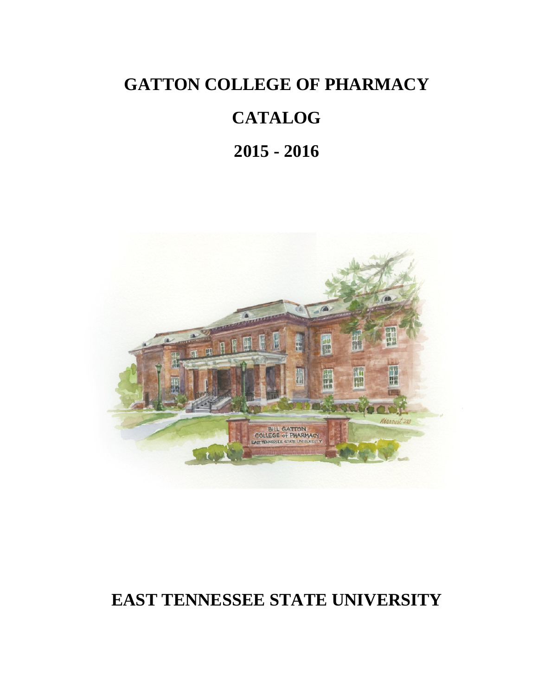# **GATTON COLLEGE OF PHARMACY**

# **CATALOG**

**2015 - 2016**



# **EAST TENNESSEE STATE UNIVERSITY**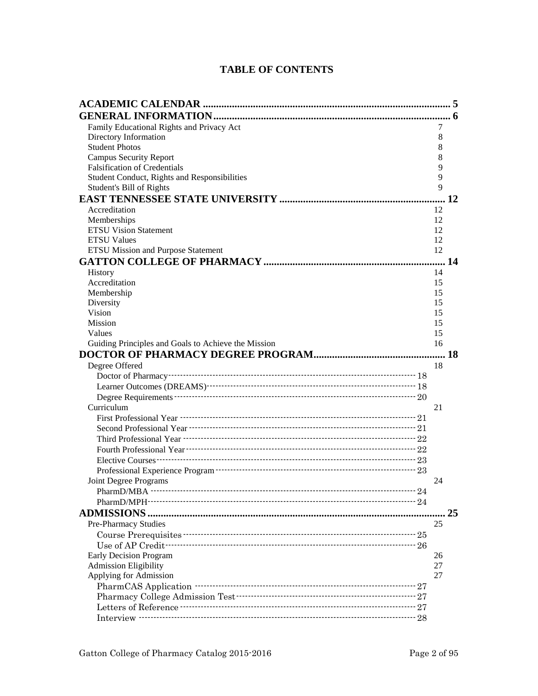# **TABLE OF CONTENTS**

| Family Educational Rights and Privacy Act           | 7  |    |
|-----------------------------------------------------|----|----|
| Directory Information                               | 8  |    |
| <b>Student Photos</b>                               | 8  |    |
| <b>Campus Security Report</b>                       | 8  |    |
| <b>Falsification of Credentials</b>                 | 9  |    |
| Student Conduct, Rights and Responsibilities        | 9  |    |
| Student's Bill of Rights                            | 9  |    |
|                                                     |    | 12 |
| Accreditation                                       | 12 |    |
| Memberships                                         | 12 |    |
| <b>ETSU Vision Statement</b>                        | 12 |    |
| <b>ETSU Values</b>                                  | 12 |    |
| <b>ETSU Mission and Purpose Statement</b>           | 12 |    |
|                                                     |    | 14 |
| <b>History</b>                                      | 14 |    |
| Accreditation                                       | 15 |    |
| Membership                                          | 15 |    |
| Diversity                                           | 15 |    |
| Vision                                              | 15 |    |
| <b>Mission</b>                                      | 15 |    |
| Values                                              | 15 |    |
| Guiding Principles and Goals to Achieve the Mission | 16 |    |
|                                                     |    |    |
| Degree Offered                                      | 18 |    |
|                                                     |    |    |
|                                                     |    |    |
|                                                     |    |    |
| Curriculum                                          | 21 |    |
|                                                     |    |    |
|                                                     |    |    |
|                                                     |    |    |
|                                                     |    |    |
|                                                     |    |    |
|                                                     |    |    |
| Joint Degree Programs                               | 24 |    |
| PharmD/MBA -------                                  |    |    |
|                                                     |    |    |
| <b>ADMISSIONS.</b>                                  |    | 25 |
| Pre-Pharmacy Studies                                | 25 |    |
|                                                     |    |    |
|                                                     |    |    |
| <b>Early Decision Program</b>                       | 26 |    |
| <b>Admission Eligibility</b>                        | 27 |    |
| Applying for Admission                              | 27 |    |
|                                                     |    |    |
|                                                     |    |    |
|                                                     |    |    |
|                                                     |    |    |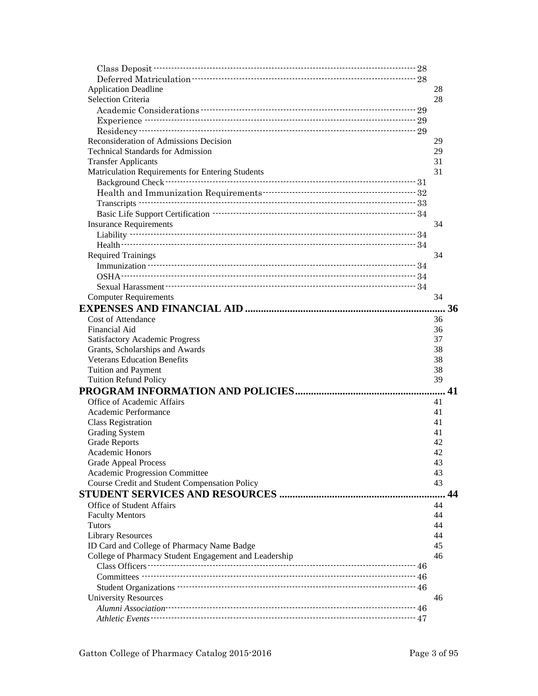| <b>Application Deadline</b>                           | 28 |    |
|-------------------------------------------------------|----|----|
| <b>Selection Criteria</b>                             | 28 |    |
|                                                       |    |    |
|                                                       |    |    |
|                                                       |    |    |
| Reconsideration of Admissions Decision                | 29 |    |
| <b>Technical Standards for Admission</b>              | 29 |    |
| <b>Transfer Applicants</b>                            | 31 |    |
| Matriculation Requirements for Entering Students      | 31 |    |
|                                                       |    |    |
|                                                       |    |    |
|                                                       |    |    |
|                                                       |    |    |
| <b>Insurance Requirements</b>                         | 34 |    |
|                                                       |    |    |
|                                                       |    |    |
| <b>Required Trainings</b>                             | 34 |    |
|                                                       |    |    |
|                                                       |    |    |
|                                                       |    |    |
| <b>Computer Requirements</b>                          | 34 |    |
|                                                       |    | 36 |
| <b>Cost of Attendance</b>                             | 36 |    |
| Financial Aid                                         | 36 |    |
| <b>Satisfactory Academic Progress</b>                 | 37 |    |
| Grants, Scholarships and Awards                       | 38 |    |
| <b>Veterans Education Benefits</b>                    | 38 |    |
| <b>Tuition and Payment</b>                            | 38 |    |
| <b>Tuition Refund Policy</b>                          | 39 |    |
|                                                       |    |    |
| Office of Academic Affairs                            | 41 |    |
| Academic Performance                                  | 41 |    |
| <b>Class Registration</b>                             | 41 |    |
| <b>Grading System</b>                                 | 41 |    |
| <b>Grade Reports</b>                                  | 42 |    |
| Academic Honors                                       | 42 |    |
| <b>Grade Appeal Process</b>                           | 43 |    |
| Academic Progression Committee                        | 43 |    |
| Course Credit and Student Compensation Policy         | 43 |    |
|                                                       |    | 44 |
| <b>Office of Student Affairs</b>                      | 44 |    |
| <b>Faculty Mentors</b>                                | 44 |    |
| <b>Tutors</b>                                         | 44 |    |
| <b>Library Resources</b>                              | 44 |    |
| ID Card and College of Pharmacy Name Badge            | 45 |    |
| College of Pharmacy Student Engagement and Leadership | 46 |    |
|                                                       |    |    |
|                                                       |    |    |
|                                                       |    |    |
|                                                       |    |    |
| <b>University Resources</b>                           | 46 |    |
|                                                       |    |    |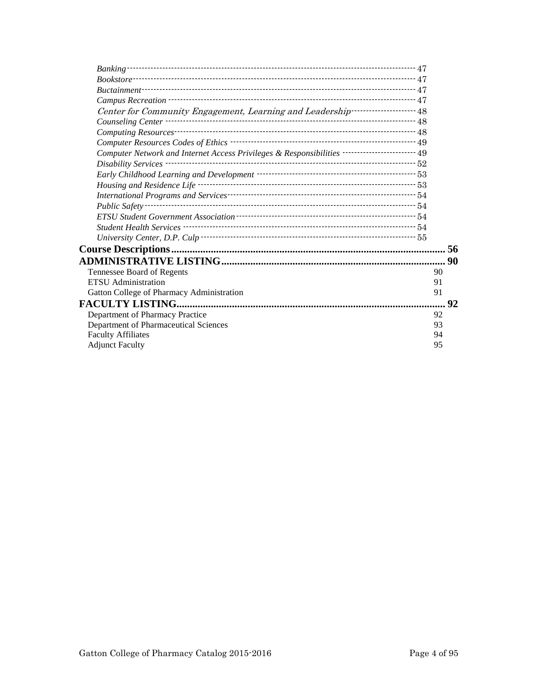| $\it Bookstore$                                                                                 |    |    |
|-------------------------------------------------------------------------------------------------|----|----|
|                                                                                                 |    |    |
|                                                                                                 |    |    |
| Center for Community Engagement, Learning and Leadership----------------------- 48              |    |    |
|                                                                                                 |    |    |
|                                                                                                 |    |    |
|                                                                                                 |    |    |
| Computer Network and Internet Access Privileges & Responsibilities ------------------------- 49 |    |    |
|                                                                                                 |    |    |
| Early Childhood Learning and Development ………………………………………………………53                                |    |    |
|                                                                                                 |    |    |
|                                                                                                 |    |    |
| Public Safety -                                                                                 |    |    |
|                                                                                                 |    |    |
|                                                                                                 |    |    |
|                                                                                                 |    |    |
|                                                                                                 |    | 56 |
|                                                                                                 |    |    |
| Tennessee Board of Regents                                                                      |    | 90 |
| <b>ETSU</b> Administration                                                                      | 91 |    |
| Gatton College of Pharmacy Administration                                                       |    | 91 |
|                                                                                                 |    | 92 |
| Department of Pharmacy Practice                                                                 |    | 92 |
| Department of Pharmaceutical Sciences                                                           |    | 93 |
| <b>Faculty Affiliates</b>                                                                       |    | 94 |
| <b>Adjunct Faculty</b>                                                                          |    | 95 |
|                                                                                                 |    |    |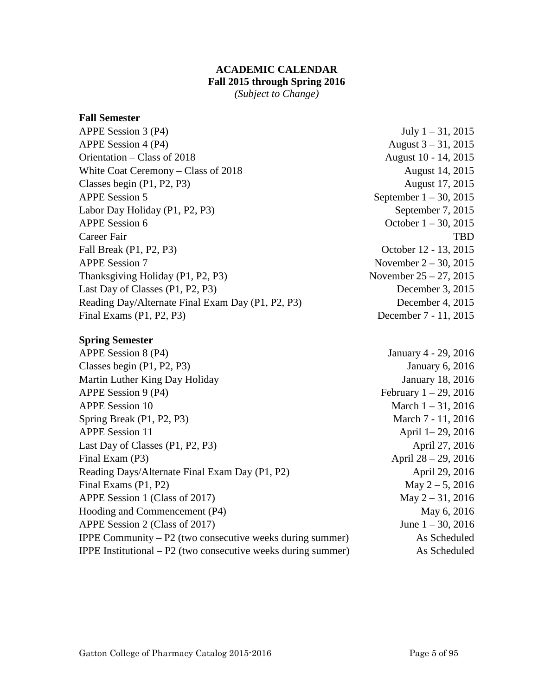# **ACADEMIC CALENDAR Fall 2015 through Spring 2016**

*(Subject to Change)*

# <span id="page-4-0"></span>**Fall Semester**

| APPE Session 3 (P4)                               | July $1 - 31$ , 2015      |
|---------------------------------------------------|---------------------------|
| APPE Session 4 (P4)                               | August $3 - 31$ , 2015    |
| Orientation – Class of 2018                       | August 10 - 14, 2015      |
| White Coat Ceremony – Class of 2018               | August 14, 2015           |
| Classes begin (P1, P2, P3)                        | August 17, 2015           |
| <b>APPE Session 5</b>                             | September $1 - 30$ , 2015 |
| Labor Day Holiday (P1, P2, P3)                    | September 7, 2015         |
| <b>APPE Session 6</b>                             | October $1 - 30$ , 2015   |
| Career Fair                                       | <b>TBD</b>                |
| Fall Break (P1, P2, P3)                           | October 12 - 13, 2015     |
| <b>APPE Session 7</b>                             | November $2 - 30$ , 2015  |
| Thanksgiving Holiday (P1, P2, P3)                 | November $25 - 27$ , 2015 |
| Last Day of Classes (P1, P2, P3)                  | December 3, 2015          |
| Reading Day/Alternate Final Exam Day (P1, P2, P3) | December 4, 2015          |
| Final Exams $(P1, P2, P3)$                        | December 7 - 11, 2015     |
|                                                   |                           |

# **Spring Semester**

| APPE Session 8 (P4)                                                    | January 4 - 29, 2016     |
|------------------------------------------------------------------------|--------------------------|
| Classes begin $(P1, P2, P3)$                                           | January 6, 2016          |
| Martin Luther King Day Holiday                                         | <b>January 18, 2016</b>  |
| APPE Session 9 (P4)                                                    | February $1 - 29$ , 2016 |
| <b>APPE Session 10</b>                                                 | March $1 - 31$ , 2016    |
| Spring Break (P1, P2, P3)                                              | March 7 - 11, 2016       |
| <b>APPE Session 11</b>                                                 | April 1-29, 2016         |
| Last Day of Classes (P1, P2, P3)                                       | April 27, 2016           |
| Final Exam (P3)                                                        | April $28 - 29$ , 2016   |
| Reading Days/Alternate Final Exam Day (P1, P2)                         | April 29, 2016           |
| Final Exams (P1, P2)                                                   | May $2 - 5$ , 2016       |
| APPE Session 1 (Class of 2017)                                         | May $2 - 31$ , 2016      |
| Hooding and Commencement (P4)                                          | May 6, 2016              |
| APPE Session 2 (Class of 2017)                                         | June $1 - 30$ , 2016     |
| <b>IPPE Community – P2</b> (two consecutive weeks during summer)       | As Scheduled             |
| <b>IPPE</b> Institutional $- P2$ (two consecutive weeks during summer) | As Scheduled             |
|                                                                        |                          |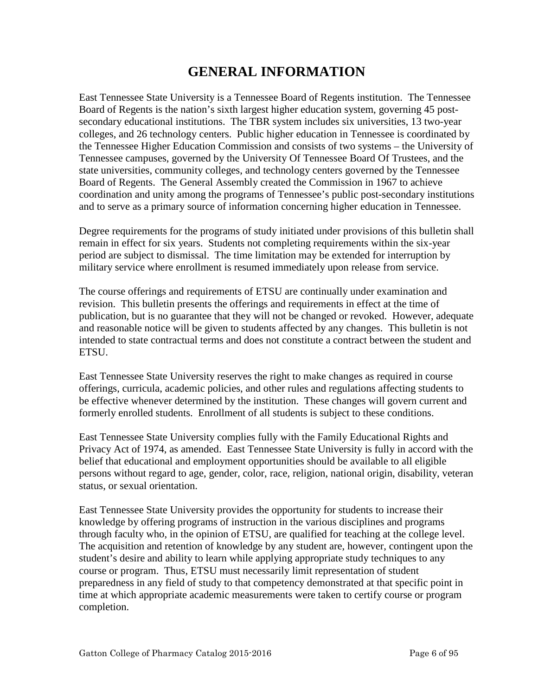# **GENERAL INFORMATION**

<span id="page-5-0"></span>East Tennessee State University is a Tennessee Board of Regents institution. The Tennessee Board of Regents is the nation's sixth largest higher education system, governing 45 postsecondary educational institutions. The TBR system includes six universities, 13 two-year colleges, and 26 technology centers. Public higher education in Tennessee is coordinated by the Tennessee Higher Education Commission and consists of two systems – the University of Tennessee campuses, governed by the University Of Tennessee Board Of Trustees, and the state universities, community colleges, and technology centers governed by the Tennessee Board of Regents. The General Assembly created the Commission in 1967 to achieve coordination and unity among the programs of Tennessee's public post-secondary institutions and to serve as a primary source of information concerning higher education in Tennessee.

Degree requirements for the programs of study initiated under provisions of this bulletin shall remain in effect for six years. Students not completing requirements within the six-year period are subject to dismissal. The time limitation may be extended for interruption by military service where enrollment is resumed immediately upon release from service.

The course offerings and requirements of ETSU are continually under examination and revision. This bulletin presents the offerings and requirements in effect at the time of publication, but is no guarantee that they will not be changed or revoked. However, adequate and reasonable notice will be given to students affected by any changes. This bulletin is not intended to state contractual terms and does not constitute a contract between the student and ETSU.

East Tennessee State University reserves the right to make changes as required in course offerings, curricula, academic policies, and other rules and regulations affecting students to be effective whenever determined by the institution. These changes will govern current and formerly enrolled students. Enrollment of all students is subject to these conditions.

East Tennessee State University complies fully with the Family Educational Rights and Privacy Act of 1974, as amended. East Tennessee State University is fully in accord with the belief that educational and employment opportunities should be available to all eligible persons without regard to age, gender, color, race, religion, national origin, disability, veteran status, or sexual orientation.

East Tennessee State University provides the opportunity for students to increase their knowledge by offering programs of instruction in the various disciplines and programs through faculty who, in the opinion of ETSU, are qualified for teaching at the college level. The acquisition and retention of knowledge by any student are, however, contingent upon the student's desire and ability to learn while applying appropriate study techniques to any course or program. Thus, ETSU must necessarily limit representation of student preparedness in any field of study to that competency demonstrated at that specific point in time at which appropriate academic measurements were taken to certify course or program completion.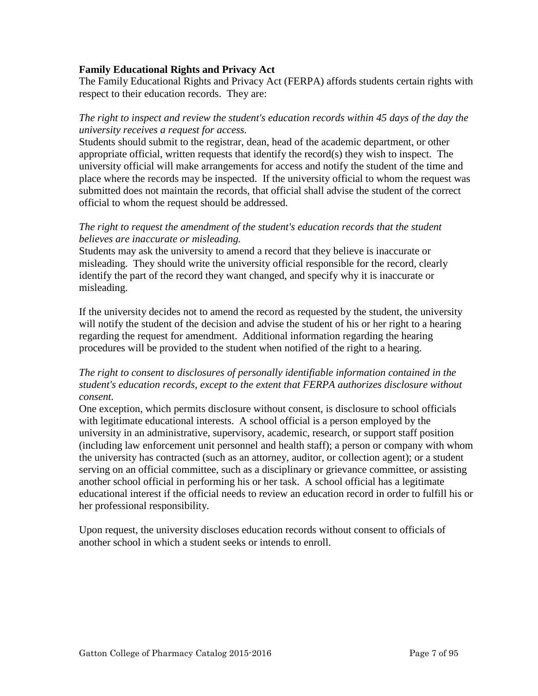# <span id="page-6-0"></span>**Family Educational Rights and Privacy Act**

The Family Educational Rights and Privacy Act (FERPA) affords students certain rights with respect to their education records. They are:

# *The right to inspect and review the student's education records within 45 days of the day the university receives a request for access.*

Students should submit to the registrar, dean, head of the academic department, or other appropriate official, written requests that identify the record(s) they wish to inspect. The university official will make arrangements for access and notify the student of the time and place where the records may be inspected. If the university official to whom the request was submitted does not maintain the records, that official shall advise the student of the correct official to whom the request should be addressed.

# *The right to request the amendment of the student's education records that the student believes are inaccurate or misleading.*

Students may ask the university to amend a record that they believe is inaccurate or misleading. They should write the university official responsible for the record, clearly identify the part of the record they want changed, and specify why it is inaccurate or misleading.

If the university decides not to amend the record as requested by the student, the university will notify the student of the decision and advise the student of his or her right to a hearing regarding the request for amendment. Additional information regarding the hearing procedures will be provided to the student when notified of the right to a hearing.

# *The right to consent to disclosures of personally identifiable information contained in the student's education records, except to the extent that FERPA authorizes disclosure without consent.*

One exception, which permits disclosure without consent, is disclosure to school officials with legitimate educational interests. A school official is a person employed by the university in an administrative, supervisory, academic, research, or support staff position (including law enforcement unit personnel and health staff); a person or company with whom the university has contracted (such as an attorney, auditor, or collection agent); or a student serving on an official committee, such as a disciplinary or grievance committee, or assisting another school official in performing his or her task. A school official has a legitimate educational interest if the official needs to review an education record in order to fulfill his or her professional responsibility.

Upon request, the university discloses education records without consent to officials of another school in which a student seeks or intends to enroll.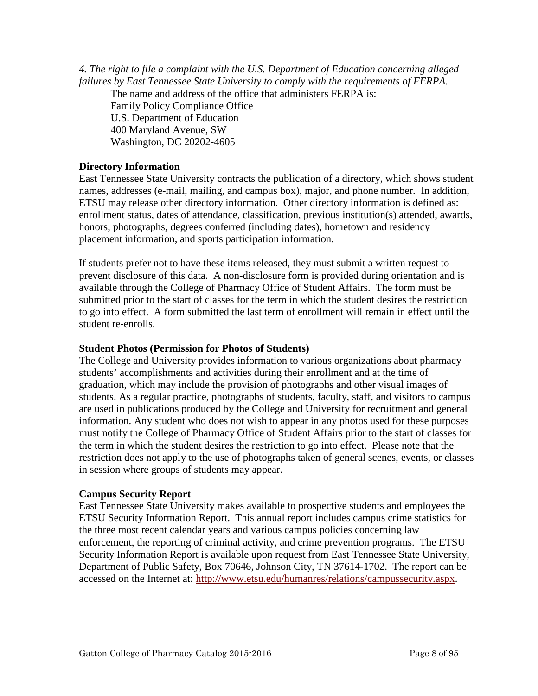<span id="page-7-0"></span>*4. The right to file a complaint with the U.S. Department of Education concerning alleged failures by East Tennessee State University to comply with the requirements of FERPA.* 

The name and address of the office that administers FERPA is:

Family Policy Compliance Office U.S. Department of Education 400 Maryland Avenue, SW Washington, DC 20202-4605

# **Directory Information**

East Tennessee State University contracts the publication of a directory, which shows student names, addresses (e-mail, mailing, and campus box), major, and phone number. In addition, ETSU may release other directory information. Other directory information is defined as: enrollment status, dates of attendance, classification, previous institution(s) attended, awards, honors, photographs, degrees conferred (including dates), hometown and residency placement information, and sports participation information.

If students prefer not to have these items released, they must submit a written request to prevent disclosure of this data. A non-disclosure form is provided during orientation and is available through the College of Pharmacy Office of Student Affairs. The form must be submitted prior to the start of classes for the term in which the student desires the restriction to go into effect. A form submitted the last term of enrollment will remain in effect until the student re-enrolls.

# **Student Photos (Permission for Photos of Students)**

The College and University provides information to various organizations about pharmacy students' accomplishments and activities during their enrollment and at the time of graduation, which may include the provision of photographs and other visual images of students. As a regular practice, photographs of students, faculty, staff, and visitors to campus are used in publications produced by the College and University for recruitment and general information. Any student who does not wish to appear in any photos used for these purposes must notify the College of Pharmacy Office of Student Affairs prior to the start of classes for the term in which the student desires the restriction to go into effect. Please note that the restriction does not apply to the use of photographs taken of general scenes, events, or classes in session where groups of students may appear.

# **Campus Security Report**

East Tennessee State University makes available to prospective students and employees the ETSU Security Information Report. This annual report includes campus crime statistics for the three most recent calendar years and various campus policies concerning law enforcement, the reporting of criminal activity, and crime prevention programs. The ETSU Security Information Report is available upon request from East Tennessee State University, Department of Public Safety, Box 70646, Johnson City, TN 37614-1702. The report can be accessed on the Internet at: [http://www.etsu.edu/humanres/relations/campussecurity.aspx.](http://www.etsu.edu/humanres/relations/campussecurity.aspx)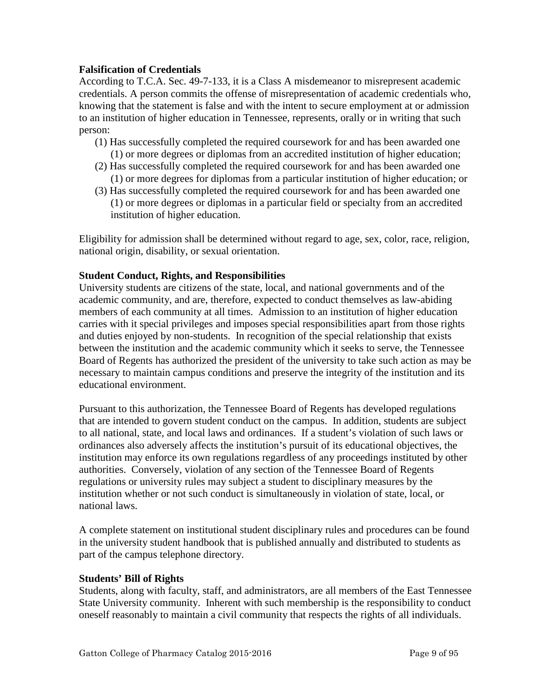# <span id="page-8-0"></span>**Falsification of Credentials**

According to T.C.A. Sec. 49-7-133, it is a Class A misdemeanor to misrepresent academic credentials. A person commits the offense of misrepresentation of academic credentials who, knowing that the statement is false and with the intent to secure employment at or admission to an institution of higher education in Tennessee, represents, orally or in writing that such person:

- (1) Has successfully completed the required coursework for and has been awarded one (1) or more degrees or diplomas from an accredited institution of higher education;
- (2) Has successfully completed the required coursework for and has been awarded one (1) or more degrees for diplomas from a particular institution of higher education; or
- (3) Has successfully completed the required coursework for and has been awarded one (1) or more degrees or diplomas in a particular field or specialty from an accredited institution of higher education.

Eligibility for admission shall be determined without regard to age, sex, color, race, religion, national origin, disability, or sexual orientation.

# **Student Conduct, Rights, and Responsibilities**

University students are citizens of the state, local, and national governments and of the academic community, and are, therefore, expected to conduct themselves as law-abiding members of each community at all times. Admission to an institution of higher education carries with it special privileges and imposes special responsibilities apart from those rights and duties enjoyed by non-students. In recognition of the special relationship that exists between the institution and the academic community which it seeks to serve, the Tennessee Board of Regents has authorized the president of the university to take such action as may be necessary to maintain campus conditions and preserve the integrity of the institution and its educational environment.

Pursuant to this authorization, the Tennessee Board of Regents has developed regulations that are intended to govern student conduct on the campus. In addition, students are subject to all national, state, and local laws and ordinances. If a student's violation of such laws or ordinances also adversely affects the institution's pursuit of its educational objectives, the institution may enforce its own regulations regardless of any proceedings instituted by other authorities. Conversely, violation of any section of the Tennessee Board of Regents regulations or university rules may subject a student to disciplinary measures by the institution whether or not such conduct is simultaneously in violation of state, local, or national laws.

A complete statement on institutional student disciplinary rules and procedures can be found in the university student handbook that is published annually and distributed to students as part of the campus telephone directory.

# **Students' Bill of Rights**

Students, along with faculty, staff, and administrators, are all members of the East Tennessee State University community. Inherent with such membership is the responsibility to conduct oneself reasonably to maintain a civil community that respects the rights of all individuals.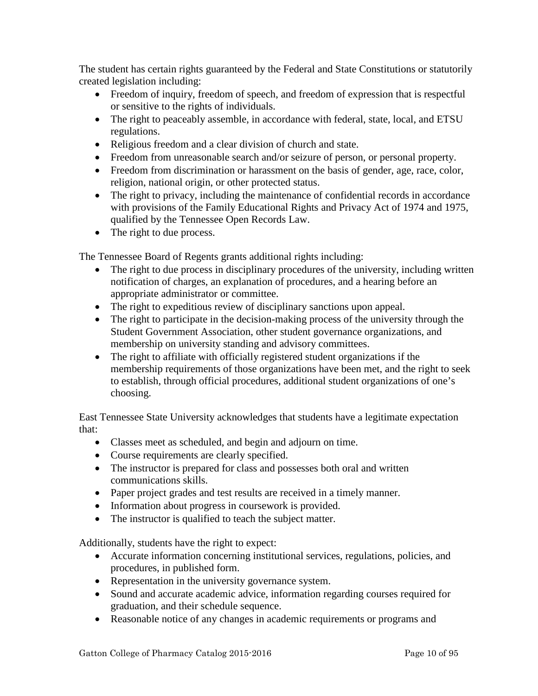The student has certain rights guaranteed by the Federal and State Constitutions or statutorily created legislation including:

- Freedom of inquiry, freedom of speech, and freedom of expression that is respectful or sensitive to the rights of individuals.
- The right to peaceably assemble, in accordance with federal, state, local, and ETSU regulations.
- Religious freedom and a clear division of church and state.
- Freedom from unreasonable search and/or seizure of person, or personal property.
- Freedom from discrimination or harassment on the basis of gender, age, race, color, religion, national origin, or other protected status.
- The right to privacy, including the maintenance of confidential records in accordance with provisions of the Family Educational Rights and Privacy Act of 1974 and 1975, qualified by the Tennessee Open Records Law.
- The right to due process.

The Tennessee Board of Regents grants additional rights including:

- The right to due process in disciplinary procedures of the university, including written notification of charges, an explanation of procedures, and a hearing before an appropriate administrator or committee.
- The right to expeditious review of disciplinary sanctions upon appeal.
- The right to participate in the decision-making process of the university through the Student Government Association, other student governance organizations, and membership on university standing and advisory committees.
- The right to affiliate with officially registered student organizations if the membership requirements of those organizations have been met, and the right to seek to establish, through official procedures, additional student organizations of one's choosing.

East Tennessee State University acknowledges that students have a legitimate expectation that:

- Classes meet as scheduled, and begin and adjourn on time.
- Course requirements are clearly specified.
- The instructor is prepared for class and possesses both oral and written communications skills.
- Paper project grades and test results are received in a timely manner.
- Information about progress in coursework is provided.
- The instructor is qualified to teach the subject matter.

Additionally, students have the right to expect:

- Accurate information concerning institutional services, regulations, policies, and procedures, in published form.
- Representation in the university governance system.
- Sound and accurate academic advice, information regarding courses required for graduation, and their schedule sequence.
- Reasonable notice of any changes in academic requirements or programs and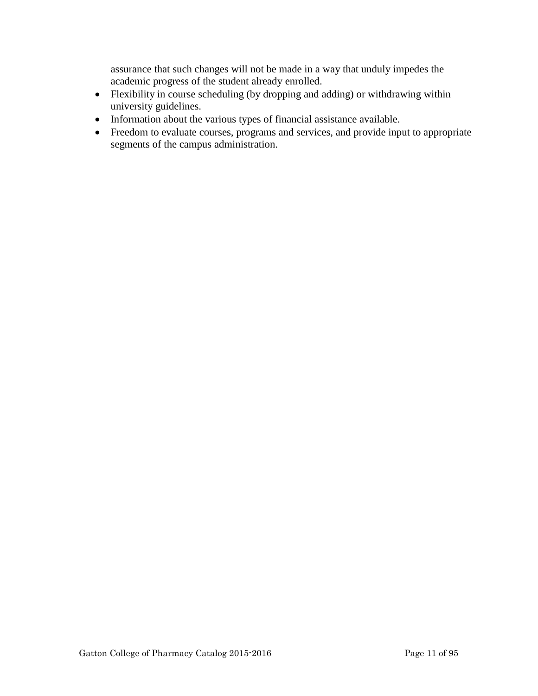assurance that such changes will not be made in a way that unduly impedes the academic progress of the student already enrolled.

- Flexibility in course scheduling (by dropping and adding) or withdrawing within university guidelines.
- Information about the various types of financial assistance available.
- Freedom to evaluate courses, programs and services, and provide input to appropriate segments of the campus administration.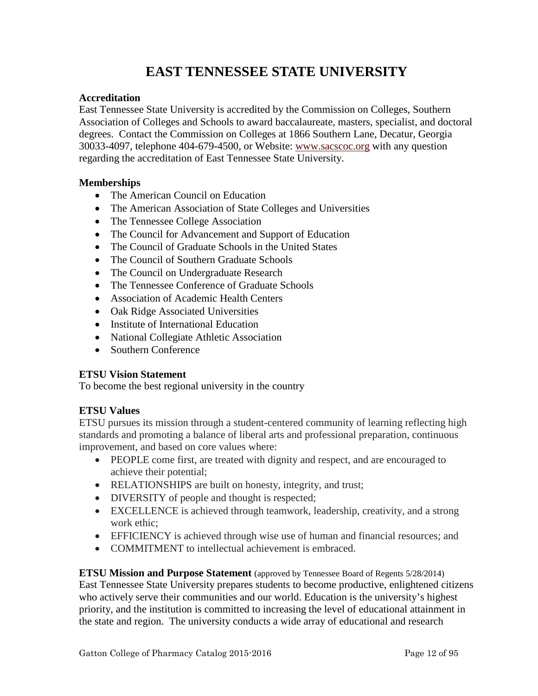# **EAST TENNESSEE STATE UNIVERSITY**

# <span id="page-11-0"></span>**Accreditation**

East Tennessee State University is accredited by the Commission on Colleges, Southern Association of Colleges and Schools to award baccalaureate, masters, specialist, and doctoral degrees. Contact the Commission on Colleges at 1866 Southern Lane, Decatur, Georgia 30033-4097, telephone 404-679-4500, or Website: [www.sacscoc.org](http://www.sacscoc.org/) with any question regarding the accreditation of East Tennessee State University.

# **Memberships**

- The American Council on Education
- The American Association of State Colleges and Universities
- The Tennessee College Association
- The Council for Advancement and Support of Education
- The Council of Graduate Schools in the United States
- The Council of Southern Graduate Schools
- The Council on Undergraduate Research
- The Tennessee Conference of Graduate Schools
- Association of Academic Health Centers
- Oak Ridge Associated Universities
- Institute of International Education
- National Collegiate Athletic Association
- Southern Conference

# **ETSU Vision Statement**

To become the best regional university in the country

# **ETSU Values**

ETSU pursues its mission through a student-centered community of learning reflecting high standards and promoting a balance of liberal arts and professional preparation, continuous improvement, and based on core values where:

- PEOPLE come first, are treated with dignity and respect, and are encouraged to achieve their potential;
- RELATIONSHIPS are built on honesty, integrity, and trust;
- DIVERSITY of people and thought is respected;
- EXCELLENCE is achieved through teamwork, leadership, creativity, and a strong work ethic:
- EFFICIENCY is achieved through wise use of human and financial resources; and
- COMMITMENT to intellectual achievement is embraced.

**ETSU Mission and Purpose Statement** (approved by Tennessee Board of Regents 5/28/2014) East Tennessee State University prepares students to become productive, enlightened citizens who actively serve their communities and our world. Education is the university's highest priority, and the institution is committed to increasing the level of educational attainment in the state and region. The university conducts a wide array of educational and research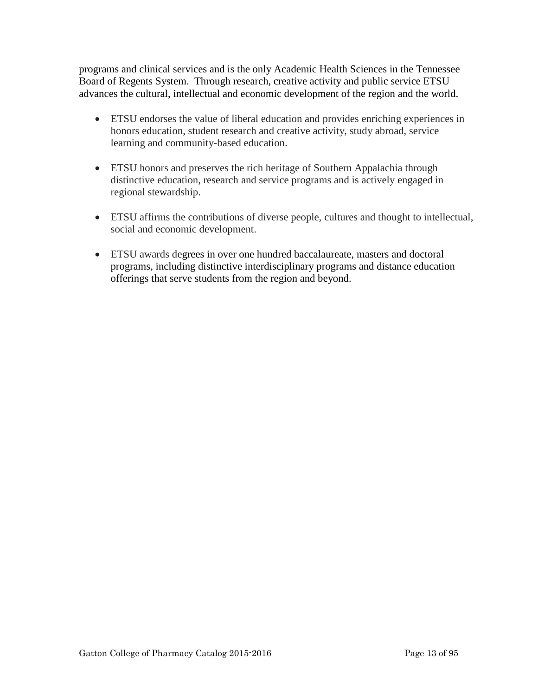programs and clinical services and is the only Academic Health Sciences in the Tennessee Board of Regents System. Through research, creative activity and public service ETSU advances the cultural, intellectual and economic development of the region and the world.

- ETSU endorses the value of liberal education and provides enriching experiences in honors education, student research and creative activity, study abroad, service learning and community-based education.
- ETSU honors and preserves the rich heritage of Southern Appalachia through distinctive education, research and service programs and is actively engaged in regional stewardship.
- ETSU affirms the contributions of diverse people, cultures and thought to intellectual, social and economic development.
- ETSU awards degrees in over one hundred baccalaureate, masters and doctoral programs, including distinctive interdisciplinary programs and distance education offerings that serve students from the region and beyond.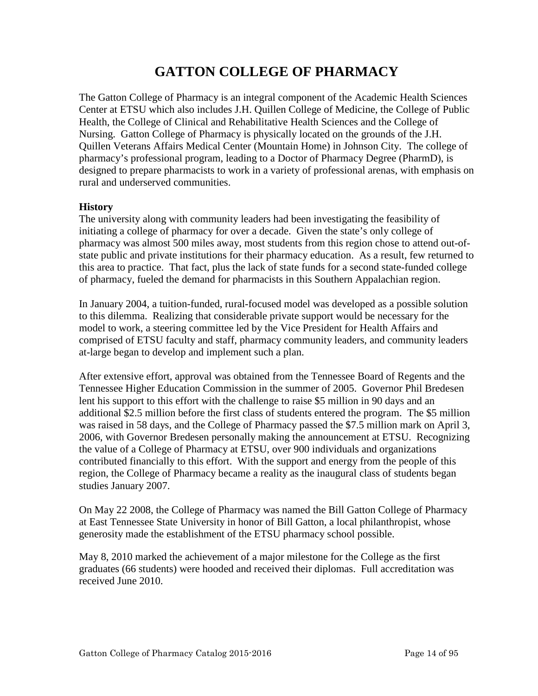# **GATTON COLLEGE OF PHARMACY**

<span id="page-13-0"></span>The Gatton College of Pharmacy is an integral component of the Academic Health Sciences Center at ETSU which also includes J.H. Quillen College of Medicine, the College of Public Health, the College of Clinical and Rehabilitative Health Sciences and the College of Nursing. Gatton College of Pharmacy is physically located on the grounds of the J.H. Quillen Veterans Affairs Medical Center (Mountain Home) in Johnson City. The college of pharmacy's professional program, leading to a Doctor of Pharmacy Degree (PharmD), is designed to prepare pharmacists to work in a variety of professional arenas, with emphasis on rural and underserved communities.

# **History**

The university along with community leaders had been investigating the feasibility of initiating a college of pharmacy for over a decade. Given the state's only college of pharmacy was almost 500 miles away, most students from this region chose to attend out-ofstate public and private institutions for their pharmacy education. As a result, few returned to this area to practice. That fact, plus the lack of state funds for a second state-funded college of pharmacy, fueled the demand for pharmacists in this Southern Appalachian region.

In January 2004, a tuition-funded, rural-focused model was developed as a possible solution to this dilemma. Realizing that considerable private support would be necessary for the model to work, a steering committee led by the Vice President for Health Affairs and comprised of ETSU faculty and staff, pharmacy community leaders, and community leaders at-large began to develop and implement such a plan.

After extensive effort, approval was obtained from the Tennessee Board of Regents and the Tennessee Higher Education Commission in the summer of 2005. Governor Phil Bredesen lent his support to this effort with the challenge to raise \$5 million in 90 days and an additional \$2.5 million before the first class of students entered the program. The \$5 million was raised in 58 days, and the College of Pharmacy passed the \$7.5 million mark on April 3, 2006, with Governor Bredesen personally making the announcement at ETSU. Recognizing the value of a College of Pharmacy at ETSU, over 900 individuals and organizations contributed financially to this effort. With the support and energy from the people of this region, the College of Pharmacy became a reality as the inaugural class of students began studies January 2007.

On May 22 2008, the College of Pharmacy was named the Bill Gatton College of Pharmacy at East Tennessee State University in honor of Bill Gatton, a local philanthropist, whose generosity made the establishment of the ETSU pharmacy school possible.

May 8, 2010 marked the achievement of a major milestone for the College as the first graduates (66 students) were hooded and received their diplomas. Full accreditation was received June 2010.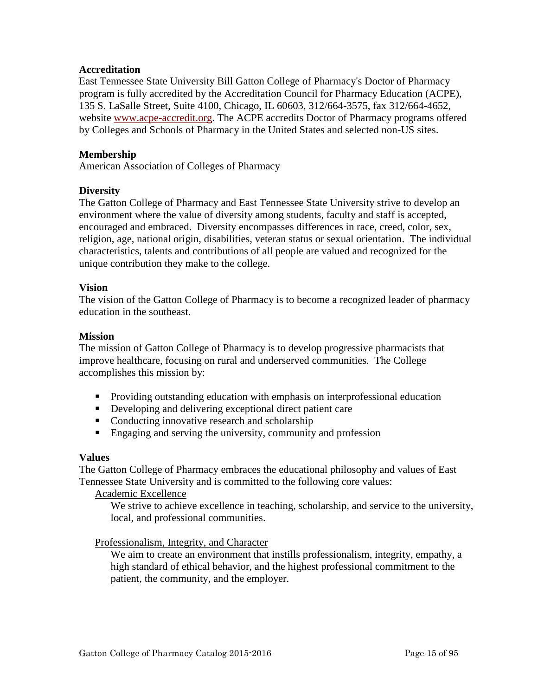# <span id="page-14-0"></span>**Accreditation**

East Tennessee State University Bill Gatton College of Pharmacy's Doctor of Pharmacy program is fully accredited by the Accreditation Council for Pharmacy Education (ACPE), 135 S. LaSalle Street, Suite 4100, Chicago, IL 60603, 312/664-3575, fax 312/664-4652, website [www.acpe-accredit.org.](http://www.acpe-accredit.org/) The ACPE accredits Doctor of Pharmacy programs offered by Colleges and Schools of Pharmacy in the United States and selected non-US sites.

# **Membership**

American Association of Colleges of Pharmacy

# **Diversity**

The Gatton College of Pharmacy and East Tennessee State University strive to develop an environment where the value of diversity among students, faculty and staff is accepted, encouraged and embraced. Diversity encompasses differences in race, creed, color, sex, religion, age, national origin, disabilities, veteran status or sexual orientation. The individual characteristics, talents and contributions of all people are valued and recognized for the unique contribution they make to the college.

# **Vision**

The vision of the Gatton College of Pharmacy is to become a recognized leader of pharmacy education in the southeast.

#### **Mission**

The mission of Gatton College of Pharmacy is to develop progressive pharmacists that improve healthcare, focusing on rural and underserved communities. The College accomplishes this mission by:

- **Providing outstanding education with emphasis on interprofessional education**
- Developing and delivering exceptional direct patient care
- Conducting innovative research and scholarship
- **Engaging and serving the university, community and profession**

# **Values**

The Gatton College of Pharmacy embraces the educational philosophy and values of East Tennessee State University and is committed to the following core values:

Academic Excellence

We strive to achieve excellence in teaching, scholarship, and service to the university, local, and professional communities.

Professionalism, Integrity, and Character

We aim to create an environment that instills professionalism, integrity, empathy, a high standard of ethical behavior, and the highest professional commitment to the patient, the community, and the employer.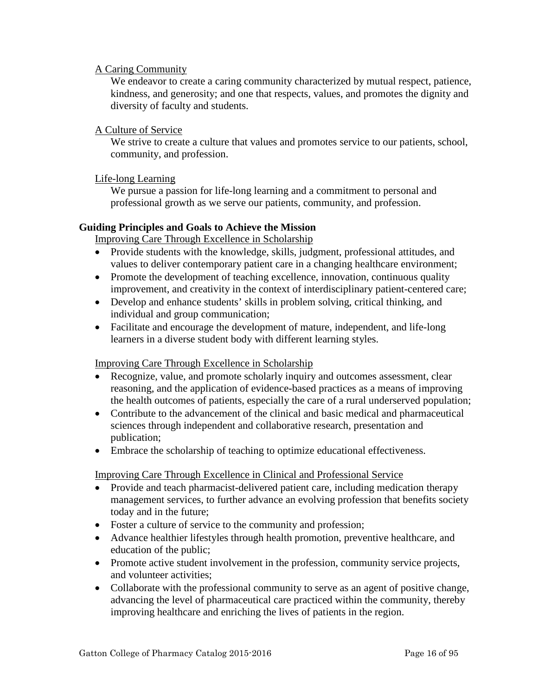# <span id="page-15-0"></span>A Caring Community

We endeavor to create a caring community characterized by mutual respect, patience, kindness, and generosity; and one that respects, values, and promotes the dignity and diversity of faculty and students.

# A Culture of Service

We strive to create a culture that values and promotes service to our patients, school, community, and profession.

# Life-long Learning

We pursue a passion for life-long learning and a commitment to personal and professional growth as we serve our patients, community, and profession.

# **Guiding Principles and Goals to Achieve the Mission**

Improving Care Through Excellence in Scholarship

- Provide students with the knowledge, skills, judgment, professional attitudes, and values to deliver contemporary patient care in a changing healthcare environment;
- Promote the development of teaching excellence, innovation, continuous quality improvement, and creativity in the context of interdisciplinary patient-centered care;
- Develop and enhance students' skills in problem solving, critical thinking, and individual and group communication;
- Facilitate and encourage the development of mature, independent, and life-long learners in a diverse student body with different learning styles.

# Improving Care Through Excellence in Scholarship

- Recognize, value, and promote scholarly inquiry and outcomes assessment, clear reasoning, and the application of evidence-based practices as a means of improving the health outcomes of patients, especially the care of a rural underserved population;
- Contribute to the advancement of the clinical and basic medical and pharmaceutical sciences through independent and collaborative research, presentation and publication;
- Embrace the scholarship of teaching to optimize educational effectiveness.

# Improving Care Through Excellence in Clinical and Professional Service

- Provide and teach pharmacist-delivered patient care, including medication therapy management services, to further advance an evolving profession that benefits society today and in the future;
- Foster a culture of service to the community and profession;
- Advance healthier lifestyles through health promotion, preventive healthcare, and education of the public;
- Promote active student involvement in the profession, community service projects, and volunteer activities;
- Collaborate with the professional community to serve as an agent of positive change, advancing the level of pharmaceutical care practiced within the community, thereby improving healthcare and enriching the lives of patients in the region.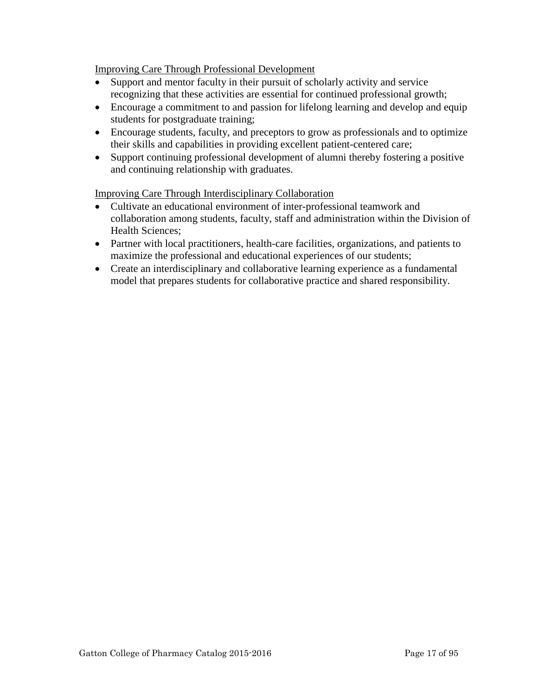Improving Care Through Professional Development

- Support and mentor faculty in their pursuit of scholarly activity and service recognizing that these activities are essential for continued professional growth;
- Encourage a commitment to and passion for lifelong learning and develop and equip students for postgraduate training;
- Encourage students, faculty, and preceptors to grow as professionals and to optimize their skills and capabilities in providing excellent patient-centered care;
- Support continuing professional development of alumni thereby fostering a positive and continuing relationship with graduates.

Improving Care Through Interdisciplinary Collaboration

- Cultivate an educational environment of inter-professional teamwork and collaboration among students, faculty, staff and administration within the Division of Health Sciences;
- Partner with local practitioners, health-care facilities, organizations, and patients to maximize the professional and educational experiences of our students;
- Create an interdisciplinary and collaborative learning experience as a fundamental model that prepares students for collaborative practice and shared responsibility.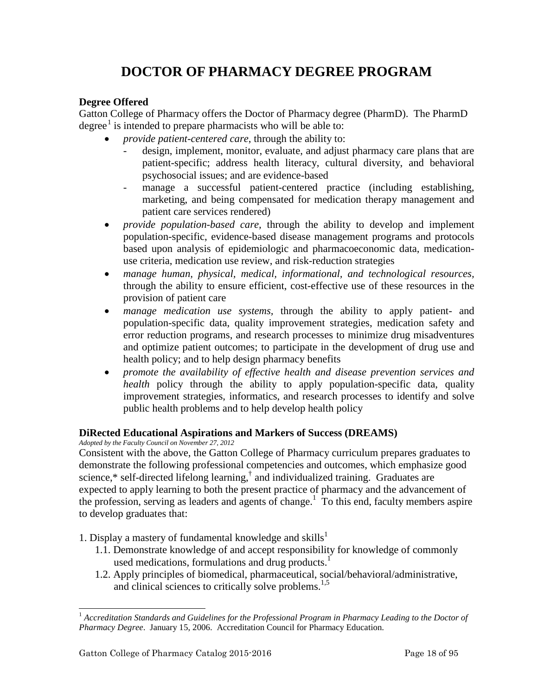# <span id="page-17-1"></span>**DOCTOR OF PHARMACY DEGREE PROGRAM**

# <span id="page-17-0"></span>**Degree Offered**

Gatton College of Pharmacy offers the Doctor of Pharmacy degree (PharmD). The PharmD degree<sup>[1](#page-17-2)</sup> is intended to prepare pharmacists who will be able to:

- *provide patient-centered care*, through the ability to:
	- design, implement, monitor, evaluate, and adjust pharmacy care plans that are patient-specific; address health literacy, cultural diversity, and behavioral psychosocial issues; and are evidence-based
	- manage a successful patient-centered practice (including establishing, marketing, and being compensated for medication therapy management and patient care services rendered)
- *provide population-based care,* through the ability to develop and implement population-specific, evidence-based disease management programs and protocols based upon analysis of epidemiologic and pharmacoeconomic data, medicationuse criteria, medication use review, and risk-reduction strategies
- *manage human, physical, medical, informational, and technological resources,*  through the ability to ensure efficient, cost-effective use of these resources in the provision of patient care
- *manage medication use systems,* through the ability to apply patient- and population-specific data, quality improvement strategies, medication safety and error reduction programs, and research processes to minimize drug misadventures and optimize patient outcomes; to participate in the development of drug use and health policy; and to help design pharmacy benefits
- *promote the availability of effective health and disease prevention services and health* policy through the ability to apply population-specific data, quality improvement strategies, informatics, and research processes to identify and solve public health problems and to help develop health policy

# **DiRected Educational Aspirations and Markers of Success (DREAMS)**

*Adopted by the Faculty Council on November 27, 2012*

Consistent with the above, the Gatton College of Pharmacy curriculum prepares graduates to demonstrate the following professional competencies and outcomes, which emphasize good science, $*$  self-directed lifelong learning, $\frac{1}{s}$  and individualized training. Graduates are expected to apply learning to both the present practice of pharmacy and the advancement of the profession, serving as leaders and agents of change.<sup>1</sup> To this end, faculty members aspire to develop graduates that:

- 1. Display a mastery of fundamental knowledge and skills<sup>1</sup>
	- 1.1. Demonstrate knowledge of and accept responsibility for knowledge of commonly used medications, formulations and drug products.<sup>1</sup>
	- 1.2. Apply principles of biomedical, pharmaceutical, social/behavioral/administrative, and clinical sciences to critically solve problems.<sup>1,5</sup>

<span id="page-17-2"></span><sup>&</sup>lt;sup>1</sup> Accreditation Standards and Guidelines for the Professional Program in Pharmacy Leading to the Doctor of *Pharmacy Degree*. January 15, 2006. Accreditation Council for Pharmacy Education.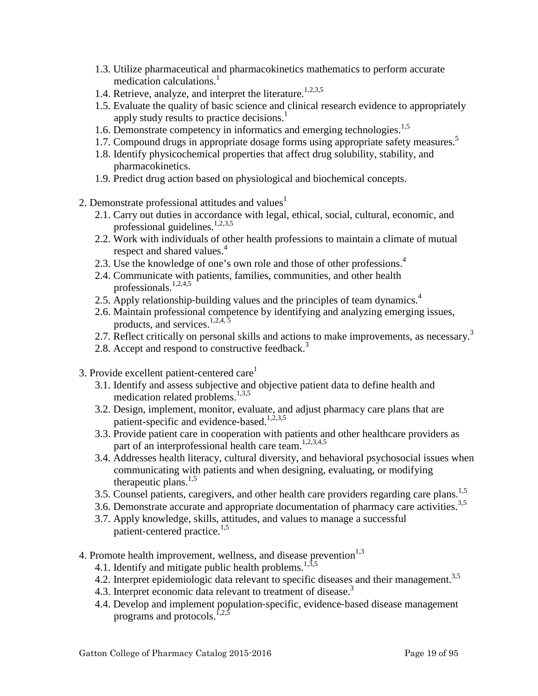- 1.3. Utilize pharmaceutical and pharmacokinetics mathematics to perform accurate medication calculations.<sup>1</sup>
- 1.4. Retrieve, analyze, and interpret the literature.<sup>1,2,3,5</sup>
- 1.5. Evaluate the quality of basic science and clinical research evidence to appropriately apply study results to practice decisions.<sup>1</sup>
- 1.6. Demonstrate competency in informatics and emerging technologies.<sup>1,5</sup>
- 1.7. Compound drugs in appropriate dosage forms using appropriate safety measures.<sup>5</sup>
- 1.8. Identify physicochemical properties that affect drug solubility, stability, and pharmacokinetics.
- 1.9. Predict drug action based on physiological and biochemical concepts.
- 2. Demonstrate professional attitudes and values $<sup>1</sup>$ </sup>
	- 2.1. Carry out duties in accordance with legal, ethical, social, cultural, economic, and professional guidelines.<sup>1,2,3,5</sup>
	- 2.2. Work with individuals of other health professions to maintain a climate of mutual respect and shared values.<sup>4</sup>
	- 2.3. Use the knowledge of one's own role and those of other professions.<sup>4</sup>
	- 2.4. Communicate with patients, families, communities, and other health professionals.<sup>1,2,4,5</sup>
	- 2.5. Apply relationship-building values and the principles of team dynamics.<sup>4</sup>
	- 2.6. Maintain professional competence by identifying and analyzing emerging issues, products, and services. $1,2,4,5$
	- 2.7. Reflect critically on personal skills and actions to make improvements, as necessary.<sup>3</sup>
	- 2.8. Accept and respond to constructive feedback.<sup>3</sup>
- 3. Provide excellent patient-centered care<sup>1</sup>
	- 3.1. Identify and assess subjective and objective patient data to define health and medication related problems. $^{1,3,5}$
	- 3.2. Design, implement, monitor, evaluate, and adjust pharmacy care plans that are patient-specific and evidence-based.<sup>1,2,3,5</sup>
	- 3.3. Provide patient care in cooperation with patients and other healthcare providers as part of an interprofessional health care team.<sup>1,2,3,4,5</sup>
	- 3.4. Addresses health literacy, cultural diversity, and behavioral psychosocial issues when communicating with patients and when designing, evaluating, or modifying therapeutic plans. $1,5$
	- 3.5. Counsel patients, caregivers, and other health care providers regarding care plans.<sup>1,5</sup>
	- 3.6. Demonstrate accurate and appropriate documentation of pharmacy care activities.<sup>3,5</sup>
	- 3.7. Apply knowledge, skills, attitudes, and values to manage a successful patient-centered practice.<sup>1,5</sup>
- 4. Promote health improvement, wellness, and disease prevention $1,3$ 
	- 4.1. Identify and mitigate public health problems.<sup>1,3,5</sup>
	- 4.2. Interpret epidemiologic data relevant to specific diseases and their management.<sup>3,5</sup>
	- 4.3. Interpret economic data relevant to treatment of disease.<sup>3</sup>
	- 4.4. Develop and implement population‐specific, evidence‐based disease management programs and protocols.<sup>1,2,5</sup>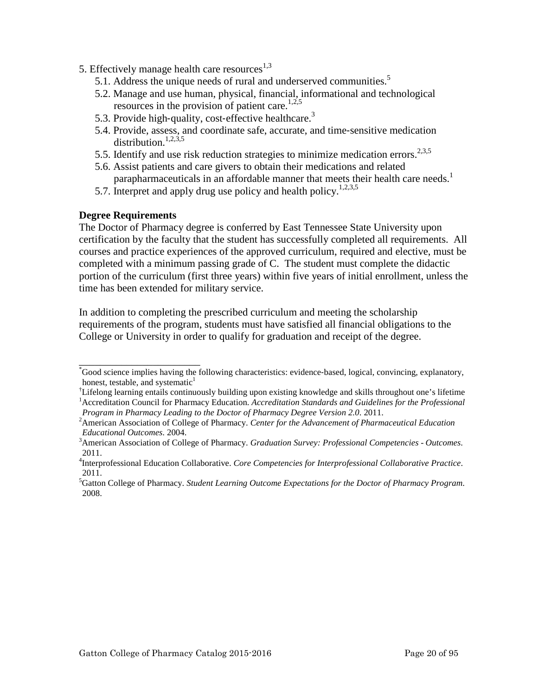- <span id="page-19-0"></span>5. Effectively manage health care resources $^{1,3}$ 
	- 5.1. Address the unique needs of rural and underserved communities.<sup>5</sup>
	- 5.2. Manage and use human, physical, financial, informational and technological resources in the provision of patient care.<sup>1,2,5</sup>
	- 5.3. Provide high-quality, cost-effective healthcare.<sup>3</sup>
	- 5.4. Provide, assess, and coordinate safe, accurate, and time‐sensitive medication distribution.<sup>1,2,3,5</sup>
	- 5.5. Identify and use risk reduction strategies to minimize medication errors.<sup>2,3,5</sup>
	- 5.6. Assist patients and care givers to obtain their medications and related parapharmaceuticals in an affordable manner that meets their health care needs.<sup>1</sup>
	- 5.7. Interpret and apply drug use policy and health policy.<sup>1,2,3,5</sup>

# **Degree Requirements**

\_\_\_\_\_\_\_\_\_\_\_\_\_\_\_\_\_\_\_\_\_\_\_

The Doctor of Pharmacy degree is conferred by East Tennessee State University upon certification by the faculty that the student has successfully completed all requirements. All courses and practice experiences of the approved curriculum, required and elective, must be completed with a minimum passing grade of C. The student must complete the didactic portion of the curriculum (first three years) within five years of initial enrollment, unless the time has been extended for military service.

In addition to completing the prescribed curriculum and meeting the scholarship requirements of the program, students must have satisfied all financial obligations to the College or University in order to qualify for graduation and receipt of the degree.

<sup>\*</sup> Good science implies having the following characteristics: evidence‐based, logical, convincing, explanatory, honest, testable, and systematic $<sup>1</sup>$ </sup>

<sup>†</sup> Lifelong learning entails continuously building upon existing knowledge and skills throughout one's lifetime <sup>1</sup> Accreditation Council for Pharmacy Education. *Accreditation Standards and Guidelines for the Professional Program in Pharmacy Leading to the Doctor of Pharmacy Degree Version 2.0*. 2011. <sup>2</sup>

American Association of College of Pharmacy. *Center for the Advancement of Pharmaceutical Education Educational Outcomes.* 2004.

American Association of College of Pharmacy. *Graduation Survey: Professional Competencies - Outcomes*. 2011.

<sup>4</sup> Interprofessional Education Collaborative. *Core Competencies for Interprofessional Collaborative Practice*. 2011.

<sup>5</sup> Gatton College of Pharmacy. *Student Learning Outcome Expectations for the Doctor of Pharmacy Program*. 2008.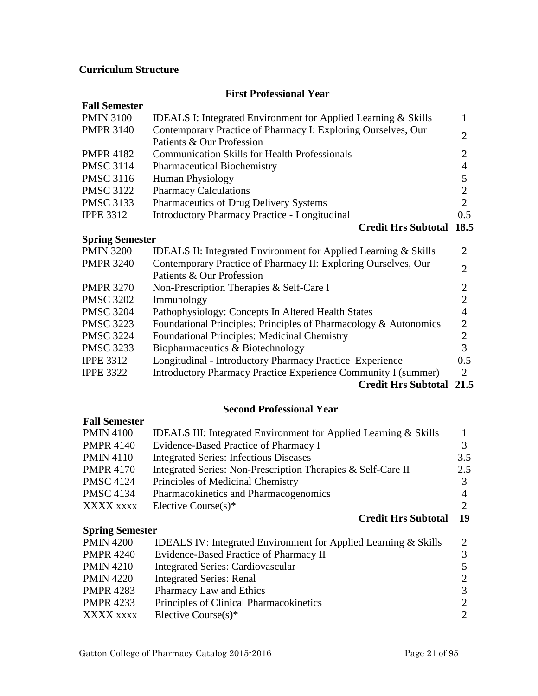# <span id="page-20-0"></span>**Curriculum Structure**

# **First Professional Year**

| <b>Fall Semester</b>   |                                                                            |                |
|------------------------|----------------------------------------------------------------------------|----------------|
| <b>PMIN 3100</b>       | <b>IDEALS I: Integrated Environment for Applied Learning &amp; Skills</b>  | 1              |
| <b>PMPR 3140</b>       | Contemporary Practice of Pharmacy I: Exploring Ourselves, Our              | $\overline{2}$ |
|                        | Patients & Our Profession                                                  |                |
| <b>PMPR 4182</b>       | <b>Communication Skills for Health Professionals</b>                       | 2              |
| <b>PMSC 3114</b>       | <b>Pharmaceutical Biochemistry</b>                                         | 4              |
| <b>PMSC 3116</b>       | <b>Human Physiology</b>                                                    | 5              |
| <b>PMSC 3122</b>       | <b>Pharmacy Calculations</b>                                               | $\overline{2}$ |
| <b>PMSC 3133</b>       | Pharmaceutics of Drug Delivery Systems                                     | $\overline{2}$ |
| <b>IPPE 3312</b>       | <b>Introductory Pharmacy Practice - Longitudinal</b>                       | 0.5            |
|                        | <b>Credit Hrs Subtotal</b>                                                 | 18.5           |
| <b>Spring Semester</b> |                                                                            |                |
| <b>PMIN 3200</b>       | <b>IDEALS II: Integrated Environment for Applied Learning &amp; Skills</b> | 2              |
| <b>PMPR 3240</b>       | Contemporary Practice of Pharmacy II: Exploring Ourselves, Our             | 2              |
|                        | Patients & Our Profession                                                  |                |
| <b>PMPR 3270</b>       | Non-Prescription Therapies & Self-Care I                                   | 2              |
| <b>PMSC 3202</b>       | Immunology                                                                 | $\overline{2}$ |
| <b>PMSC 3204</b>       | Pathophysiology: Concepts In Altered Health States                         | $\overline{4}$ |
| <b>PMSC 3223</b>       | Foundational Principles: Principles of Pharmacology & Autonomics           | $\overline{2}$ |
| <b>PMSC 3224</b>       | <b>Foundational Principles: Medicinal Chemistry</b>                        | $\overline{2}$ |
| <b>PMSC 3233</b>       | Biopharmaceutics & Biotechnology                                           | 3              |
| <b>IPPE 3312</b>       | Longitudinal - Introductory Pharmacy Practice Experience                   | $0.5\,$        |
| <b>IPPE 3322</b>       | Introductory Pharmacy Practice Experience Community I (summer)             | 2              |
|                        | $\alpha$ in $\mathbf{H}$ of $\mathbf{H}$ in $\alpha$                       | $\sim$ $\sim$  |

**Credit Hrs Subtotal 21.5**

# **Second Professional Year**

# **Fall Semester**

| <b>PMIN 4100</b>       | <b>IDEALS III:</b> Integrated Environment for Applied Learning & Skills    |                             |
|------------------------|----------------------------------------------------------------------------|-----------------------------|
| <b>PMPR 4140</b>       | Evidence-Based Practice of Pharmacy I                                      | 3                           |
| <b>PMIN 4110</b>       | <b>Integrated Series: Infectious Diseases</b>                              | 3.5                         |
| <b>PMPR 4170</b>       | Integrated Series: Non-Prescription Therapies & Self-Care II               | 2.5                         |
| <b>PMSC 4124</b>       | Principles of Medicinal Chemistry                                          | 3                           |
| <b>PMSC 4134</b>       | Pharmacokinetics and Pharmacogenomics                                      | 4                           |
| XXXX xxxx              | Elective Course $(s)^*$                                                    | $\mathcal{D}_{\mathcal{L}}$ |
|                        | <b>Credit Hrs Subtotal</b>                                                 | 19                          |
| <b>Spring Semester</b> |                                                                            |                             |
| <b>PMIN 4200</b>       | <b>IDEALS IV: Integrated Environment for Applied Learning &amp; Skills</b> | 2                           |
| <b>PMPR 4240</b>       | Evidence-Based Practice of Pharmacy II                                     | 3                           |
| <b>PMIN 4210</b>       | <b>Integrated Series: Cardiovascular</b>                                   | 5                           |
| <b>PMIN 4220</b>       | <b>Integrated Series: Renal</b>                                            | $\mathcal{D}_{\cdot}$       |

- PMIN 4220 Integrated Series: Renal
- PMPR 4283 Pharmacy Law and Ethics 3<br>
PMPR 4233 Principles of Clinical Pharmacokinetics 2 PMPR 4233 Principles of Clinical Pharmacokinetics 2<br>XXXX xxxx Elective Course(s)\* 2 Elective Course $(s)^*$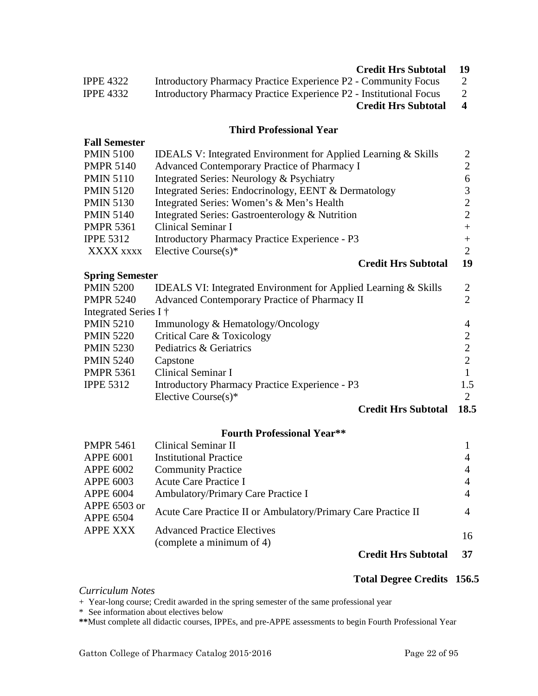# **Credit Hrs Subtotal 19**

<span id="page-21-0"></span>

|                  | $C_{\text{max}}$ 124 H <sub>ram</sub> $C_{\text{max}}$ 14 $\pm$ 1  |  |
|------------------|--------------------------------------------------------------------|--|
| <b>IPPE 4332</b> | Introductory Pharmacy Practice Experience P2 - Institutional Focus |  |
| <b>IPPE 4322</b> | Introductory Pharmacy Practice Experience P2 - Community Focus     |  |

# **Credit Hrs Subtotal 4**

# **Third Professional Year**

| <b>Fall Semester</b>   |                                                                            |                |
|------------------------|----------------------------------------------------------------------------|----------------|
| <b>PMIN 5100</b>       | <b>IDEALS V: Integrated Environment for Applied Learning &amp; Skills</b>  | 2              |
| <b>PMPR 5140</b>       | Advanced Contemporary Practice of Pharmacy I                               | $\overline{2}$ |
| <b>PMIN 5110</b>       | Integrated Series: Neurology & Psychiatry                                  | 6              |
| <b>PMIN 5120</b>       | Integrated Series: Endocrinology, EENT & Dermatology                       | 3              |
| <b>PMIN 5130</b>       | Integrated Series: Women's & Men's Health                                  | 2              |
| <b>PMIN 5140</b>       | Integrated Series: Gastroenterology & Nutrition                            | 2              |
| <b>PMPR 5361</b>       | Clinical Seminar I                                                         | $+$            |
| <b>IPPE 5312</b>       | <b>Introductory Pharmacy Practice Experience - P3</b>                      | $+$            |
| XXXX XXXX              | Elective Course $(s)^*$                                                    | 2              |
|                        | <b>Credit Hrs Subtotal</b>                                                 | 19             |
| <b>Spring Semester</b> |                                                                            |                |
| <b>PMIN 5200</b>       | <b>IDEALS VI: Integrated Environment for Applied Learning &amp; Skills</b> | 2              |
| <b>PMPR 5240</b>       | Advanced Contemporary Practice of Pharmacy II                              | $\overline{2}$ |
| Integrated Series I †  |                                                                            |                |
| <b>PMIN 5210</b>       | Immunology & Hematology/Oncology                                           | 4              |
| <b>PMIN 5220</b>       | Critical Care & Toxicology                                                 |                |

| <b>PMIN 5210</b> | Immunology & Hematology    |
|------------------|----------------------------|
| <b>PMIN 5220</b> | Critical Care & Toxicology |

| <b>PMIN 5230</b> | Pediatrics & Geriatrics                        |     |
|------------------|------------------------------------------------|-----|
| PMIN 5240        | Capstone                                       |     |
| PMPR 5361        | Clinical Seminar I                             |     |
| <b>IPPE 5312</b> | Introductory Pharmacy Practice Experience - P3 | 1.5 |
|                  | Elective Course $(s)^*$                        |     |

**Credit Hrs Subtotal 18.5**

#### **Fourth Professional Year\*\***

| <b>PMPR 5461</b>                 | Clinical Seminar II                                             |    |
|----------------------------------|-----------------------------------------------------------------|----|
| <b>APPE 6001</b>                 | <b>Institutional Practice</b>                                   |    |
| <b>APPE 6002</b>                 | <b>Community Practice</b>                                       |    |
| <b>APPE 6003</b>                 | Acute Care Practice I                                           |    |
| <b>APPE 6004</b>                 | Ambulatory/Primary Care Practice I                              |    |
| APPE 6503 or<br><b>APPE 6504</b> | Acute Care Practice II or Ambulatory/Primary Care Practice II   | 4  |
| <b>APPE XXX</b>                  | <b>Advanced Practice Electives</b><br>(complete a minimum of 4) | 16 |
|                                  |                                                                 |    |

# **Credit Hrs Subtotal 37**

#### **Total Degree Credits 156.5**

*Curriculum Notes*

+ Year-long course; Credit awarded in the spring semester of the same professional year

\* See information about electives below

**\*\***Must complete all didactic courses, IPPEs, and pre-APPE assessments to begin Fourth Professional Year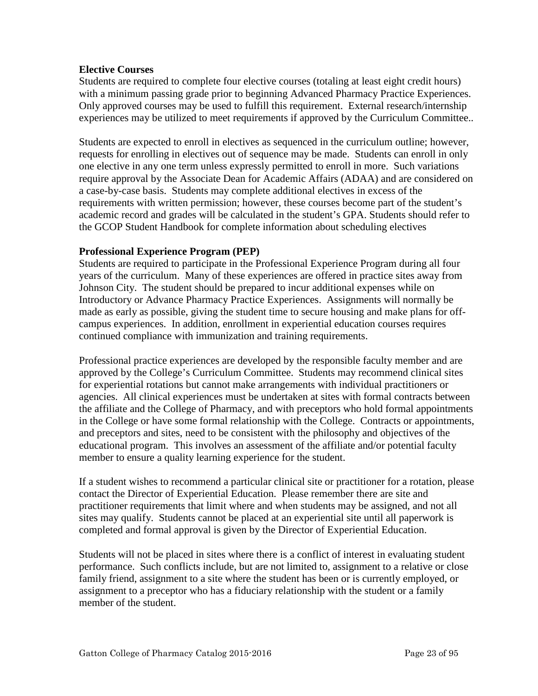# <span id="page-22-0"></span>**Elective Courses**

Students are required to complete four elective courses (totaling at least eight credit hours) with a minimum passing grade prior to beginning Advanced Pharmacy Practice Experiences. Only approved courses may be used to fulfill this requirement. External research/internship experiences may be utilized to meet requirements if approved by the Curriculum Committee..

Students are expected to enroll in electives as sequenced in the curriculum outline; however, requests for enrolling in electives out of sequence may be made. Students can enroll in only one elective in any one term unless expressly permitted to enroll in more. Such variations require approval by the Associate Dean for Academic Affairs (ADAA) and are considered on a case-by-case basis. Students may complete additional electives in excess of the requirements with written permission; however, these courses become part of the student's academic record and grades will be calculated in the student's GPA. Students should refer to the GCOP Student Handbook for complete information about scheduling electives

# **Professional Experience Program (PEP)**

Students are required to participate in the Professional Experience Program during all four years of the curriculum. Many of these experiences are offered in practice sites away from Johnson City. The student should be prepared to incur additional expenses while on Introductory or Advance Pharmacy Practice Experiences. Assignments will normally be made as early as possible, giving the student time to secure housing and make plans for offcampus experiences. In addition, enrollment in experiential education courses requires continued compliance with immunization and training requirements.

Professional practice experiences are developed by the responsible faculty member and are approved by the College's Curriculum Committee. Students may recommend clinical sites for experiential rotations but cannot make arrangements with individual practitioners or agencies. All clinical experiences must be undertaken at sites with formal contracts between the affiliate and the College of Pharmacy, and with preceptors who hold formal appointments in the College or have some formal relationship with the College. Contracts or appointments, and preceptors and sites, need to be consistent with the philosophy and objectives of the educational program. This involves an assessment of the affiliate and/or potential faculty member to ensure a quality learning experience for the student.

If a student wishes to recommend a particular clinical site or practitioner for a rotation, please contact the Director of Experiential Education. Please remember there are site and practitioner requirements that limit where and when students may be assigned, and not all sites may qualify. Students cannot be placed at an experiential site until all paperwork is completed and formal approval is given by the Director of Experiential Education.

Students will not be placed in sites where there is a conflict of interest in evaluating student performance. Such conflicts include, but are not limited to, assignment to a relative or close family friend, assignment to a site where the student has been or is currently employed, or assignment to a preceptor who has a fiduciary relationship with the student or a family member of the student.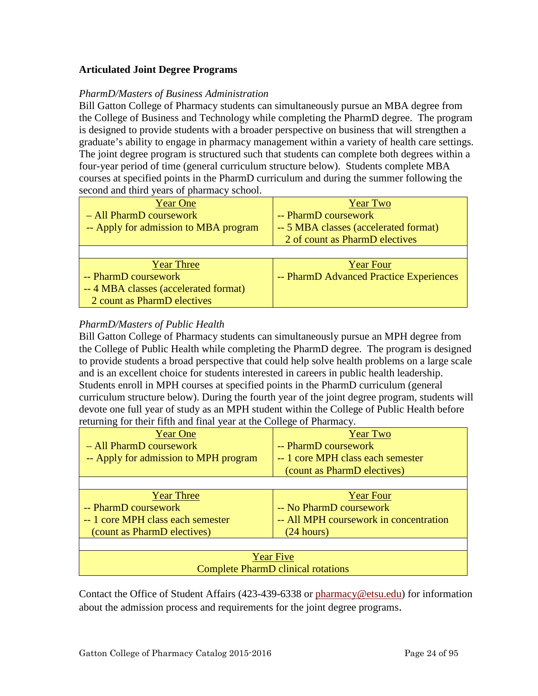# <span id="page-23-0"></span>**Articulated Joint Degree Programs**

#### *PharmD/Masters of Business Administration*

Bill Gatton College of Pharmacy students can simultaneously pursue an MBA degree from the College of Business and Technology while completing the PharmD degree. The program is designed to provide students with a broader perspective on business that will strengthen a graduate's ability to engage in pharmacy management within a variety of health care settings. The joint degree program is structured such that students can complete both degrees within a four-year period of time (general curriculum structure below). Students complete MBA courses at specified points in the PharmD curriculum and during the summer following the second and third years of pharmacy school.

| <b>Year One</b>                       | <b>Year Two</b>                         |
|---------------------------------------|-----------------------------------------|
| - All PharmD coursework               | -- PharmD coursework                    |
| -- Apply for admission to MBA program | -- 5 MBA classes (accelerated format)   |
|                                       | 2 of count as PharmD electives          |
|                                       |                                         |
| <b>Year Three</b>                     | <b>Year Four</b>                        |
| -- PharmD coursework                  | -- PharmD Advanced Practice Experiences |
| -- 4 MBA classes (accelerated format) |                                         |
| 2 count as PharmD electives           |                                         |

# *PharmD/Masters of Public Health*

Bill Gatton College of Pharmacy students can simultaneously pursue an MPH degree from the College of Public Health while completing the PharmD degree. The program is designed to provide students a broad perspective that could help solve health problems on a large scale and is an excellent choice for students interested in careers in public health leadership. Students enroll in MPH courses at specified points in the PharmD curriculum (general curriculum structure below). During the fourth year of the joint degree program, students will devote one full year of study as an MPH student within the College of Public Health before returning for their fifth and final year at the College of Pharmacy.

| <b>Year One</b>                           | <b>Year Two</b>                        |  |  |
|-------------------------------------------|----------------------------------------|--|--|
| - All PharmD coursework                   | -- PharmD coursework                   |  |  |
| -- Apply for admission to MPH program     | -- 1 core MPH class each semester      |  |  |
|                                           | (count as PharmD electives)            |  |  |
|                                           |                                        |  |  |
| <b>Year Three</b>                         | <b>Year Four</b>                       |  |  |
| -- PharmD coursework                      | -- No PharmD coursework                |  |  |
| -- 1 core MPH class each semester         | -- All MPH coursework in concentration |  |  |
| (count as PharmD electives)               | (24 hours)                             |  |  |
|                                           |                                        |  |  |
| <b>Year Five</b>                          |                                        |  |  |
| <b>Complete PharmD clinical rotations</b> |                                        |  |  |

Contact the Office of Student Affairs (423-439-6338 or [pharmacy@etsu.edu\)](mailto:pharmacy@etsu.edu) for information about the admission process and requirements for the joint degree programs.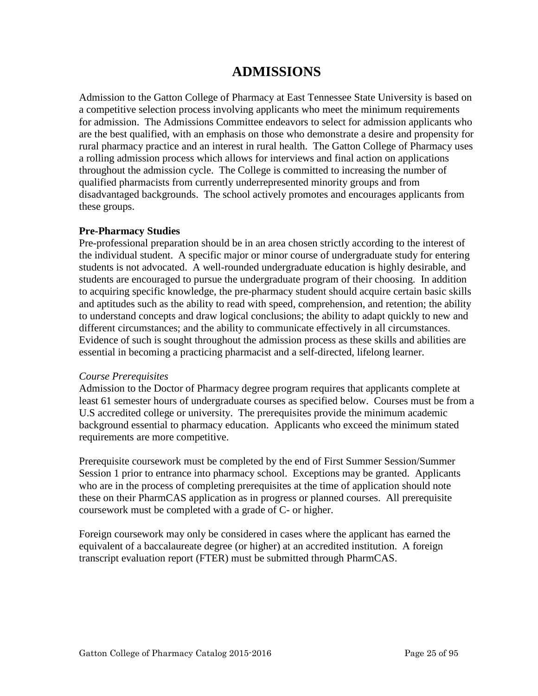# **ADMISSIONS**

<span id="page-24-0"></span>Admission to the Gatton College of Pharmacy at East Tennessee State University is based on a competitive selection process involving applicants who meet the minimum requirements for admission. The Admissions Committee endeavors to select for admission applicants who are the best qualified, with an emphasis on those who demonstrate a desire and propensity for rural pharmacy practice and an interest in rural health. The Gatton College of Pharmacy uses a rolling admission process which allows for interviews and final action on applications throughout the admission cycle. The College is committed to increasing the number of qualified pharmacists from currently underrepresented minority groups and from disadvantaged backgrounds. The school actively promotes and encourages applicants from these groups.

# **Pre-Pharmacy Studies**

Pre-professional preparation should be in an area chosen strictly according to the interest of the individual student. A specific major or minor course of undergraduate study for entering students is not advocated. A well-rounded undergraduate education is highly desirable, and students are encouraged to pursue the undergraduate program of their choosing. In addition to acquiring specific knowledge, the pre-pharmacy student should acquire certain basic skills and aptitudes such as the ability to read with speed, comprehension, and retention; the ability to understand concepts and draw logical conclusions; the ability to adapt quickly to new and different circumstances; and the ability to communicate effectively in all circumstances. Evidence of such is sought throughout the admission process as these skills and abilities are essential in becoming a practicing pharmacist and a self-directed, lifelong learner.

# *Course Prerequisites*

Admission to the Doctor of Pharmacy degree program requires that applicants complete at least 61 semester hours of undergraduate courses as specified below. Courses must be from a U.S accredited college or university. The prerequisites provide the minimum academic background essential to pharmacy education. Applicants who exceed the minimum stated requirements are more competitive.

Prerequisite coursework must be completed by the end of First Summer Session/Summer Session 1 prior to entrance into pharmacy school. Exceptions may be granted. Applicants who are in the process of completing prerequisites at the time of application should note these on their PharmCAS application as in progress or planned courses. All prerequisite coursework must be completed with a grade of C- or higher.

Foreign coursework may only be considered in cases where the applicant has earned the equivalent of a baccalaureate degree (or higher) at an accredited institution. A foreign transcript evaluation report (FTER) must be submitted through PharmCAS.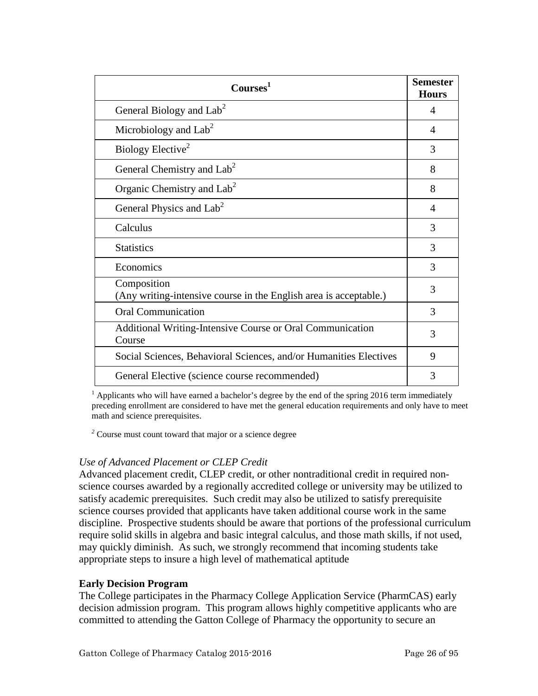<span id="page-25-0"></span>

| Courses <sup>1</sup>                                                             |   |
|----------------------------------------------------------------------------------|---|
| General Biology and Lab <sup>2</sup>                                             | 4 |
| Microbiology and $Lab2$                                                          | 4 |
| Biology Elective <sup>2</sup>                                                    | 3 |
| General Chemistry and Lab <sup>2</sup>                                           | 8 |
| Organic Chemistry and $Lab2$                                                     | 8 |
| General Physics and Lab <sup>2</sup>                                             | 4 |
| Calculus                                                                         | 3 |
| <b>Statistics</b>                                                                | 3 |
| Economics                                                                        | 3 |
| Composition<br>(Any writing-intensive course in the English area is acceptable.) | 3 |
| <b>Oral Communication</b>                                                        | 3 |
| Additional Writing-Intensive Course or Oral Communication<br>Course              | 3 |
| Social Sciences, Behavioral Sciences, and/or Humanities Electives                | 9 |
| General Elective (science course recommended)                                    | 3 |

 $<sup>1</sup>$  Applicants who will have earned a bachelor's degree by the end of the spring 2016 term immediately</sup> preceding enrollment are considered to have met the general education requirements and only have to meet math and science prerequisites.

*<sup>2</sup>* Course must count toward that major or a science degree

# *Use of Advanced Placement or CLEP Credit*

Advanced placement credit, CLEP credit, or other nontraditional credit in required nonscience courses awarded by a regionally accredited college or university may be utilized to satisfy academic prerequisites. Such credit may also be utilized to satisfy prerequisite science courses provided that applicants have taken additional course work in the same discipline. Prospective students should be aware that portions of the professional curriculum require solid skills in algebra and basic integral calculus, and those math skills, if not used, may quickly diminish. As such, we strongly recommend that incoming students take appropriate steps to insure a high level of mathematical aptitude

# **Early Decision Program**

The College participates in the Pharmacy College Application Service (PharmCAS) early decision admission program. This program allows highly competitive applicants who are committed to attending the Gatton College of Pharmacy the opportunity to secure an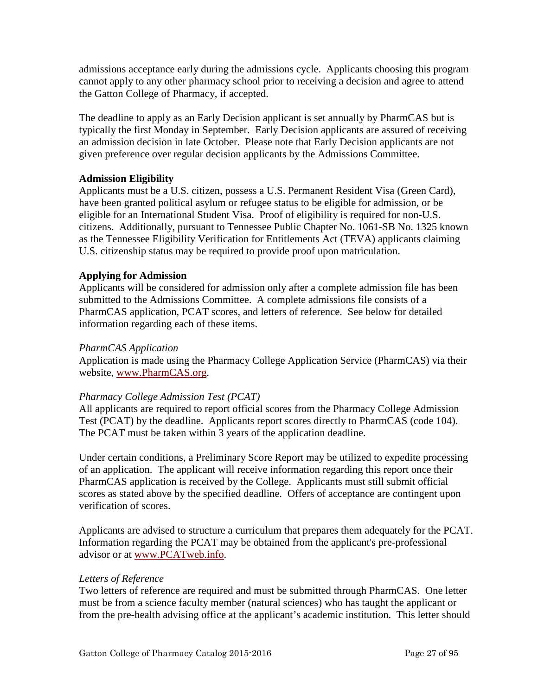<span id="page-26-0"></span>admissions acceptance early during the admissions cycle. Applicants choosing this program cannot apply to any other pharmacy school prior to receiving a decision and agree to attend the Gatton College of Pharmacy, if accepted.

The deadline to apply as an Early Decision applicant is set annually by PharmCAS but is typically the first Monday in September. Early Decision applicants are assured of receiving an admission decision in late October. Please note that Early Decision applicants are not given preference over regular decision applicants by the Admissions Committee.

# **Admission Eligibility**

Applicants must be a U.S. citizen, possess a U.S. Permanent Resident Visa (Green Card), have been granted political asylum or refugee status to be eligible for admission, or be eligible for an International Student Visa. Proof of eligibility is required for non-U.S. citizens. Additionally, pursuant to Tennessee Public Chapter No. 1061-SB No. 1325 known as the Tennessee Eligibility Verification for Entitlements Act (TEVA) applicants claiming U.S. citizenship status may be required to provide proof upon matriculation.

# **Applying for Admission**

Applicants will be considered for admission only after a complete admission file has been submitted to the Admissions Committee. A complete admissions file consists of a PharmCAS application, PCAT scores, and letters of reference. See below for detailed information regarding each of these items.

# *PharmCAS Application*

Application is made using the Pharmacy College Application Service (PharmCAS) via their website, www.PharmCAS.org.

# *Pharmacy College Admission Test (PCAT)*

All applicants are required to report official scores from the Pharmacy College Admission Test (PCAT) by the deadline. Applicants report scores directly to PharmCAS (code 104). The PCAT must be taken within 3 years of the application deadline.

Under certain conditions, a Preliminary Score Report may be utilized to expedite processing of an application. The applicant will receive information regarding this report once their PharmCAS application is received by the College. Applicants must still submit official scores as stated above by the specified deadline. Offers of acceptance are contingent upon verification of scores.

Applicants are advised to structure a curriculum that prepares them adequately for the PCAT. Information regarding the PCAT may be obtained from the applicant's pre-professional advisor or at www.PCATweb.info.

# *Letters of Reference*

Two letters of reference are required and must be submitted through PharmCAS. One letter must be from a science faculty member (natural sciences) who has taught the applicant or from the pre-health advising office at the applicant's academic institution. This letter should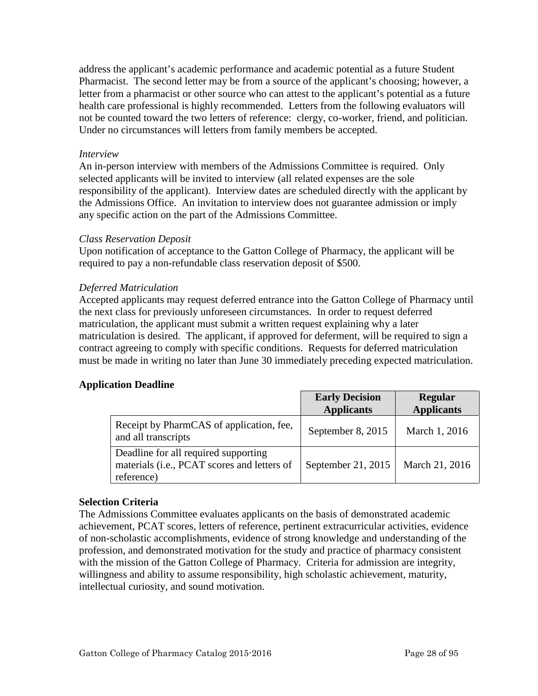<span id="page-27-0"></span>address the applicant's academic performance and academic potential as a future Student Pharmacist. The second letter may be from a source of the applicant's choosing; however, a letter from a pharmacist or other source who can attest to the applicant's potential as a future health care professional is highly recommended. Letters from the following evaluators will not be counted toward the two letters of reference: clergy, co-worker, friend, and politician. Under no circumstances will letters from family members be accepted.

# *Interview*

An in-person interview with members of the Admissions Committee is required. Only selected applicants will be invited to interview (all related expenses are the sole responsibility of the applicant). Interview dates are scheduled directly with the applicant by the Admissions Office. An invitation to interview does not guarantee admission or imply any specific action on the part of the Admissions Committee.

# *Class Reservation Deposit*

Upon notification of acceptance to the Gatton College of Pharmacy, the applicant will be required to pay a non-refundable class reservation deposit of \$500.

# *Deferred Matriculation*

Accepted applicants may request deferred entrance into the Gatton College of Pharmacy until the next class for previously unforeseen circumstances. In order to request deferred matriculation, the applicant must submit a written request explaining why a later matriculation is desired. The applicant, if approved for deferment, will be required to sign a contract agreeing to comply with specific conditions. Requests for deferred matriculation must be made in writing no later than June 30 immediately preceding expected matriculation.

# **Application Deadline**

|                                                                                                   | <b>Early Decision</b><br><b>Applicants</b> | <b>Regular</b><br><b>Applicants</b> |
|---------------------------------------------------------------------------------------------------|--------------------------------------------|-------------------------------------|
| Receipt by PharmCAS of application, fee,<br>and all transcripts                                   | September 8, 2015                          | March 1, 2016                       |
| Deadline for all required supporting<br>materials (i.e., PCAT scores and letters of<br>reference) | September 21, 2015                         | March 21, 2016                      |

# **Selection Criteria**

The Admissions Committee evaluates applicants on the basis of demonstrated academic achievement, PCAT scores, letters of reference, pertinent extracurricular activities, evidence of non-scholastic accomplishments, evidence of strong knowledge and understanding of the profession, and demonstrated motivation for the study and practice of pharmacy consistent with the mission of the Gatton College of Pharmacy. Criteria for admission are integrity, willingness and ability to assume responsibility, high scholastic achievement, maturity, intellectual curiosity, and sound motivation.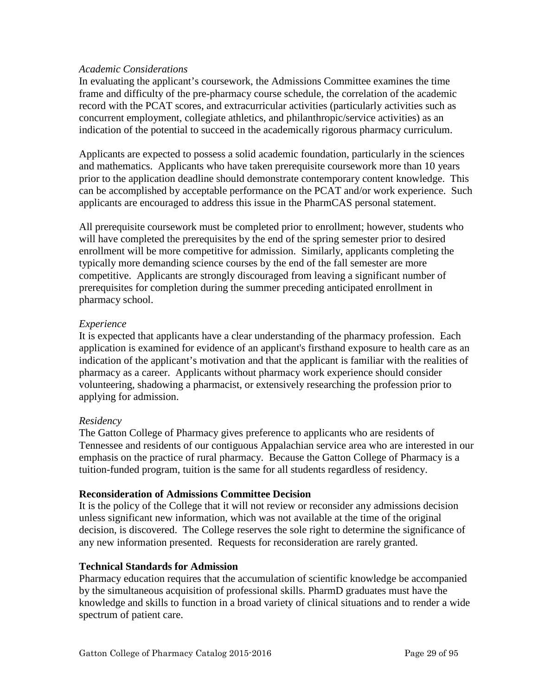#### <span id="page-28-0"></span>*Academic Considerations*

In evaluating the applicant's coursework, the Admissions Committee examines the time frame and difficulty of the pre-pharmacy course schedule, the correlation of the academic record with the PCAT scores, and extracurricular activities (particularly activities such as concurrent employment, collegiate athletics, and philanthropic/service activities) as an indication of the potential to succeed in the academically rigorous pharmacy curriculum.

Applicants are expected to possess a solid academic foundation, particularly in the sciences and mathematics. Applicants who have taken prerequisite coursework more than 10 years prior to the application deadline should demonstrate contemporary content knowledge. This can be accomplished by acceptable performance on the PCAT and/or work experience. Such applicants are encouraged to address this issue in the PharmCAS personal statement.

All prerequisite coursework must be completed prior to enrollment; however, students who will have completed the prerequisites by the end of the spring semester prior to desired enrollment will be more competitive for admission. Similarly, applicants completing the typically more demanding science courses by the end of the fall semester are more competitive. Applicants are strongly discouraged from leaving a significant number of prerequisites for completion during the summer preceding anticipated enrollment in pharmacy school.

# *Experience*

It is expected that applicants have a clear understanding of the pharmacy profession. Each application is examined for evidence of an applicant's firsthand exposure to health care as an indication of the applicant's motivation and that the applicant is familiar with the realities of pharmacy as a career. Applicants without pharmacy work experience should consider volunteering, shadowing a pharmacist, or extensively researching the profession prior to applying for admission.

# *Residency*

The Gatton College of Pharmacy gives preference to applicants who are residents of Tennessee and residents of our contiguous Appalachian service area who are interested in our emphasis on the practice of rural pharmacy. Because the Gatton College of Pharmacy is a tuition-funded program, tuition is the same for all students regardless of residency.

# **Reconsideration of Admissions Committee Decision**

It is the policy of the College that it will not review or reconsider any admissions decision unless significant new information, which was not available at the time of the original decision, is discovered. The College reserves the sole right to determine the significance of any new information presented. Requests for reconsideration are rarely granted.

# **Technical Standards for Admission**

Pharmacy education requires that the accumulation of scientific knowledge be accompanied by the simultaneous acquisition of professional skills. PharmD graduates must have the knowledge and skills to function in a broad variety of clinical situations and to render a wide spectrum of patient care.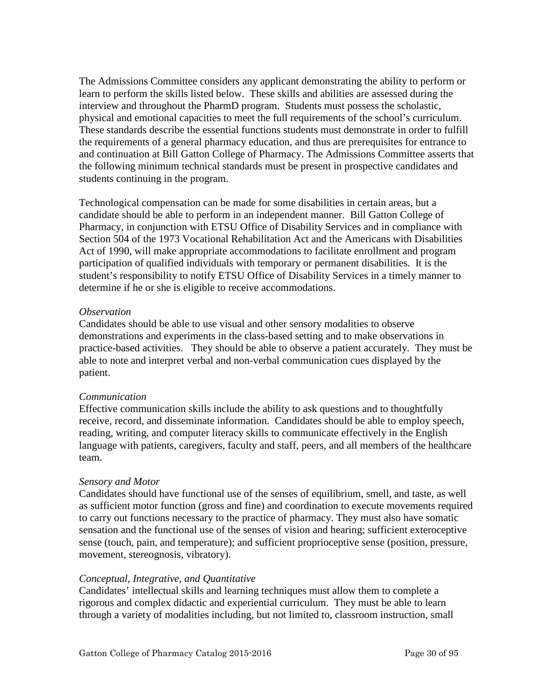The Admissions Committee considers any applicant demonstrating the ability to perform or learn to perform the skills listed below. These skills and abilities are assessed during the interview and throughout the PharmD program. Students must possess the scholastic, physical and emotional capacities to meet the full requirements of the school's curriculum. These standards describe the essential functions students must demonstrate in order to fulfill the requirements of a general pharmacy education, and thus are prerequisites for entrance to and continuation at Bill Gatton College of Pharmacy. The Admissions Committee asserts that the following minimum technical standards must be present in prospective candidates and students continuing in the program.

Technological compensation can be made for some disabilities in certain areas, but a candidate should be able to perform in an independent manner. Bill Gatton College of Pharmacy, in conjunction with ETSU Office of Disability Services and in compliance with Section 504 of the 1973 Vocational Rehabilitation Act and the Americans with Disabilities Act of 1990, will make appropriate accommodations to facilitate enrollment and program participation of qualified individuals with temporary or permanent disabilities. It is the student's responsibility to notify ETSU Office of Disability Services in a timely manner to determine if he or she is eligible to receive accommodations.

# *Observation*

Candidates should be able to use visual and other sensory modalities to observe demonstrations and experiments in the class-based setting and to make observations in practice-based activities. They should be able to observe a patient accurately. They must be able to note and interpret verbal and non-verbal communication cues displayed by the patient.

# *Communication*

Effective communication skills include the ability to ask questions and to thoughtfully receive, record, and disseminate information. Candidates should be able to employ speech, reading, writing, and computer literacy skills to communicate effectively in the English language with patients, caregivers, faculty and staff, peers, and all members of the healthcare team.

# *Sensory and Motor*

Candidates should have functional use of the senses of equilibrium, smell, and taste, as well as sufficient motor function (gross and fine) and coordination to execute movements required to carry out functions necessary to the practice of pharmacy. They must also have somatic sensation and the functional use of the senses of vision and hearing; sufficient exteroceptive sense (touch, pain, and temperature); and sufficient proprioceptive sense (position, pressure, movement, stereognosis, vibratory).

# *Conceptual, Integrative, and Quantitative*

Candidates' intellectual skills and learning techniques must allow them to complete a rigorous and complex didactic and experiential curriculum. They must be able to learn through a variety of modalities including, but not limited to, classroom instruction, small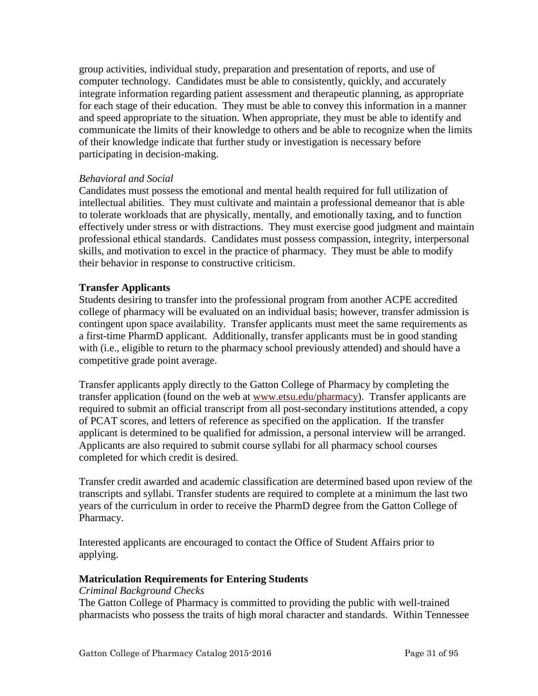<span id="page-30-0"></span>group activities, individual study, preparation and presentation of reports, and use of computer technology. Candidates must be able to consistently, quickly, and accurately integrate information regarding patient assessment and therapeutic planning, as appropriate for each stage of their education. They must be able to convey this information in a manner and speed appropriate to the situation. When appropriate, they must be able to identify and communicate the limits of their knowledge to others and be able to recognize when the limits of their knowledge indicate that further study or investigation is necessary before participating in decision-making.

# *Behavioral and Social*

Candidates must possess the emotional and mental health required for full utilization of intellectual abilities. They must cultivate and maintain a professional demeanor that is able to tolerate workloads that are physically, mentally, and emotionally taxing, and to function effectively under stress or with distractions. They must exercise good judgment and maintain professional ethical standards. Candidates must possess compassion, integrity, interpersonal skills, and motivation to excel in the practice of pharmacy. They must be able to modify their behavior in response to constructive criticism.

# **Transfer Applicants**

Students desiring to transfer into the professional program from another ACPE accredited college of pharmacy will be evaluated on an individual basis; however, transfer admission is contingent upon space availability. Transfer applicants must meet the same requirements as a first-time PharmD applicant. Additionally, transfer applicants must be in good standing with (i.e., eligible to return to the pharmacy school previously attended) and should have a competitive grade point average.

Transfer applicants apply directly to the Gatton College of Pharmacy by completing the transfer application (found on the web at [www.etsu.edu/pharmacy\)](http://www.etsu.edu/pharmacy). Transfer applicants are required to submit an official transcript from all post-secondary institutions attended, a copy of PCAT scores, and letters of reference as specified on the application. If the transfer applicant is determined to be qualified for admission, a personal interview will be arranged. Applicants are also required to submit course syllabi for all pharmacy school courses completed for which credit is desired.

Transfer credit awarded and academic classification are determined based upon review of the transcripts and syllabi. Transfer students are required to complete at a minimum the last two years of the curriculum in order to receive the PharmD degree from the Gatton College of Pharmacy.

Interested applicants are encouraged to contact the Office of Student Affairs prior to applying.

# **Matriculation Requirements for Entering Students**

# *Criminal Background Checks*

The Gatton College of Pharmacy is committed to providing the public with well-trained pharmacists who possess the traits of high moral character and standards. Within Tennessee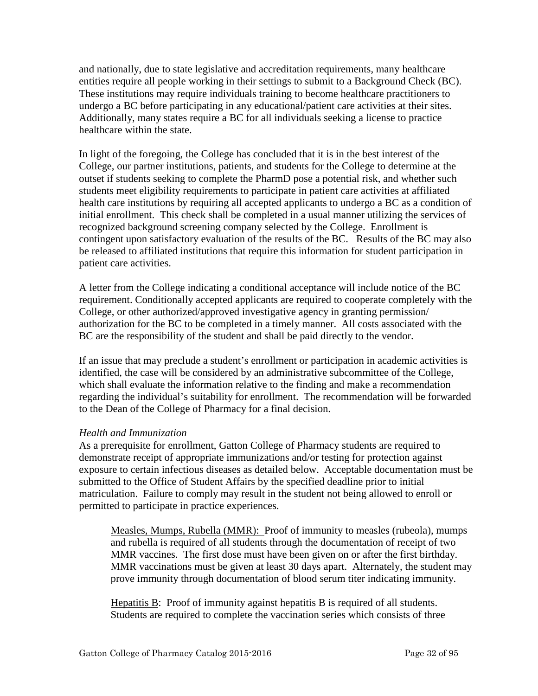<span id="page-31-0"></span>and nationally, due to state legislative and accreditation requirements, many healthcare entities require all people working in their settings to submit to a Background Check (BC). These institutions may require individuals training to become healthcare practitioners to undergo a BC before participating in any educational/patient care activities at their sites. Additionally, many states require a BC for all individuals seeking a license to practice healthcare within the state.

In light of the foregoing, the College has concluded that it is in the best interest of the College, our partner institutions, patients, and students for the College to determine at the outset if students seeking to complete the PharmD pose a potential risk, and whether such students meet eligibility requirements to participate in patient care activities at affiliated health care institutions by requiring all accepted applicants to undergo a BC as a condition of initial enrollment. This check shall be completed in a usual manner utilizing the services of recognized background screening company selected by the College. Enrollment is contingent upon satisfactory evaluation of the results of the BC. Results of the BC may also be released to affiliated institutions that require this information for student participation in patient care activities.

A letter from the College indicating a conditional acceptance will include notice of the BC requirement. Conditionally accepted applicants are required to cooperate completely with the College, or other authorized/approved investigative agency in granting permission/ authorization for the BC to be completed in a timely manner. All costs associated with the BC are the responsibility of the student and shall be paid directly to the vendor.

If an issue that may preclude a student's enrollment or participation in academic activities is identified, the case will be considered by an administrative subcommittee of the College, which shall evaluate the information relative to the finding and make a recommendation regarding the individual's suitability for enrollment. The recommendation will be forwarded to the Dean of the College of Pharmacy for a final decision.

# *Health and Immunization*

As a prerequisite for enrollment, Gatton College of Pharmacy students are required to demonstrate receipt of appropriate immunizations and/or testing for protection against exposure to certain infectious diseases as detailed below. Acceptable documentation must be submitted to the Office of Student Affairs by the specified deadline prior to initial matriculation. Failure to comply may result in the student not being allowed to enroll or permitted to participate in practice experiences.

Measles, Mumps, Rubella (MMR): Proof of immunity to measles (rubeola), mumps and rubella is required of all students through the documentation of receipt of two MMR vaccines. The first dose must have been given on or after the first birthday. MMR vaccinations must be given at least 30 days apart. Alternately, the student may prove immunity through documentation of blood serum titer indicating immunity.

Hepatitis B: Proof of immunity against hepatitis B is required of all students. Students are required to complete the vaccination series which consists of three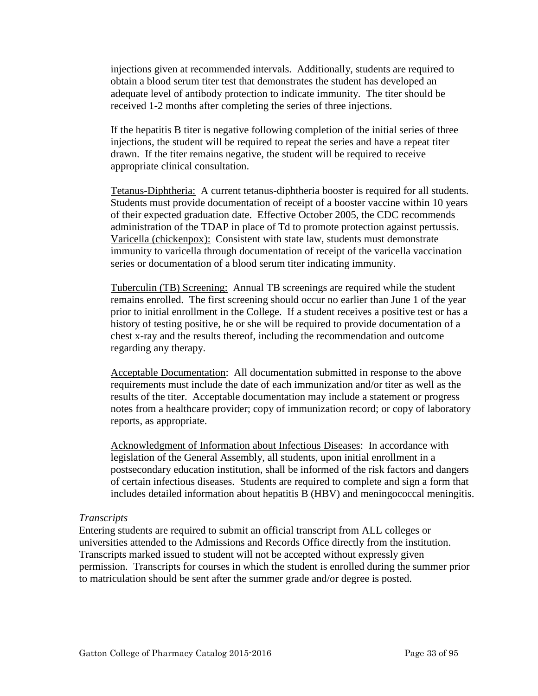<span id="page-32-0"></span>injections given at recommended intervals. Additionally, students are required to obtain a blood serum titer test that demonstrates the student has developed an adequate level of antibody protection to indicate immunity. The titer should be received 1-2 months after completing the series of three injections.

If the hepatitis B titer is negative following completion of the initial series of three injections, the student will be required to repeat the series and have a repeat titer drawn. If the titer remains negative, the student will be required to receive appropriate clinical consultation.

Tetanus-Diphtheria: A current tetanus-diphtheria booster is required for all students. Students must provide documentation of receipt of a booster vaccine within 10 years of their expected graduation date. Effective October 2005, the CDC recommends administration of the TDAP in place of Td to promote protection against pertussis. Varicella (chickenpox): Consistent with state law, students must demonstrate immunity to varicella through documentation of receipt of the varicella vaccination series or documentation of a blood serum titer indicating immunity.

Tuberculin (TB) Screening: Annual TB screenings are required while the student remains enrolled. The first screening should occur no earlier than June 1 of the year prior to initial enrollment in the College. If a student receives a positive test or has a history of testing positive, he or she will be required to provide documentation of a chest x-ray and the results thereof, including the recommendation and outcome regarding any therapy.

Acceptable Documentation: All documentation submitted in response to the above requirements must include the date of each immunization and/or titer as well as the results of the titer. Acceptable documentation may include a statement or progress notes from a healthcare provider; copy of immunization record; or copy of laboratory reports, as appropriate.

Acknowledgment of Information about Infectious Diseases: In accordance with legislation of the General Assembly, all students, upon initial enrollment in a postsecondary education institution, shall be informed of the risk factors and dangers of certain infectious diseases. Students are required to complete and sign a form that includes detailed information about hepatitis B (HBV) and meningococcal meningitis.

# *Transcripts*

Entering students are required to submit an official transcript from ALL colleges or universities attended to the Admissions and Records Office directly from the institution. Transcripts marked issued to student will not be accepted without expressly given permission. Transcripts for courses in which the student is enrolled during the summer prior to matriculation should be sent after the summer grade and/or degree is posted.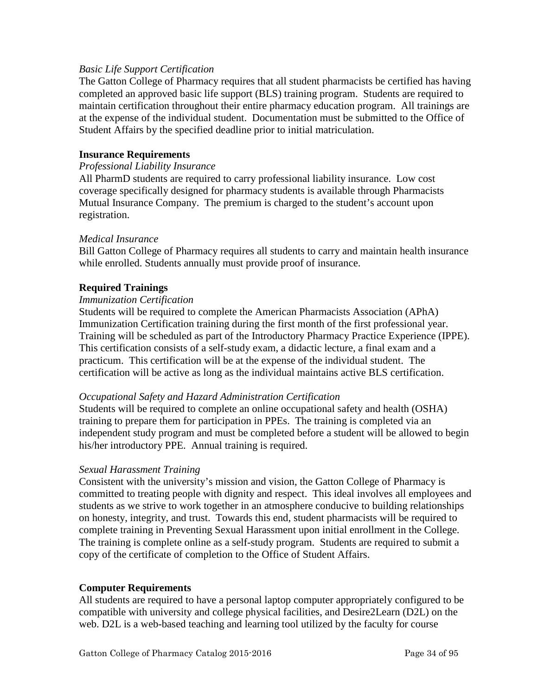# <span id="page-33-0"></span>*Basic Life Support Certification*

The Gatton College of Pharmacy requires that all student pharmacists be certified has having completed an approved basic life support (BLS) training program. Students are required to maintain certification throughout their entire pharmacy education program. All trainings are at the expense of the individual student. Documentation must be submitted to the Office of Student Affairs by the specified deadline prior to initial matriculation.

# **Insurance Requirements**

#### *Professional Liability Insurance*

All PharmD students are required to carry professional liability insurance. Low cost coverage specifically designed for pharmacy students is available through Pharmacists Mutual Insurance Company. The premium is charged to the student's account upon registration.

#### *Medical Insurance*

Bill Gatton College of Pharmacy requires all students to carry and maintain health insurance while enrolled. Students annually must provide proof of insurance.

# **Required Trainings**

#### *Immunization Certification*

Students will be required to complete the American Pharmacists Association (APhA) Immunization Certification training during the first month of the first professional year. Training will be scheduled as part of the Introductory Pharmacy Practice Experience (IPPE). This certification consists of a self-study exam, a didactic lecture, a final exam and a practicum. This certification will be at the expense of the individual student. The certification will be active as long as the individual maintains active BLS certification.

# *Occupational Safety and Hazard Administration Certification*

Students will be required to complete an online occupational safety and health (OSHA) training to prepare them for participation in PPEs. The training is completed via an independent study program and must be completed before a student will be allowed to begin his/her introductory PPE. Annual training is required.

#### *Sexual Harassment Training*

Consistent with the university's mission and vision, the Gatton College of Pharmacy is committed to treating people with dignity and respect. This ideal involves all employees and students as we strive to work together in an atmosphere conducive to building relationships on honesty, integrity, and trust. Towards this end, student pharmacists will be required to complete training in Preventing Sexual Harassment upon initial enrollment in the College. The training is complete online as a self-study program. Students are required to submit a copy of the certificate of completion to the Office of Student Affairs.

# **Computer Requirements**

All students are required to have a personal laptop computer appropriately configured to be compatible with university and college physical facilities, and Desire2Learn (D2L) on the web. D2L is a web-based teaching and learning tool utilized by the faculty for course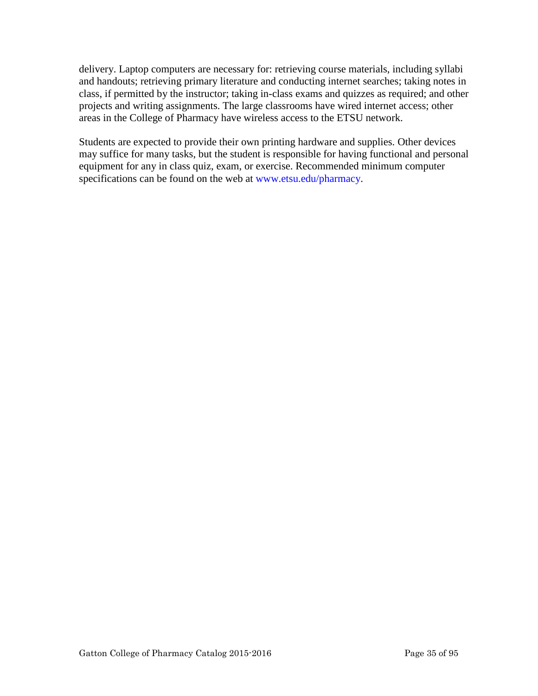delivery. Laptop computers are necessary for: retrieving course materials, including syllabi and handouts; retrieving primary literature and conducting internet searches; taking notes in class, if permitted by the instructor; taking in-class exams and quizzes as required; and other projects and writing assignments. The large classrooms have wired internet access; other areas in the College of Pharmacy have wireless access to the ETSU network.

Students are expected to provide their own printing hardware and supplies. Other devices may suffice for many tasks, but the student is responsible for having functional and personal equipment for any in class quiz, exam, or exercise. Recommended minimum computer specifications can be found on the web at www.etsu.edu/pharmacy.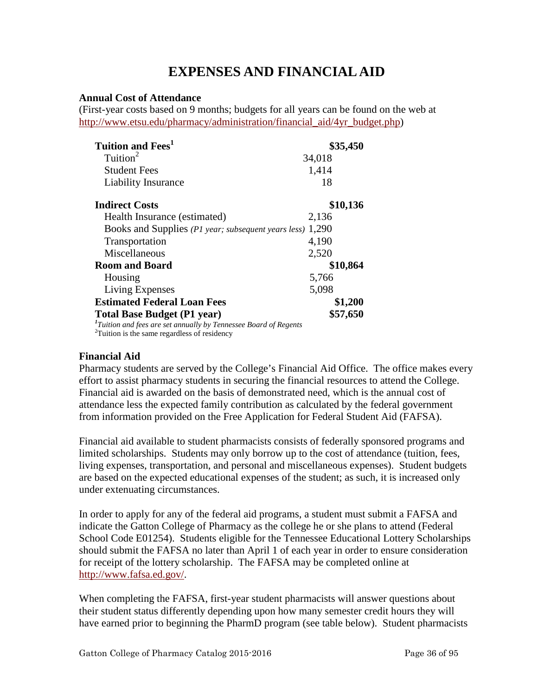# **EXPENSES AND FINANCIAL AID**

# <span id="page-35-0"></span>**Annual Cost of Attendance**

(First-year costs based on 9 months; budgets for all years can be found on the web at [http://www.etsu.edu/pharmacy/administration/financial\\_aid/4yr\\_budget.php\)](http://www.etsu.edu/pharmacy/administration/financial_aid/4yr_budget.php)

| Tuition and Fees <sup>1</sup>                                                | \$35,450 |
|------------------------------------------------------------------------------|----------|
| Tuition <sup>2</sup>                                                         | 34,018   |
| <b>Student Fees</b>                                                          | 1,414    |
| Liability Insurance                                                          | 18       |
| <b>Indirect Costs</b>                                                        | \$10,136 |
| Health Insurance (estimated)                                                 | 2,136    |
| Books and Supplies (P1 year; subsequent years less)                          | 1,290    |
| <b>Transportation</b>                                                        | 4,190    |
| Miscellaneous                                                                | 2,520    |
| <b>Room and Board</b>                                                        | \$10,864 |
| Housing                                                                      | 5,766    |
| Living Expenses                                                              | 5,098    |
| <b>Estimated Federal Loan Fees</b>                                           | \$1,200  |
| <b>Total Base Budget (P1 year)</b>                                           | \$57,650 |
| <sup>1</sup> Tuition and fees are set annually by Tennessee Board of Regents |          |
| <sup>2</sup> Tuition is the same regardless of residency                     |          |

# **Financial Aid**

Pharmacy students are served by the College's Financial Aid Office. The office makes every effort to assist pharmacy students in securing the financial resources to attend the College. Financial aid is awarded on the basis of demonstrated need, which is the annual cost of attendance less the expected family contribution as calculated by the federal government from information provided on the Free Application for Federal Student Aid (FAFSA).

Financial aid available to student pharmacists consists of federally sponsored programs and limited scholarships. Students may only borrow up to the cost of attendance (tuition, fees, living expenses, transportation, and personal and miscellaneous expenses). Student budgets are based on the expected educational expenses of the student; as such, it is increased only under extenuating circumstances.

In order to apply for any of the federal aid programs, a student must submit a FAFSA and indicate the Gatton College of Pharmacy as the college he or she plans to attend (Federal School Code E01254). Students eligible for the Tennessee Educational Lottery Scholarships should submit the FAFSA no later than April 1 of each year in order to ensure consideration for receipt of the lottery scholarship. The FAFSA may be completed online at [http://www.fafsa.ed.gov/.](http://www.fafsa.ed.gov/)

When completing the FAFSA, first-year student pharmacists will answer questions about their student status differently depending upon how many semester credit hours they will have earned prior to beginning the PharmD program (see table below). Student pharmacists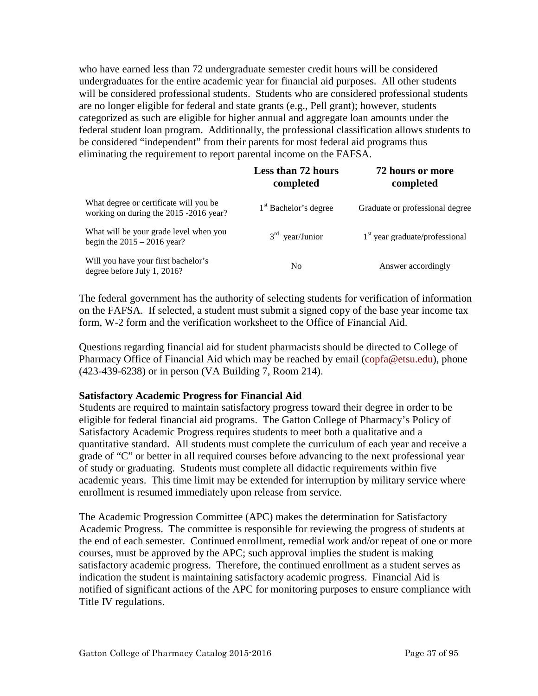who have earned less than 72 undergraduate semester credit hours will be considered undergraduates for the entire academic year for financial aid purposes. All other students will be considered professional students. Students who are considered professional students are no longer eligible for federal and state grants (e.g., Pell grant); however, students categorized as such are eligible for higher annual and aggregate loan amounts under the federal student loan program. Additionally, the professional classification allows students to be considered "independent" from their parents for most federal aid programs thus eliminating the requirement to report parental income on the FAFSA.

|                                                                                  | <b>Less than 72 hours</b><br>completed | 72 hours or more<br>completed<br>Graduate or professional degree |  |  |
|----------------------------------------------------------------------------------|----------------------------------------|------------------------------------------------------------------|--|--|
| What degree or certificate will you be<br>working on during the 2015 -2016 year? | 1 <sup>st</sup> Bachelor's degree      |                                                                  |  |  |
| What will be your grade level when you<br>begin the $2015 - 2016$ year?          | $3rd$ year/Junior                      | $1st$ year graduate/professional                                 |  |  |
| Will you have your first bachelor's<br>degree before July 1, 2016?               | No                                     | Answer accordingly                                               |  |  |

The federal government has the authority of selecting students for verification of information on the FAFSA. If selected, a student must submit a signed copy of the base year income tax form, W-2 form and the verification worksheet to the Office of Financial Aid.

Questions regarding financial aid for student pharmacists should be directed to College of Pharmacy Office of Financial Aid which may be reached by email (copfa@etsu.edu), phone (423-439-6238) or in person (VA Building 7, Room 214).

#### **Satisfactory Academic Progress for Financial Aid**

Students are required to maintain satisfactory progress toward their degree in order to be eligible for federal financial aid programs. The Gatton College of Pharmacy's Policy of Satisfactory Academic Progress requires students to meet both a qualitative and a quantitative standard. All students must complete the curriculum of each year and receive a grade of "C" or better in all required courses before advancing to the next professional year of study or graduating. Students must complete all didactic requirements within five academic years. This time limit may be extended for interruption by military service where enrollment is resumed immediately upon release from service.

The Academic Progression Committee (APC) makes the determination for Satisfactory Academic Progress. The committee is responsible for reviewing the progress of students at the end of each semester. Continued enrollment, remedial work and/or repeat of one or more courses, must be approved by the APC; such approval implies the student is making satisfactory academic progress. Therefore, the continued enrollment as a student serves as indication the student is maintaining satisfactory academic progress. Financial Aid is notified of significant actions of the APC for monitoring purposes to ensure compliance with Title IV regulations.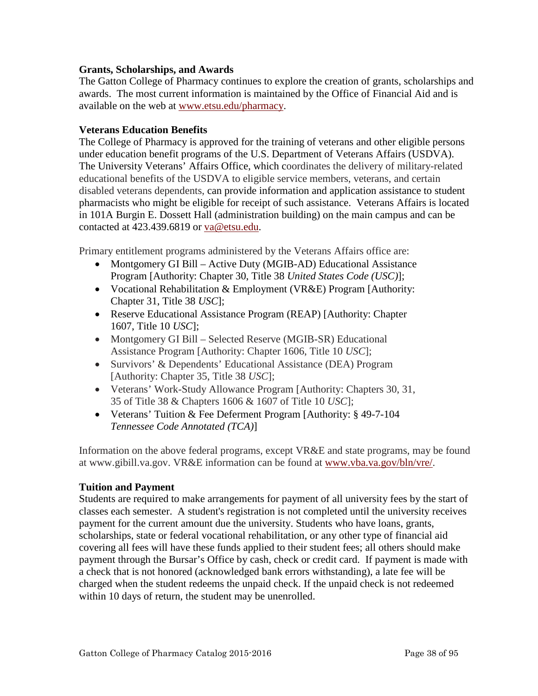#### **Grants, Scholarships, and Awards**

The Gatton College of Pharmacy continues to explore the creation of grants, scholarships and awards. The most current information is maintained by the Office of Financial Aid and is available on the web at [www.etsu.edu/pharmacy.](http://www.etsupharmacy.com/)

#### **Veterans Education Benefits**

The College of Pharmacy is approved for the training of veterans and other eligible persons under education benefit programs of the U.S. Department of Veterans Affairs (USDVA). The University Veterans' Affairs Office, which coordinates the delivery of military-related educational benefits of the USDVA to eligible service members, veterans, and certain disabled veterans dependents, can provide information and application assistance to student pharmacists who might be eligible for receipt of such assistance. Veterans Affairs is located in 101A Burgin E. Dossett Hall (administration building) on the main campus and can be contacted at 423.439.6819 or va@etsu.edu.

Primary entitlement programs administered by the Veterans Affairs office are:

- Montgomery GI Bill Active Duty (MGIB-AD) Educational Assistance Program [Authority: Chapter 30, Title 38 *United States Code (USC)*];
- Vocational Rehabilitation & Employment (VR&E) Program [Authority: Chapter 31, Title 38 *USC*];
- Reserve Educational Assistance Program (REAP) [Authority: Chapter 1607, Title 10 *USC*];
- Montgomery GI Bill Selected Reserve (MGIB-SR) Educational Assistance Program [Authority: Chapter 1606, Title 10 *USC*];
- Survivors' & Dependents' Educational Assistance (DEA) Program [Authority: Chapter 35, Title 38 *USC*];
- Veterans' Work-Study Allowance Program [Authority: Chapters 30, 31, 35 of Title 38 & Chapters 1606 & 1607 of Title 10 *USC*];
- Veterans' Tuition & Fee Deferment Program [Authority: § 49-7-104] *Tennessee Code Annotated (TCA)*]

Information on the above federal programs, except VR&E and state programs, may be found at www.gibill.va.gov. VR&E information can be found at [www.vba.va.gov/bln/vre/.](http://www.vba.va.gov/bln/vre/)

## **Tuition and Payment**

Students are required to make arrangements for payment of all university fees by the start of classes each semester. A student's registration is not completed until the university receives payment for the current amount due the university. Students who have loans, grants, scholarships, state or federal vocational rehabilitation, or any other type of financial aid covering all fees will have these funds applied to their student fees; all others should make payment through the Bursar's Office by cash, check or credit card. If payment is made with a check that is not honored (acknowledged bank errors withstanding), a late fee will be charged when the student redeems the unpaid check. If the unpaid check is not redeemed within 10 days of return, the student may be unenrolled.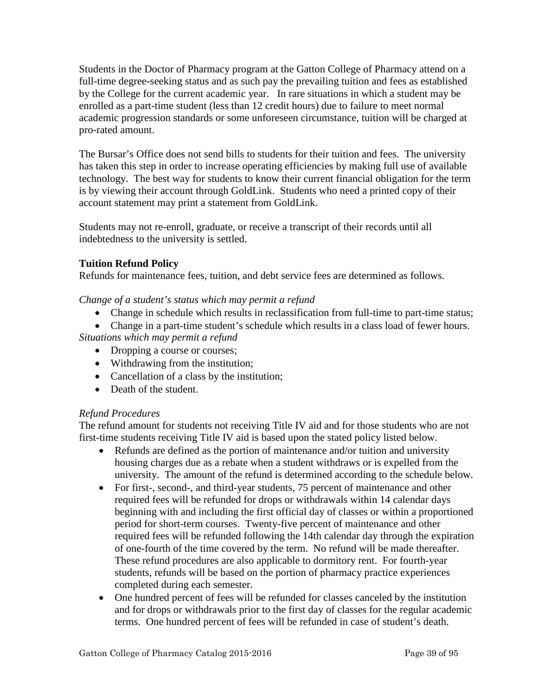Students in the Doctor of Pharmacy program at the Gatton College of Pharmacy attend on a full-time degree-seeking status and as such pay the prevailing tuition and fees as established by the College for the current academic year. In rare situations in which a student may be enrolled as a part-time student (less than 12 credit hours) due to failure to meet normal academic progression standards or some unforeseen circumstance, tuition will be charged at pro-rated amount.

The Bursar's Office does not send bills to students for their [tuition and fees.](http://www.etsu.edu/comptrol/bursar_tuition_and_fees.htm) The university has taken this step in order to increase operating efficiencies by making full use of available technology. The best way for students to know their current financial obligation for the term is by viewing their account through [GoldLink.](https://goldlink.etsu.edu/ahomepg.htm) Students who need a printed copy of their account statement may print a statement from [GoldLink.](https://goldlink.etsu.edu/ahomepg.htm)

Students may not re-enroll, graduate, or receive a transcript of their records until all indebtedness to the university is settled.

## **Tuition Refund Policy**

Refunds for maintenance fees, tuition, and debt service fees are determined as follows.

*Change of a student's status which may permit a refund* 

- Change in schedule which results in reclassification from full-time to part-time status;
- Change in a part-time student's schedule which results in a class load of fewer hours.

*Situations which may permit a refund* 

- Dropping a course or courses;
- Withdrawing from the institution;
- Cancellation of a class by the institution;
- Death of the student.

## *Refund Procedures*

The refund amount for students not receiving Title IV aid and for those students who are not first-time students receiving Title IV aid is based upon the stated policy listed below.

- Refunds are defined as the portion of maintenance and/or tuition and university housing charges due as a rebate when a student withdraws or is expelled from the university. The amount of the refund is determined according to the schedule below.
- For first-, second-, and third-year students, 75 percent of maintenance and other required fees will be refunded for drops or withdrawals within 14 calendar days beginning with and including the first official day of classes or within a proportioned period for short-term courses. Twenty-five percent of maintenance and other required fees will be refunded following the 14th calendar day through the expiration of one-fourth of the time covered by the term. No refund will be made thereafter. These refund procedures are also applicable to dormitory rent. For fourth-year students, refunds will be based on the portion of pharmacy practice experiences completed during each semester.
- One hundred percent of fees will be refunded for classes canceled by the institution and for drops or withdrawals prior to the first day of classes for the regular academic terms. One hundred percent of fees will be refunded in case of student's death.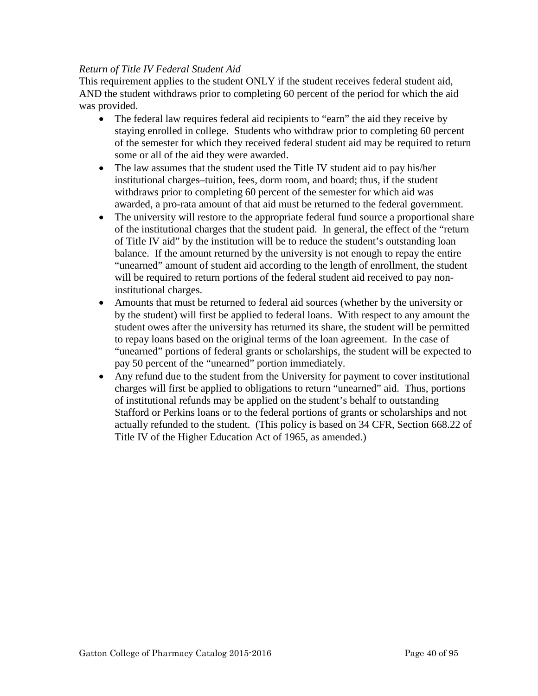#### *Return of Title IV Federal Student Aid*

This requirement applies to the student ONLY if the student receives federal student aid, AND the student withdraws prior to completing 60 percent of the period for which the aid was provided.

- The federal law requires federal aid recipients to "earn" the aid they receive by staying enrolled in college. Students who withdraw prior to completing 60 percent of the semester for which they received federal student aid may be required to return some or all of the aid they were awarded.
- The law assumes that the student used the Title IV student aid to pay his/her institutional charges–tuition, fees, dorm room, and board; thus, if the student withdraws prior to completing 60 percent of the semester for which aid was awarded, a pro-rata amount of that aid must be returned to the federal government.
- The university will restore to the appropriate federal fund source a proportional share of the institutional charges that the student paid. In general, the effect of the "return of Title IV aid" by the institution will be to reduce the student's outstanding loan balance. If the amount returned by the university is not enough to repay the entire "unearned" amount of student aid according to the length of enrollment, the student will be required to return portions of the federal student aid received to pay noninstitutional charges.
- Amounts that must be returned to federal aid sources (whether by the university or by the student) will first be applied to federal loans. With respect to any amount the student owes after the university has returned its share, the student will be permitted to repay loans based on the original terms of the loan agreement. In the case of "unearned" portions of federal grants or scholarships, the student will be expected to pay 50 percent of the "unearned" portion immediately.
- Any refund due to the student from the University for payment to cover institutional charges will first be applied to obligations to return "unearned" aid. Thus, portions of institutional refunds may be applied on the student's behalf to outstanding Stafford or Perkins loans or to the federal portions of grants or scholarships and not actually refunded to the student. (This policy is based on 34 CFR, Section 668.22 of Title IV of the Higher Education Act of 1965, as amended.)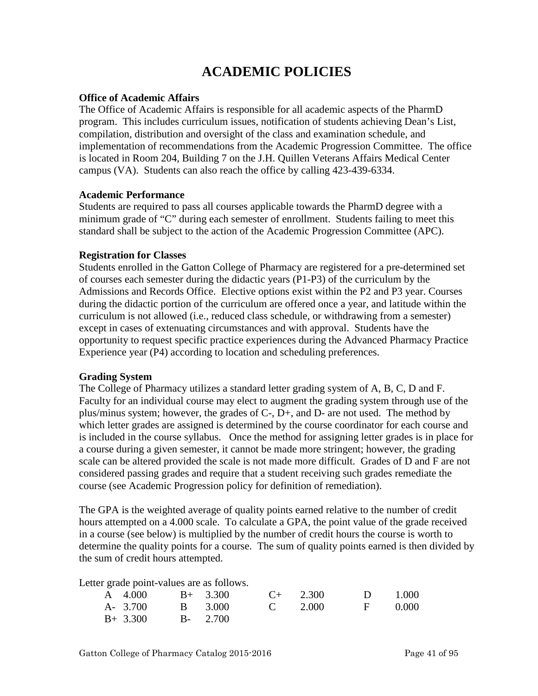# **ACADEMIC POLICIES**

#### **Office of Academic Affairs**

The Office of Academic Affairs is responsible for all academic aspects of the PharmD program. This includes curriculum issues, notification of students achieving Dean's List, compilation, distribution and oversight of the class and examination schedule, and implementation of recommendations from the Academic Progression Committee. The office is located in Room 204, Building 7 on the J.H. Quillen Veterans Affairs Medical Center campus (VA). Students can also reach the office by calling 423-439-6334.

#### **Academic Performance**

Students are required to pass all courses applicable towards the PharmD degree with a minimum grade of "C" during each semester of enrollment. Students failing to meet this standard shall be subject to the action of the Academic Progression Committee (APC).

#### **Registration for Classes**

Students enrolled in the Gatton College of Pharmacy are registered for a pre-determined set of courses each semester during the didactic years (P1-P3) of the curriculum by the Admissions and Records Office. Elective options exist within the P2 and P3 year. Courses during the didactic portion of the curriculum are offered once a year, and latitude within the curriculum is not allowed (i.e., reduced class schedule, or withdrawing from a semester) except in cases of extenuating circumstances and with approval. Students have the opportunity to request specific practice experiences during the Advanced Pharmacy Practice Experience year (P4) according to location and scheduling preferences.

#### **Grading System**

The College of Pharmacy utilizes a standard letter grading system of A, B, C, D and F. Faculty for an individual course may elect to augment the grading system through use of the plus/minus system; however, the grades of C-, D+, and D- are not used. The method by which letter grades are assigned is determined by the course coordinator for each course and is included in the course syllabus. Once the method for assigning letter grades is in place for a course during a given semester, it cannot be made more stringent; however, the grading scale can be altered provided the scale is not made more difficult. Grades of D and F are not considered passing grades and require that a student receiving such grades remediate the course (see Academic Progression policy for definition of remediation).

The GPA is the weighted average of quality points earned relative to the number of credit hours attempted on a 4.000 scale. To calculate a GPA, the point value of the grade received in a course (see below) is multiplied by the number of credit hours the course is worth to determine the quality points for a course. The sum of quality points earned is then divided by the sum of credit hours attempted.

Letter grade point-values are as follows.

| A 4.000          | $B+ 3.300$     | $C_{+}$ 2.300 | $D = 1.000$ |  |
|------------------|----------------|---------------|-------------|--|
| A- 3.700 B 3.000 | <b>C</b> 2.000 |               | F 0.000     |  |
| $B+ 3.300$       | $B - 2.700$    |               |             |  |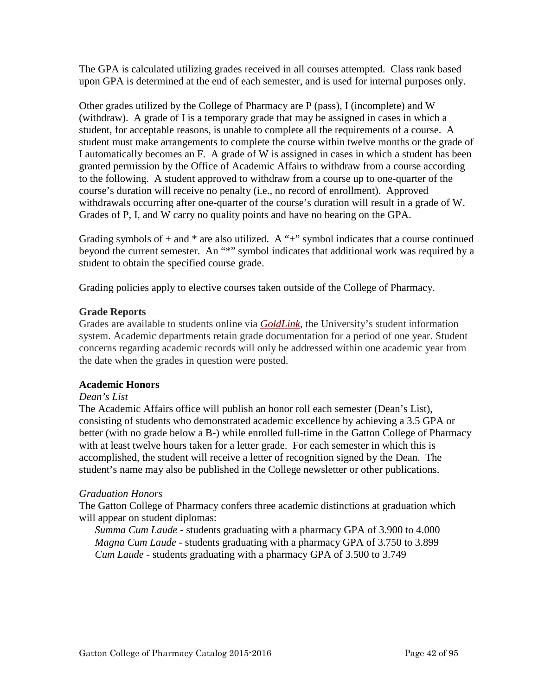The GPA is calculated utilizing grades received in all courses attempted. Class rank based upon GPA is determined at the end of each semester, and is used for internal purposes only.

Other grades utilized by the College of Pharmacy are P (pass), I (incomplete) and W (withdraw). A grade of I is a temporary grade that may be assigned in cases in which a student, for acceptable reasons, is unable to complete all the requirements of a course. A student must make arrangements to complete the course within twelve months or the grade of I automatically becomes an F. A grade of W is assigned in cases in which a student has been granted permission by the Office of Academic Affairs to withdraw from a course according to the following. A student approved to withdraw from a course up to one-quarter of the course's duration will receive no penalty (i.e., no record of enrollment). Approved withdrawals occurring after one-quarter of the course's duration will result in a grade of W. Grades of P, I, and W carry no quality points and have no bearing on the GPA.

Grading symbols of  $+$  and  $*$  are also utilized. A " $+$ " symbol indicates that a course continued beyond the current semester. An "\*" symbol indicates that additional work was required by a student to obtain the specified course grade.

Grading policies apply to elective courses taken outside of the College of Pharmacy.

#### **Grade Reports**

Grades are available to students online via *[GoldLink,](http://goldlink.etsu.edu/)* the University's student information system. Academic departments retain grade documentation for a period of one year. Student concerns regarding academic records will only be addressed within one academic year from the date when the grades in question were posted.

## **Academic Honors**

## *Dean's List*

The Academic Affairs office will publish an honor roll each semester (Dean's List), consisting of students who demonstrated academic excellence by achieving a 3.5 GPA or better (with no grade below a B-) while enrolled full-time in the Gatton College of Pharmacy with at least twelve hours taken for a letter grade. For each semester in which this is accomplished, the student will receive a letter of recognition signed by the Dean. The student's name may also be published in the College newsletter or other publications.

## *Graduation Honors*

The Gatton College of Pharmacy confers three academic distinctions at graduation which will appear on student diplomas:

*Summa Cum Laude* - students graduating with a pharmacy GPA of 3.900 to 4.000 *Magna Cum Laude* - students graduating with a pharmacy GPA of 3.750 to 3.899 *Cum Laude* - students graduating with a pharmacy GPA of 3.500 to 3.749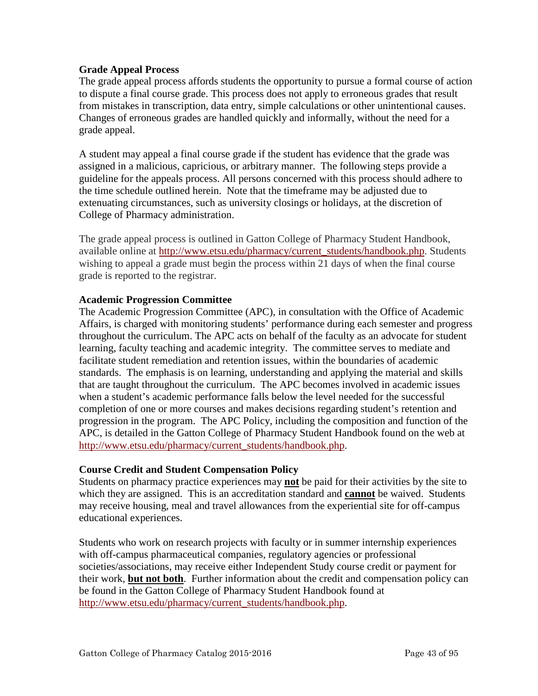#### **Grade Appeal Process**

The grade appeal process affords students the opportunity to pursue a formal course of action to dispute a final course grade. This process does not apply to erroneous grades that result from mistakes in transcription, data entry, simple calculations or other unintentional causes. Changes of erroneous grades are handled quickly and informally, without the need for a grade appeal.

A student may appeal a final course grade if the student has evidence that the grade was assigned in a malicious, capricious, or arbitrary manner. The following steps provide a guideline for the appeals process. All persons concerned with this process should adhere to the time schedule outlined herein. Note that the timeframe may be adjusted due to extenuating circumstances, such as university closings or holidays, at the discretion of College of Pharmacy administration.

The grade appeal process is outlined in Gatton College of Pharmacy Student Handbook, available online at [http://www.etsu.edu/pharmacy/current\\_students/handbook.php.](http://www.etsu.edu/pharmacy/current_students/handbook.php) Students wishing to appeal a grade must begin the process within 21 days of when the final course grade is reported to the registrar.

#### **Academic Progression Committee**

The Academic Progression Committee (APC), in consultation with the Office of Academic Affairs, is charged with monitoring students' performance during each semester and progress throughout the curriculum. The APC acts on behalf of the faculty as an advocate for student learning, faculty teaching and academic integrity. The committee serves to mediate and facilitate student remediation and retention issues, within the boundaries of academic standards. The emphasis is on learning, understanding and applying the material and skills that are taught throughout the curriculum. The APC becomes involved in academic issues when a student's academic performance falls below the level needed for the successful completion of one or more courses and makes decisions regarding student's retention and progression in the program. The APC Policy, including the composition and function of the APC, is detailed in the Gatton College of Pharmacy Student Handbook found on the web at [http://www.etsu.edu/pharmacy/current\\_students/handbook.php.](http://www.etsu.edu/pharmacy/current_students/handbook.php)

#### **Course Credit and Student Compensation Policy**

Students on pharmacy practice experiences may **not** be paid for their activities by the site to which they are assigned. This is an accreditation standard and **cannot** be waived. Students may receive housing, meal and travel allowances from the experiential site for off-campus educational experiences.

Students who work on research projects with faculty or in summer internship experiences with off-campus pharmaceutical companies, regulatory agencies or professional societies/associations, may receive either Independent Study course credit or payment for their work, **but not both**. Further information about the credit and compensation policy can be found in the Gatton College of Pharmacy Student Handbook found at [http://www.etsu.edu/pharmacy/current\\_students/handbook.php.](http://www.etsu.edu/pharmacy/current_students/handbook.php)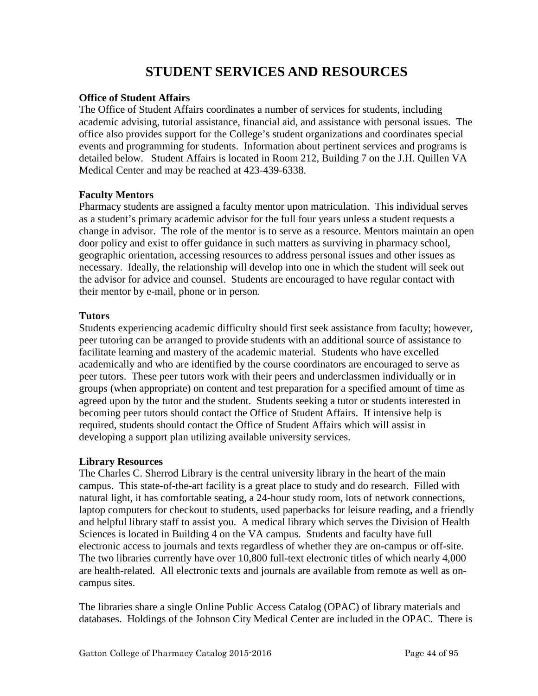# **STUDENT SERVICES AND RESOURCES**

#### **Office of Student Affairs**

The Office of Student Affairs coordinates a number of services for students, including academic advising, tutorial assistance, financial aid, and assistance with personal issues. The office also provides support for the College's student organizations and coordinates special events and programming for students. Information about pertinent services and programs is detailed below. Student Affairs is located in Room 212, Building 7 on the J.H. Quillen VA Medical Center and may be reached at 423-439-6338.

#### **Faculty Mentors**

Pharmacy students are assigned a faculty mentor upon matriculation. This individual serves as a student's primary academic advisor for the full four years unless a student requests a change in advisor. The role of the mentor is to serve as a resource. Mentors maintain an open door policy and exist to offer guidance in such matters as surviving in pharmacy school, geographic orientation, accessing resources to address personal issues and other issues as necessary. Ideally, the relationship will develop into one in which the student will seek out the advisor for advice and counsel. Students are encouraged to have regular contact with their mentor by e-mail, phone or in person.

#### **Tutors**

Students experiencing academic difficulty should first seek assistance from faculty; however, peer tutoring can be arranged to provide students with an additional source of assistance to facilitate learning and mastery of the academic material. Students who have excelled academically and who are identified by the course coordinators are encouraged to serve as peer tutors. These peer tutors work with their peers and underclassmen individually or in groups (when appropriate) on content and test preparation for a specified amount of time as agreed upon by the tutor and the student. Students seeking a tutor or students interested in becoming peer tutors should contact the Office of Student Affairs. If intensive help is required, students should contact the Office of Student Affairs which will assist in developing a support plan utilizing available university services.

#### **Library Resources**

The Charles C. Sherrod Library is the central university library in the heart of the main campus. This state-of-the-art facility is a great place to study and do research. Filled with natural light, it has comfortable seating, a 24-hour study room, lots of network connections, laptop computers for checkout to students, used paperbacks for leisure reading, and a friendly and helpful library staff to assist you. A medical library which serves the Division of Health Sciences is located in Building 4 on the VA campus. Students and faculty have full electronic access to journals and texts regardless of whether they are on-campus or off-site. The two libraries currently have over 10,800 full-text electronic titles of which nearly 4,000 are health-related. All electronic texts and journals are available from remote as well as oncampus sites.

The libraries share a single Online Public Access Catalog (OPAC) of library materials and databases. Holdings of the Johnson City Medical Center are included in the OPAC. There is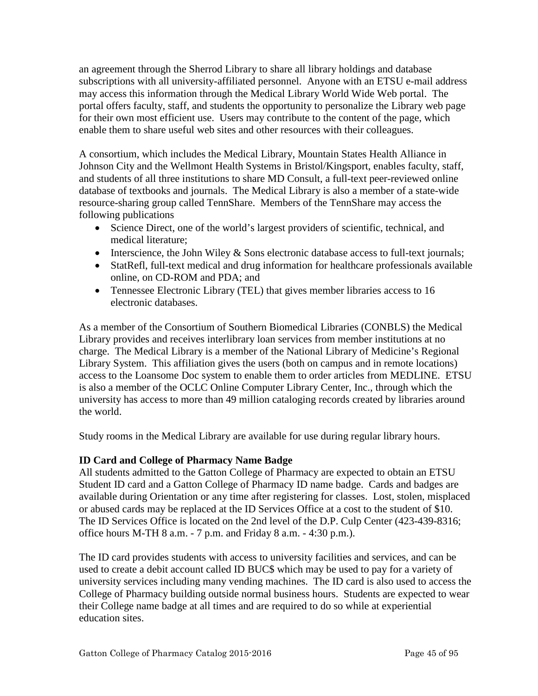an agreement through the Sherrod Library to share all library holdings and database subscriptions with all university-affiliated personnel. Anyone with an ETSU e-mail address may access this information through the Medical Library World Wide Web portal. The portal offers faculty, staff, and students the opportunity to personalize the Library web page for their own most efficient use. Users may contribute to the content of the page, which enable them to share useful web sites and other resources with their colleagues.

A consortium, which includes the Medical Library, Mountain States Health Alliance in Johnson City and the Wellmont Health Systems in Bristol/Kingsport, enables faculty, staff, and students of all three institutions to share MD Consult, a full-text peer-reviewed online database of textbooks and journals. The Medical Library is also a member of a state-wide resource-sharing group called TennShare. Members of the TennShare may access the following publications

- Science Direct, one of the world's largest providers of scientific, technical, and medical literature;
- Interscience, the John Wiley  $&$  Sons electronic database access to full-text journals;
- StatRefl, full-text medical and drug information for healthcare professionals available online, on CD-ROM and PDA; and
- Tennessee Electronic Library (TEL) that gives member libraries access to 16 electronic databases.

As a member of the Consortium of Southern Biomedical Libraries (CONBLS) the Medical Library provides and receives interlibrary loan services from member institutions at no charge. The Medical Library is a member of the National Library of Medicine's Regional Library System. This affiliation gives the users (both on campus and in remote locations) access to the Loansome Doc system to enable them to order articles from MEDLINE. ETSU is also a member of the OCLC Online Computer Library Center, Inc., through which the university has access to more than 49 million cataloging records created by libraries around the world.

Study rooms in the Medical Library are available for use during regular library hours.

# **ID Card and College of Pharmacy Name Badge**

All students admitted to the Gatton College of Pharmacy are expected to obtain an ETSU Student ID card and a Gatton College of Pharmacy ID name badge. Cards and badges are available during Orientation or any time after registering for classes. Lost, stolen, misplaced or abused cards may be replaced at the ID Services Office at a cost to the student of \$10. The ID Services Office is located on the 2nd level of the D.P. Culp Center (423-439-8316; office hours M-TH 8 a.m. - 7 p.m. and Friday 8 a.m. - 4:30 p.m.).

The ID card provides students with access to university facilities and services, and can be used to create a debit account called ID BUC\$ which may be used to pay for a variety of university services including many vending machines. The ID card is also used to access the College of Pharmacy building outside normal business hours. Students are expected to wear their College name badge at all times and are required to do so while at experiential education sites.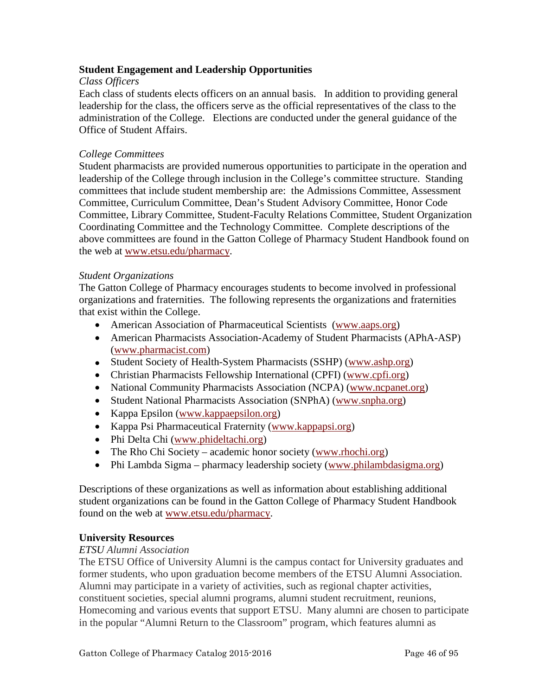## **Student Engagement and Leadership Opportunities**

#### *Class Officers*

Each class of students elects officers on an annual basis. In addition to providing general leadership for the class, the officers serve as the official representatives of the class to the administration of the College. Elections are conducted under the general guidance of the Office of Student Affairs.

#### *College Committees*

Student pharmacists are provided numerous opportunities to participate in the operation and leadership of the College through inclusion in the College's committee structure. Standing committees that include student membership are: the Admissions Committee, Assessment Committee, Curriculum Committee, Dean's Student Advisory Committee, Honor Code Committee, Library Committee, Student-Faculty Relations Committee, Student Organization Coordinating Committee and the Technology Committee. Complete descriptions of the above committees are found in the Gatton College of Pharmacy Student Handbook found on the web at [www.etsu.edu/pharmacy.](http://www.etsu.edu/pharmacy)

#### *Student Organizations*

The Gatton College of Pharmacy encourages students to become involved in professional organizations and fraternities. The following represents the organizations and fraternities that exist within the College.

- American Association of Pharmaceutical Scientists [\(www.aaps.org\)](http://www.aaps.org/)
- American Pharmacists Association-Academy of Student Pharmacists (APhA-ASP) [\(www.pharmacist.com\)](http://www.pharmacist.com/)
- Student Society of Health-System Pharmacists (SSHP) [\(www.ashp.org\)](http://www.ashp.org/)
- Christian Pharmacists Fellowship International (CPFI) [\(www.cpfi.org\)](http://www.cpfi.org/)
- National Community Pharmacists Association (NCPA) [\(www.ncpanet.org\)](http://www.ncpanet.org/)
- Student National Pharmacists Association (SNPhA) [\(www.snpha.org\)](http://www.snpha.org/)
- Kappa Epsilon [\(www.kappaepsilon.org\)](http://www.kappaepsilon.org/)
- Kappa Psi Pharmaceutical Fraternity [\(www.kappapsi.org\)](http://www.kappapsi.org/)
- Phi Delta Chi [\(www.phideltachi.org\)](http://www.phideltachi.org/)
- The Rho Chi Society academic honor society [\(www.rhochi.org\)](http://www.rhochi.org/)
- Phi Lambda Sigma pharmacy leadership society [\(www.philambdasigma.org\)](http://www.philambdasigma.org/)

Descriptions of these organizations as well as information about establishing additional student organizations can be found in the Gatton College of Pharmacy Student Handbook found on the web at [www.etsu.edu/pharmacy.](http://www.etsu.edu/pharmacy)

#### **University Resources**

#### *ETSU Alumni Association*

The ETSU Office of University Alumni is the campus contact for University graduates and former students, who upon graduation become members of the ETSU Alumni Association. Alumni may participate in a variety of activities, such as regional chapter activities, constituent societies, special alumni programs, alumni student recruitment, reunions, Homecoming and various events that support ETSU. Many alumni are chosen to participate in the popular "Alumni Return to the Classroom" program, which features alumni as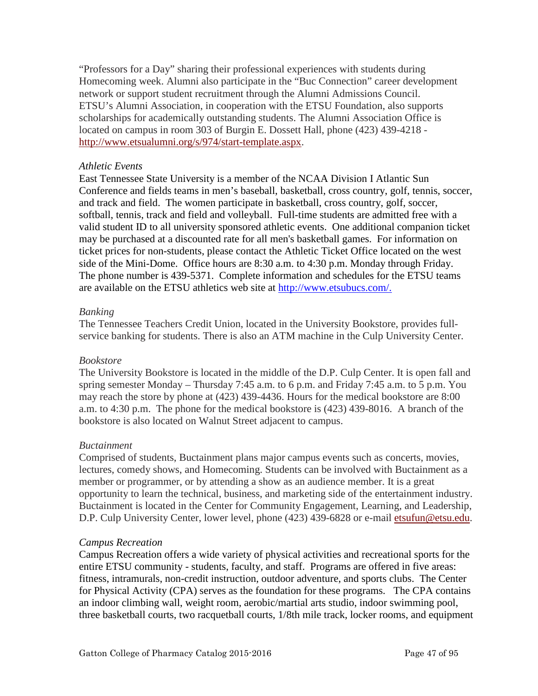"Professors for a Day" sharing their professional experiences with students during Homecoming week. Alumni also participate in the "Buc Connection" career development network or support student recruitment through the Alumni Admissions Council. ETSU's Alumni Association, in cooperation with the ETSU Foundation, also supports scholarships for academically outstanding students. The Alumni Association Office is located on campus in room 303 of Burgin E. Dossett Hall, phone (423) 439-4218 [http://www.etsualumni.org/s/974/start-template.aspx.](http://www.etsualumni.org/s/974/start-template.aspx)

#### *Athletic Events*

East Tennessee State University is a member of the NCAA Division I Atlantic Sun Conference and fields teams in men's baseball, basketball, cross country, golf, tennis, soccer, and track and field. The women participate in basketball, cross country, golf, soccer, softball, tennis, track and field and volleyball. Full-time students are admitted free with a valid student ID to all university sponsored athletic events. One additional companion ticket may be purchased at a discounted rate for all men's basketball games. For information on ticket prices for non-students, please contact the Athletic Ticket Office located on the west side of the Mini-Dome. Office hours are 8:30 a.m. to 4:30 p.m. Monday through Friday. The phone number is 439-5371. Complete information and schedules for the ETSU teams are available on the ETSU athletics web site at [http://www.etsubucs.com/.](http://www.etsubucs.com/)

#### *Banking*

The Tennessee Teachers Credit Union, located in the University Bookstore, provides fullservice banking for students. There is also an ATM machine in the Culp University Center.

#### *Bookstore*

The University Bookstore is located in the middle of the D.P. Culp Center. It is open fall and spring semester Monday – Thursday 7:45 a.m. to 6 p.m. and Friday 7:45 a.m. to 5 p.m. You may reach the store by phone at (423) 439-4436. Hours for the medical bookstore are 8:00 a.m. to 4:30 p.m. The phone for the medical bookstore is (423) 439-8016. A branch of the bookstore is also located on Walnut Street adjacent to campus.

#### *Buctainment*

Comprised of students, Buctainment plans major campus events such as concerts, movies, lectures, comedy shows, and Homecoming. Students can be involved with Buctainment as a member or programmer, or by attending a show as an audience member. It is a great opportunity to learn the technical, business, and marketing side of the entertainment industry. Buctainment is located in the Center for Community Engagement, Learning, and Leadership, D.P. Culp University Center, lower level, phone (423) 439-6828 or e-mail [etsufun@etsu.edu.](mailto:etsufun@etsu.edu)

#### *Campus Recreation*

Campus Recreation offers a wide variety of physical activities and recreational sports for the entire ETSU community - students, faculty, and staff. Programs are offered in five areas: fitness, intramurals, non-credit instruction, outdoor adventure, and sports clubs. The Center for Physical Activity (CPA) serves as the foundation for these programs. The CPA contains an indoor climbing wall, weight room, aerobic/martial arts studio, indoor swimming pool, three basketball courts, two racquetball courts, 1/8th mile track, locker rooms, and equipment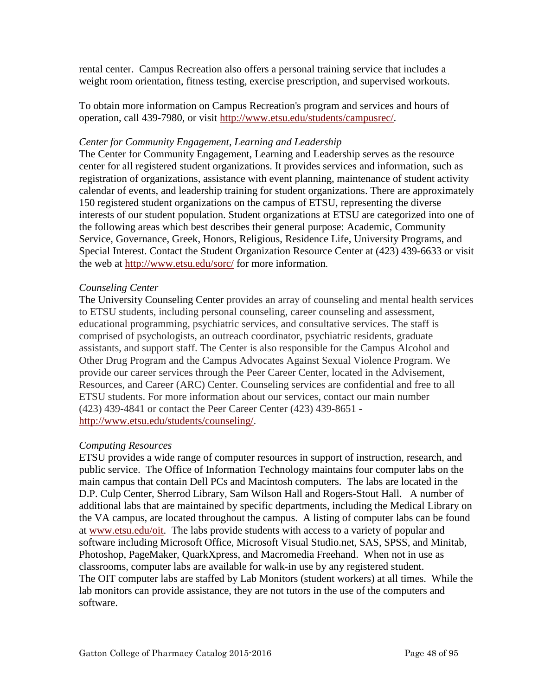rental center. Campus Recreation also offers a personal training service that includes a weight room orientation, fitness testing, exercise prescription, and supervised workouts.

To obtain more information on Campus Recreation's program and services and hours of operation, call 439-7980, or visit [http://www.etsu.edu/students/campusrec/.](http://www.etsu.edu/students/campusrec/)

#### *Center for Community Engagement, Learning and Leadership*

The Center for Community Engagement, Learning and Leadership serves as the resource center for all registered student organizations. It provides services and information, such as registration of organizations, assistance with event planning, maintenance of student activity calendar of events, and leadership training for student organizations. There are approximately 150 registered student organizations on the campus of ETSU, representing the diverse interests of our student population. Student organizations at ETSU are categorized into one of the following areas which best describes their general purpose: Academic, Community Service, Governance, Greek, Honors, Religious, Residence Life, University Programs, and Special Interest. Contact the Student Organization Resource Center at (423) 439-6633 or visit the web at<http://www.etsu.edu/sorc/> for more information.

#### *Counseling Center*

The University Counseling Center provides an array of counseling and mental health services to ETSU students, including personal counseling, career counseling and assessment, educational programming, psychiatric services, and consultative services. The staff is comprised of psychologists, an outreach coordinator, psychiatric residents, graduate assistants, and support staff. The Center is also responsible for the Campus Alcohol and Other Drug Program and the Campus Advocates Against Sexual Violence Program. We provide our career services through the Peer Career Center, located in the Advisement, Resources, and Career (ARC) Center. Counseling services are confidential and free to all ETSU students. For more information about our services, contact our main number (423) 439-4841 or contact the Peer Career Center (423) 439-8651 [http://www.etsu.edu/students/counseling/.](http://www.etsu.edu/students/counseling/)

#### *Computing Resources*

ETSU provides a wide range of computer resources in support of instruction, research, and public service. The Office of Information Technology maintains four computer labs on the main campus that contain Dell PCs and Macintosh computers. The labs are located in the D.P. Culp Center, Sherrod Library, Sam Wilson Hall and Rogers-Stout Hall. A number of additional labs that are maintained by specific departments, including the Medical Library on the VA campus, are located throughout the campus. A listing of computer labs can be found at [www.etsu.edu/oit.](http://www.etsu.edu/oit) The labs provide students with access to a variety of popular and software including Microsoft Office, Microsoft Visual Studio.net, SAS, SPSS, and Minitab, Photoshop, PageMaker, QuarkXpress, and Macromedia Freehand. When not in use as classrooms, computer labs are available for walk-in use by any registered student. The OIT computer labs are staffed by Lab Monitors (student workers) at all times. While the lab monitors can provide assistance, they are not tutors in the use of the computers and software.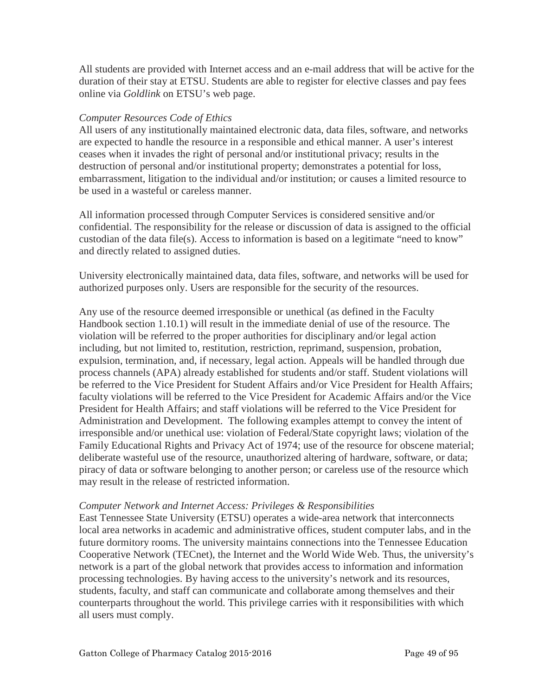All students are provided with Internet access and an e-mail address that will be active for the duration of their stay at ETSU. Students are able to register for elective classes and pay fees online via *Goldlink* on ETSU's web page.

## *Computer Resources Code of Ethics*

All users of any institutionally maintained electronic data, data files, software, and networks are expected to handle the resource in a responsible and ethical manner. A user's interest ceases when it invades the right of personal and/or institutional privacy; results in the destruction of personal and/or institutional property; demonstrates a potential for loss, embarrassment, litigation to the individual and/or institution; or causes a limited resource to be used in a wasteful or careless manner.

All information processed through Computer Services is considered sensitive and/or confidential. The responsibility for the release or discussion of data is assigned to the official custodian of the data file(s). Access to information is based on a legitimate "need to know" and directly related to assigned duties.

University electronically maintained data, data files, software, and networks will be used for authorized purposes only. Users are responsible for the security of the resources.

Any use of the resource deemed irresponsible or unethical (as defined in the Faculty Handbook section 1.10.1) will result in the immediate denial of use of the resource. The violation will be referred to the proper authorities for disciplinary and/or legal action including, but not limited to, restitution, restriction, reprimand, suspension, probation, expulsion, termination, and, if necessary, legal action. Appeals will be handled through due process channels (APA) already established for students and/or staff. Student violations will be referred to the Vice President for Student Affairs and/or Vice President for Health Affairs; faculty violations will be referred to the Vice President for Academic Affairs and/or the Vice President for Health Affairs; and staff violations will be referred to the Vice President for Administration and Development. The following examples attempt to convey the intent of irresponsible and/or unethical use: violation of Federal/State copyright laws; violation of the Family Educational Rights and Privacy Act of 1974; use of the resource for obscene material; deliberate wasteful use of the resource, unauthorized altering of hardware, software, or data; piracy of data or software belonging to another person; or careless use of the resource which may result in the release of restricted information.

#### *Computer Network and Internet Access: Privileges & Responsibilities*

East Tennessee State University (ETSU) operates a wide-area network that interconnects local area networks in academic and administrative offices, student computer labs, and in the future dormitory rooms. The university maintains connections into the Tennessee Education Cooperative Network (TECnet), the Internet and the World Wide Web. Thus, the university's network is a part of the global network that provides access to information and information processing technologies. By having access to the university's network and its resources, students, faculty, and staff can communicate and collaborate among themselves and their counterparts throughout the world. This privilege carries with it responsibilities with which all users must comply.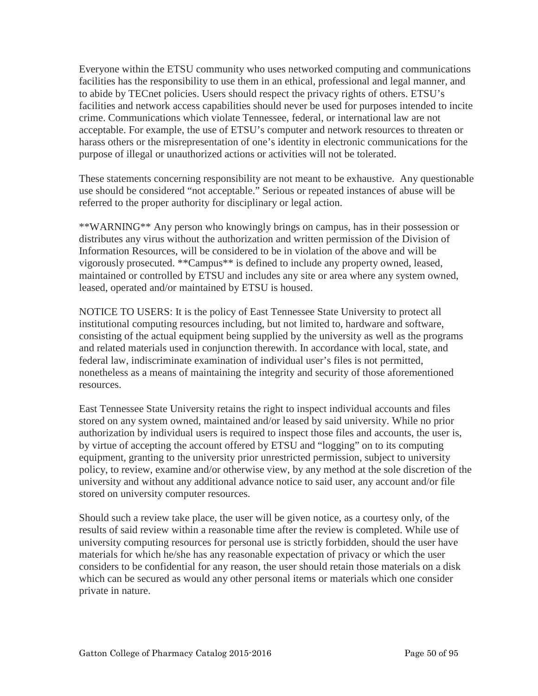Everyone within the ETSU community who uses networked computing and communications facilities has the responsibility to use them in an ethical, professional and legal manner, and to abide by TECnet policies. Users should respect the privacy rights of others. ETSU's facilities and network access capabilities should never be used for purposes intended to incite crime. Communications which violate Tennessee, federal, or international law are not acceptable. For example, the use of ETSU's computer and network resources to threaten or harass others or the misrepresentation of one's identity in electronic communications for the purpose of illegal or unauthorized actions or activities will not be tolerated.

These statements concerning responsibility are not meant to be exhaustive. Any questionable use should be considered "not acceptable." Serious or repeated instances of abuse will be referred to the proper authority for disciplinary or legal action.

\*\*WARNING\*\* Any person who knowingly brings on campus, has in their possession or distributes any virus without the authorization and written permission of the Division of Information Resources, will be considered to be in violation of the above and will be vigorously prosecuted. \*\*Campus\*\* is defined to include any property owned, leased, maintained or controlled by ETSU and includes any site or area where any system owned, leased, operated and/or maintained by ETSU is housed.

NOTICE TO USERS: It is the policy of East Tennessee State University to protect all institutional computing resources including, but not limited to, hardware and software, consisting of the actual equipment being supplied by the university as well as the programs and related materials used in conjunction therewith. In accordance with local, state, and federal law, indiscriminate examination of individual user's files is not permitted, nonetheless as a means of maintaining the integrity and security of those aforementioned resources.

East Tennessee State University retains the right to inspect individual accounts and files stored on any system owned, maintained and/or leased by said university. While no prior authorization by individual users is required to inspect those files and accounts, the user is, by virtue of accepting the account offered by ETSU and "logging" on to its computing equipment, granting to the university prior unrestricted permission, subject to university policy, to review, examine and/or otherwise view, by any method at the sole discretion of the university and without any additional advance notice to said user, any account and/or file stored on university computer resources.

Should such a review take place, the user will be given notice, as a courtesy only, of the results of said review within a reasonable time after the review is completed. While use of university computing resources for personal use is strictly forbidden, should the user have materials for which he/she has any reasonable expectation of privacy or which the user considers to be confidential for any reason, the user should retain those materials on a disk which can be secured as would any other personal items or materials which one consider private in nature.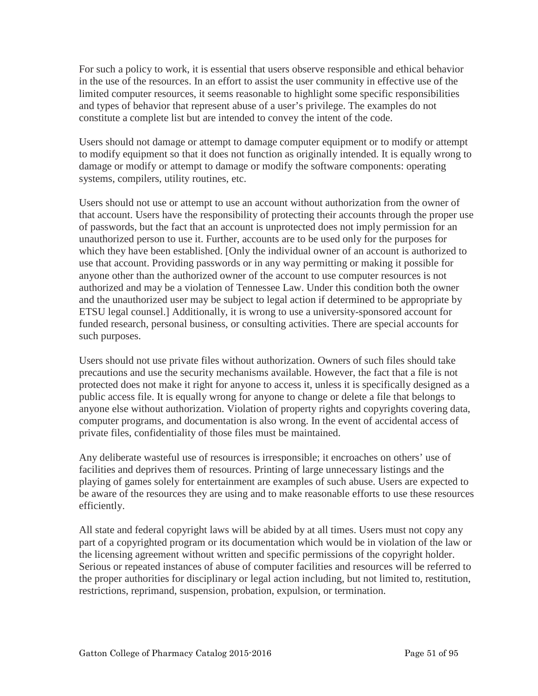For such a policy to work, it is essential that users observe responsible and ethical behavior in the use of the resources. In an effort to assist the user community in effective use of the limited computer resources, it seems reasonable to highlight some specific responsibilities and types of behavior that represent abuse of a user's privilege. The examples do not constitute a complete list but are intended to convey the intent of the code.

Users should not damage or attempt to damage computer equipment or to modify or attempt to modify equipment so that it does not function as originally intended. It is equally wrong to damage or modify or attempt to damage or modify the software components: operating systems, compilers, utility routines, etc.

Users should not use or attempt to use an account without authorization from the owner of that account. Users have the responsibility of protecting their accounts through the proper use of passwords, but the fact that an account is unprotected does not imply permission for an unauthorized person to use it. Further, accounts are to be used only for the purposes for which they have been established. [Only the individual owner of an account is authorized to use that account. Providing passwords or in any way permitting or making it possible for anyone other than the authorized owner of the account to use computer resources is not authorized and may be a violation of Tennessee Law. Under this condition both the owner and the unauthorized user may be subject to legal action if determined to be appropriate by ETSU legal counsel.] Additionally, it is wrong to use a university-sponsored account for funded research, personal business, or consulting activities. There are special accounts for such purposes.

Users should not use private files without authorization. Owners of such files should take precautions and use the security mechanisms available. However, the fact that a file is not protected does not make it right for anyone to access it, unless it is specifically designed as a public access file. It is equally wrong for anyone to change or delete a file that belongs to anyone else without authorization. Violation of property rights and copyrights covering data, computer programs, and documentation is also wrong. In the event of accidental access of private files, confidentiality of those files must be maintained.

Any deliberate wasteful use of resources is irresponsible; it encroaches on others' use of facilities and deprives them of resources. Printing of large unnecessary listings and the playing of games solely for entertainment are examples of such abuse. Users are expected to be aware of the resources they are using and to make reasonable efforts to use these resources efficiently.

All state and federal copyright laws will be abided by at all times. Users must not copy any part of a copyrighted program or its documentation which would be in violation of the law or the licensing agreement without written and specific permissions of the copyright holder. Serious or repeated instances of abuse of computer facilities and resources will be referred to the proper authorities for disciplinary or legal action including, but not limited to, restitution, restrictions, reprimand, suspension, probation, expulsion, or termination.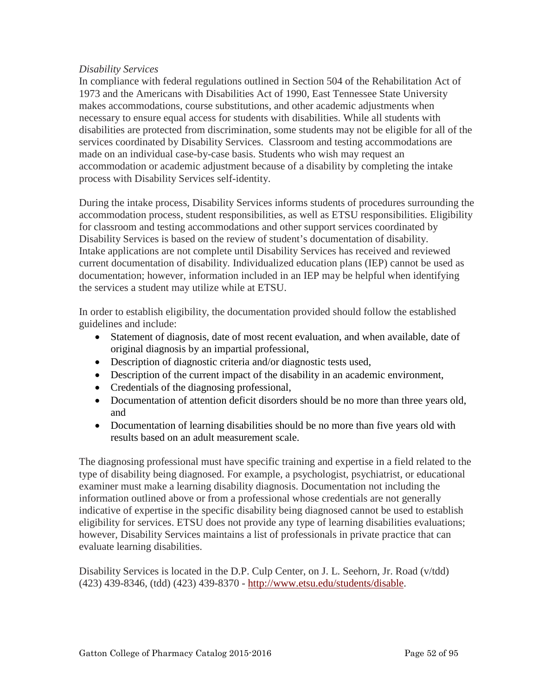#### *Disability Services*

In compliance with federal regulations outlined in Section 504 of the Rehabilitation Act of 1973 and the Americans with Disabilities Act of 1990, East Tennessee State University makes accommodations, course substitutions, and other academic adjustments when necessary to ensure equal access for students with disabilities. While all students with disabilities are protected from discrimination, some students may not be eligible for all of the services coordinated by Disability Services. Classroom and testing accommodations are made on an individual case-by-case basis. Students who wish may request an accommodation or academic adjustment because of a disability by completing the intake process with Disability Services self-identity.

During the intake process, Disability Services informs students of procedures surrounding the accommodation process, student responsibilities, as well as ETSU responsibilities. Eligibility for classroom and testing accommodations and other support services coordinated by Disability Services is based on the review of student's documentation of disability. Intake applications are not complete until Disability Services has received and reviewed current documentation of disability. Individualized education plans (IEP) cannot be used as documentation; however, information included in an IEP may be helpful when identifying the services a student may utilize while at ETSU.

In order to establish eligibility, the documentation provided should follow the established guidelines and include:

- Statement of diagnosis, date of most recent evaluation, and when available, date of original diagnosis by an impartial professional,
- Description of diagnostic criteria and/or diagnostic tests used,
- Description of the current impact of the disability in an academic environment,
- Credentials of the diagnosing professional,
- Documentation of attention deficit disorders should be no more than three years old, and
- Documentation of learning disabilities should be no more than five years old with results based on an adult measurement scale.

The diagnosing professional must have specific training and expertise in a field related to the type of disability being diagnosed. For example, a psychologist, psychiatrist, or educational examiner must make a learning disability diagnosis. Documentation not including the information outlined above or from a professional whose credentials are not generally indicative of expertise in the specific disability being diagnosed cannot be used to establish eligibility for services. ETSU does not provide any type of learning disabilities evaluations; however, Disability Services maintains a list of professionals in private practice that can evaluate learning disabilities.

Disability Services is located in the D.P. Culp Center, on J. L. Seehorn, Jr. Road (v/tdd) (423) 439-8346, (tdd) (423) 439-8370 - [http://www.etsu.edu/students/disable.](http://www.etsu.edu/students/disable)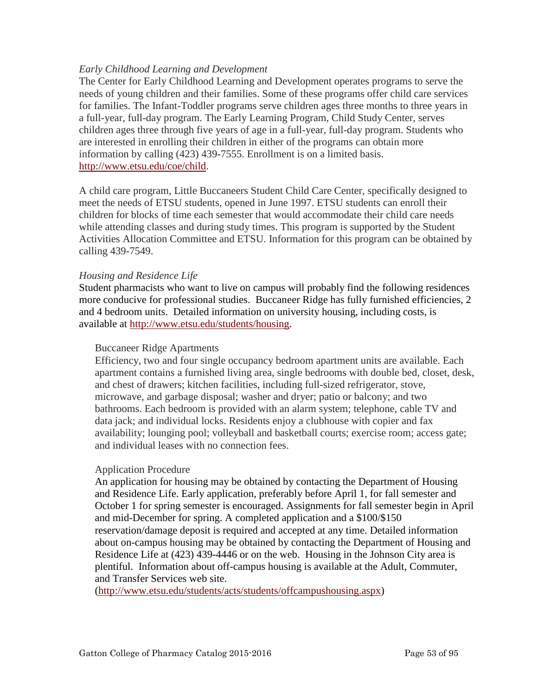#### *Early Childhood Learning and Development*

The Center for Early Childhood Learning and Development operates programs to serve the needs of young children and their families. Some of these programs offer child care services for families. The Infant-Toddler programs serve children ages three months to three years in a full-year, full-day program. The Early Learning Program, Child Study Center, serves children ages three through five years of age in a full-year, full-day program. Students who are interested in enrolling their children in either of the programs can obtain more information by calling (423) 439-7555. Enrollment is on a limited basis. [http://www.etsu.edu/coe/child.](http://www.etsu.edu/coe/child)

A child care program, Little Buccaneers Student Child Care Center, specifically designed to meet the needs of ETSU students, opened in June 1997. ETSU students can enroll their children for blocks of time each semester that would accommodate their child care needs while attending classes and during study times. This program is supported by the Student Activities Allocation Committee and ETSU. Information for this program can be obtained by calling 439-7549.

#### *Housing and Residence Life*

Student pharmacists who want to live on campus will probably find the following residences more conducive for professional studies. Buccaneer Ridge has fully furnished efficiencies, 2 and 4 bedroom units. Detailed information on university housing, including costs, is available at [http://www.etsu.edu/students/housing.](http://www.etsu.edu/students/housing)

#### Buccaneer Ridge Apartments

Efficiency, two and four single occupancy bedroom apartment units are available. Each apartment contains a furnished living area, single bedrooms with double bed, closet, desk, and chest of drawers; kitchen facilities, including full-sized refrigerator, stove, microwave, and garbage disposal; washer and dryer; patio or balcony; and two bathrooms. Each bedroom is provided with an alarm system; telephone, cable TV and data jack; and individual locks. Residents enjoy a clubhouse with copier and fax availability; lounging pool; volleyball and basketball courts; exercise room; access gate; and individual leases with no connection fees.

#### Application Procedure

An application for housing may be obtained by contacting the Department of Housing and Residence Life. Early application, preferably before April 1, for fall semester and October 1 for spring semester is encouraged. Assignments for fall semester begin in April and mid-December for spring. A completed application and a \$100/\$150 reservation/damage deposit is required and accepted at any time. Detailed information about on-campus housing may be obtained by contacting the Department of Housing and Residence Life at (423) 439-4446 or on the web. Housing in the Johnson City area is plentiful. Information about off-campus housing is available at the [Adult, Commuter,](http://www.etsu.edu/students/acts/off_campus_housing.asp)  [and Transfer Services web](http://www.etsu.edu/students/acts/off_campus_housing.asp) site.

[\(http://www.etsu.edu/students/acts/students/offcampushousing.aspx\)](http://www.etsu.edu/students/acts/students/offcampushousing.aspx)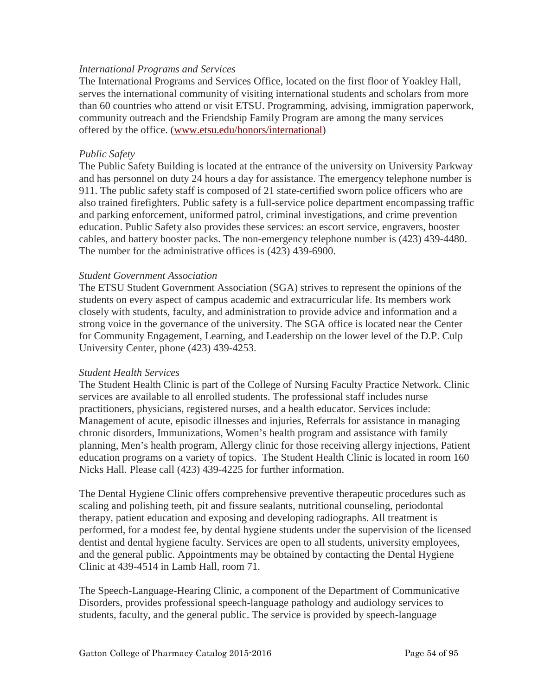#### *International Programs and Services*

The International Programs and Services Office, located on the first floor of Yoakley Hall, serves the international community of visiting international students and scholars from more than 60 countries who attend or visit ETSU. Programming, advising, immigration paperwork, community outreach and the Friendship Family Program are among the many services offered by the office. [\(www.etsu.edu/honors/international\)](http://www.etsu.edu/honors/international)

#### *Public Safety*

The Public Safety Building is located at the entrance of the university on University Parkway and has personnel on duty 24 hours a day for assistance. The emergency telephone number is 911. The public safety staff is composed of 21 state-certified sworn police officers who are also trained firefighters. Public safety is a full-service police department encompassing traffic and parking enforcement, uniformed patrol, criminal investigations, and crime prevention education. Public Safety also provides these services: an escort service, engravers, booster cables, and battery booster packs. The non-emergency telephone number is (423) 439-4480. The number for the administrative offices is (423) 439-6900.

#### *Student Government Association*

The ETSU Student Government Association (SGA) strives to represent the opinions of the students on every aspect of campus academic and extracurricular life. Its members work closely with students, faculty, and administration to provide advice and information and a strong voice in the governance of the university. The SGA office is located near the Center for Community Engagement, Learning, and Leadership on the lower level of the D.P. Culp University Center, phone (423) 439-4253.

#### *Student Health Services*

The Student Health Clinic is part of the College of Nursing Faculty Practice Network. Clinic services are available to all enrolled students. The professional staff includes nurse practitioners, physicians, registered nurses, and a health educator. Services include: Management of acute, episodic illnesses and injuries, Referrals for assistance in managing chronic disorders, Immunizations, Women's health program and assistance with family planning, Men's health program, Allergy clinic for those receiving allergy injections, Patient education programs on a variety of topics. The Student Health Clinic is located in room 160 Nicks Hall. Please call (423) 439-4225 for further information.

The Dental Hygiene Clinic offers comprehensive preventive therapeutic procedures such as scaling and polishing teeth, pit and fissure sealants, nutritional counseling, periodontal therapy, patient education and exposing and developing radiographs. All treatment is performed, for a modest fee, by dental hygiene students under the supervision of the licensed dentist and dental hygiene faculty. Services are open to all students, university employees, and the general public. Appointments may be obtained by contacting the Dental Hygiene Clinic at 439-4514 in Lamb Hall, room 71.

The Speech-Language-Hearing Clinic, a component of the Department of Communicative Disorders, provides professional speech-language pathology and audiology services to students, faculty, and the general public. The service is provided by speech-language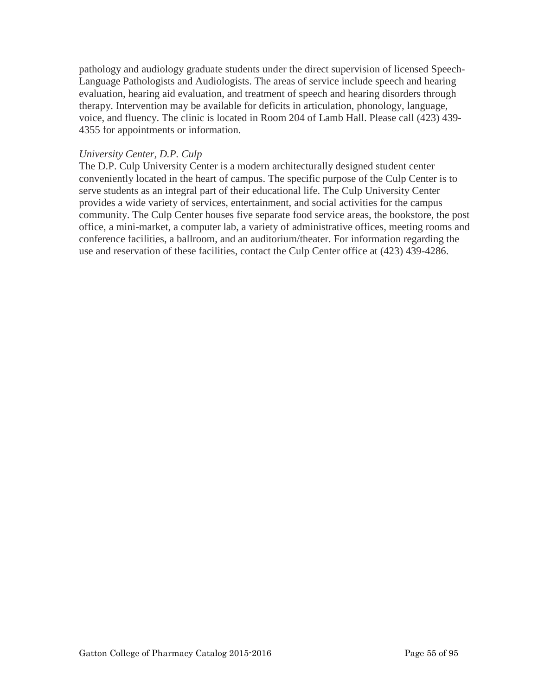pathology and audiology graduate students under the direct supervision of licensed Speech-Language Pathologists and Audiologists. The areas of service include speech and hearing evaluation, hearing aid evaluation, and treatment of speech and hearing disorders through therapy. Intervention may be available for deficits in articulation, phonology, language, voice, and fluency. The clinic is located in Room 204 of Lamb Hall. Please call (423) 439- 4355 for appointments or information.

#### *University Center, D.P. Culp*

The D.P. Culp University Center is a modern architecturally designed student center conveniently located in the heart of campus. The specific purpose of the Culp Center is to serve students as an integral part of their educational life. The Culp University Center provides a wide variety of services, entertainment, and social activities for the campus community. The Culp Center houses five separate food service areas, the bookstore, the post office, a mini-market, a computer lab, a variety of administrative offices, meeting rooms and conference facilities, a ballroom, and an auditorium/theater. For information regarding the use and reservation of these facilities, contact the Culp Center office at (423) 439-4286.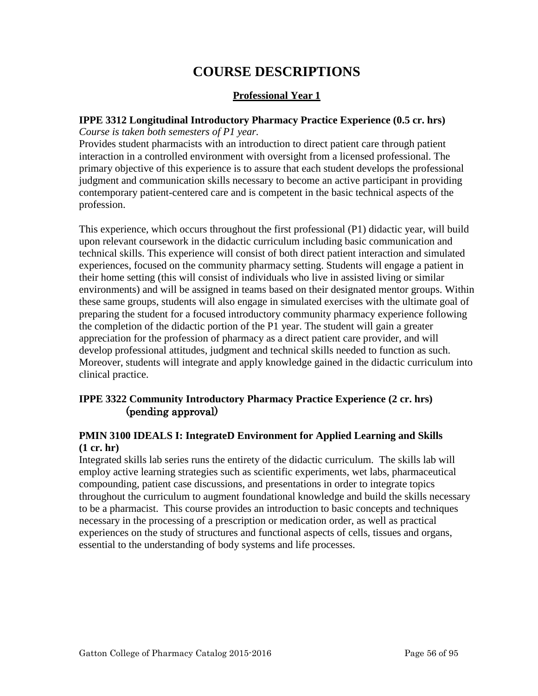# **COURSE DESCRIPTIONS**

# **Professional Year 1**

## **IPPE 3312 Longitudinal Introductory Pharmacy Practice Experience (0.5 cr. hrs)**

*Course is taken both semesters of P1 year.*

Provides student pharmacists with an introduction to direct patient care through patient interaction in a controlled environment with oversight from a licensed professional. The primary objective of this experience is to assure that each student develops the professional judgment and communication skills necessary to become an active participant in providing contemporary patient-centered care and is competent in the basic technical aspects of the profession.

This experience, which occurs throughout the first professional (P1) didactic year, will build upon relevant coursework in the didactic curriculum including basic communication and technical skills. This experience will consist of both direct patient interaction and simulated experiences, focused on the community pharmacy setting. Students will engage a patient in their home setting (this will consist of individuals who live in assisted living or similar environments) and will be assigned in teams based on their designated mentor groups. Within these same groups, students will also engage in simulated exercises with the ultimate goal of preparing the student for a focused introductory community pharmacy experience following the completion of the didactic portion of the P1 year. The student will gain a greater appreciation for the profession of pharmacy as a direct patient care provider, and will develop professional attitudes, judgment and technical skills needed to function as such. Moreover, students will integrate and apply knowledge gained in the didactic curriculum into clinical practice.

# **IPPE 3322 Community Introductory Pharmacy Practice Experience (2 cr. hrs)**  (pending approval)

## **PMIN 3100 IDEALS I: IntegrateD Environment for Applied Learning and Skills (1 cr. hr)**

Integrated skills lab series runs the entirety of the didactic curriculum. The skills lab will employ active learning strategies such as scientific experiments, wet labs, pharmaceutical compounding, patient case discussions, and presentations in order to integrate topics throughout the curriculum to augment foundational knowledge and build the skills necessary to be a pharmacist. This course provides an introduction to basic concepts and techniques necessary in the processing of a prescription or medication order, as well as practical experiences on the study of structures and functional aspects of cells, tissues and organs, essential to the understanding of body systems and life processes.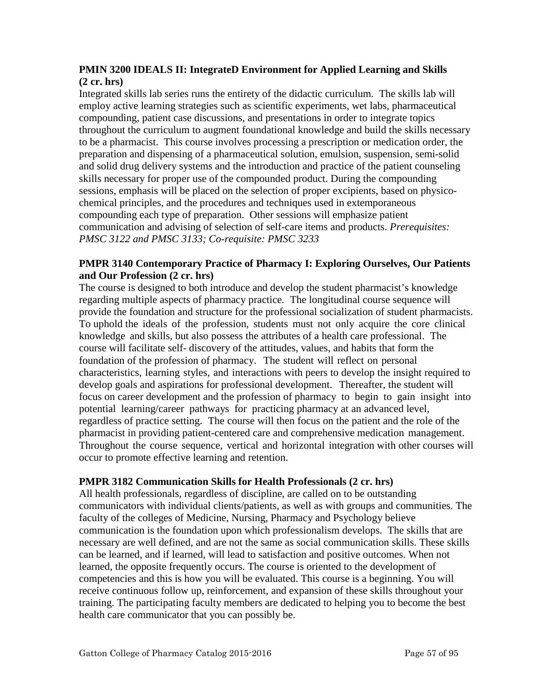## **PMIN 3200 IDEALS II: IntegrateD Environment for Applied Learning and Skills (2 cr. hrs)**

Integrated skills lab series runs the entirety of the didactic curriculum. The skills lab will employ active learning strategies such as scientific experiments, wet labs, pharmaceutical compounding, patient case discussions, and presentations in order to integrate topics throughout the curriculum to augment foundational knowledge and build the skills necessary to be a pharmacist. This course involves processing a prescription or medication order, the preparation and dispensing of a pharmaceutical solution, emulsion, suspension, semi-solid and solid drug delivery systems and the introduction and practice of the patient counseling skills necessary for proper use of the compounded product. During the compounding sessions, emphasis will be placed on the selection of proper excipients, based on physicochemical principles, and the procedures and techniques used in extemporaneous compounding each type of preparation. Other sessions will emphasize patient communication and advising of selection of self-care items and products. *Prerequisites: PMSC 3122 and PMSC 3133; Co-requisite: PMSC 3233*

## **PMPR 3140 Contemporary Practice of Pharmacy I: Exploring Ourselves, Our Patients and Our Profession (2 cr. hrs)**

The course is designed to both introduce and develop the student pharmacist's knowledge regarding multiple aspects of pharmacy practice. The longitudinal course sequence will provide the foundation and structure for the professional socialization of student pharmacists. To uphold the ideals of the profession, students must not only acquire the core clinical knowledge and skills, but also possess the attributes of a health care professional. The course will facilitate self- discovery of the attitudes, values, and habits that form the foundation of the profession of pharmacy. The student will reflect on personal characteristics, learning styles, and interactions with peers to develop the insight required to develop goals and aspirations for professional development. Thereafter, the student will focus on career development and the profession of pharmacy to begin to gain insight into potential learning/career pathways for practicing pharmacy at an advanced level, regardless of practice setting. The course will then focus on the patient and the role of the pharmacist in providing patient-centered care and comprehensive medication management. Throughout the course sequence, vertical and horizontal integration with other courses will occur to promote effective learning and retention.

## **PMPR 3182 Communication Skills for Health Professionals (2 cr. hrs)**

All health professionals, regardless of discipline, are called on to be outstanding communicators with individual clients/patients, as well as with groups and communities. The faculty of the colleges of Medicine, Nursing, Pharmacy and Psychology believe communication is the foundation upon which professionalism develops. The skills that are necessary are well defined, and are not the same as social communication skills. These skills can be learned, and if learned, will lead to satisfaction and positive outcomes. When not learned, the opposite frequently occurs. The course is oriented to the development of competencies and this is how you will be evaluated. This course is a beginning. You will receive continuous follow up, reinforcement, and expansion of these skills throughout your training. The participating faculty members are dedicated to helping you to become the best health care communicator that you can possibly be.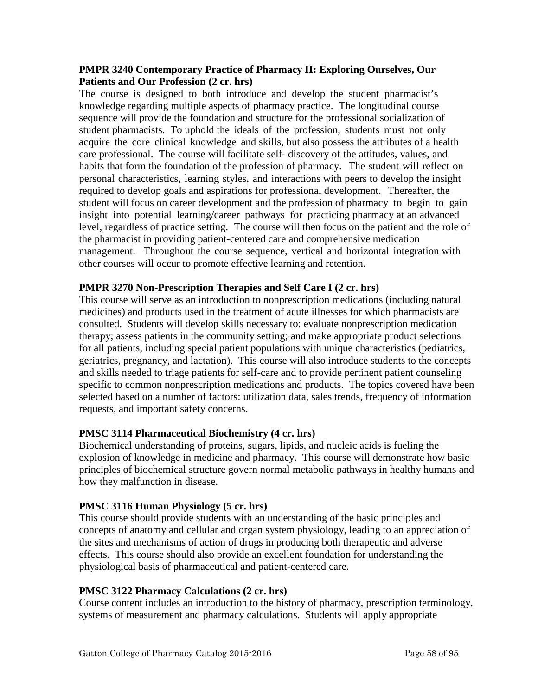#### **PMPR 3240 Contemporary Practice of Pharmacy II: Exploring Ourselves, Our Patients and Our Profession (2 cr. hrs)**

The course is designed to both introduce and develop the student pharmacist's knowledge regarding multiple aspects of pharmacy practice. The longitudinal course sequence will provide the foundation and structure for the professional socialization of student pharmacists. To uphold the ideals of the profession, students must not only acquire the core clinical knowledge and skills, but also possess the attributes of a health care professional. The course will facilitate self- discovery of the attitudes, values, and habits that form the foundation of the profession of pharmacy. The student will reflect on personal characteristics, learning styles, and interactions with peers to develop the insight required to develop goals and aspirations for professional development. Thereafter, the student will focus on career development and the profession of pharmacy to begin to gain insight into potential learning/career pathways for practicing pharmacy at an advanced level, regardless of practice setting. The course will then focus on the patient and the role of the pharmacist in providing patient-centered care and comprehensive medication management. Throughout the course sequence, vertical and horizontal integration with other courses will occur to promote effective learning and retention.

#### **PMPR 3270 Non-Prescription Therapies and Self Care I (2 cr. hrs)**

This course will serve as an introduction to nonprescription medications (including natural medicines) and products used in the treatment of acute illnesses for which pharmacists are consulted. Students will develop skills necessary to: evaluate nonprescription medication therapy; assess patients in the community setting; and make appropriate product selections for all patients, including special patient populations with unique characteristics (pediatrics, geriatrics, pregnancy, and lactation). This course will also introduce students to the concepts and skills needed to triage patients for self-care and to provide pertinent patient counseling specific to common nonprescription medications and products. The topics covered have been selected based on a number of factors: utilization data, sales trends, frequency of information requests, and important safety concerns.

#### **PMSC 3114 Pharmaceutical Biochemistry (4 cr. hrs)**

Biochemical understanding of proteins, sugars, lipids, and nucleic acids is fueling the explosion of knowledge in medicine and pharmacy. This course will demonstrate how basic principles of biochemical structure govern normal metabolic pathways in healthy humans and how they malfunction in disease.

#### **PMSC 3116 Human Physiology (5 cr. hrs)**

This course should provide students with an understanding of the basic principles and concepts of anatomy and cellular and organ system physiology, leading to an appreciation of the sites and mechanisms of action of drugs in producing both therapeutic and adverse effects. This course should also provide an excellent foundation for understanding the physiological basis of pharmaceutical and patient-centered care.

#### **PMSC 3122 Pharmacy Calculations (2 cr. hrs)**

Course content includes an introduction to the history of pharmacy, prescription terminology, systems of measurement and pharmacy calculations. Students will apply appropriate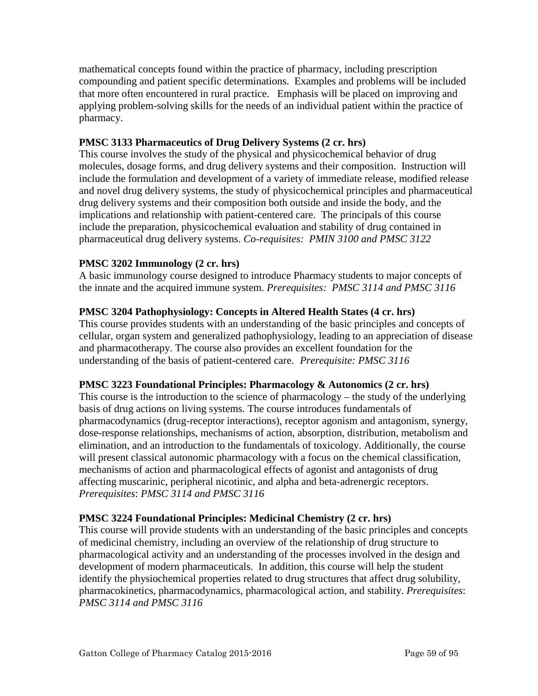mathematical concepts found within the practice of pharmacy, including prescription compounding and patient specific determinations. Examples and problems will be included that more often encountered in rural practice. Emphasis will be placed on improving and applying problem-solving skills for the needs of an individual patient within the practice of pharmacy.

# **PMSC 3133 Pharmaceutics of Drug Delivery Systems (2 cr. hrs)**

This course involves the study of the physical and physicochemical behavior of drug molecules, dosage forms, and drug delivery systems and their composition. Instruction will include the formulation and development of a variety of immediate release, modified release and novel drug delivery systems, the study of physicochemical principles and pharmaceutical drug delivery systems and their composition both outside and inside the body, and the implications and relationship with patient-centered care. The principals of this course include the preparation, physicochemical evaluation and stability of drug contained in pharmaceutical drug delivery systems. *Co-requisites: PMIN 3100 and PMSC 3122*

# **PMSC 3202 Immunology (2 cr. hrs)**

A basic immunology course designed to introduce Pharmacy students to major concepts of the innate and the acquired immune system. *Prerequisites: PMSC 3114 and PMSC 3116*

# **PMSC 3204 Pathophysiology: Concepts in Altered Health States (4 cr. hrs)**

This course provides students with an understanding of the basic principles and concepts of cellular, organ system and generalized pathophysiology, leading to an appreciation of disease and pharmacotherapy. The course also provides an excellent foundation for the understanding of the basis of patient-centered care. *Prerequisite: PMSC 3116*

## **PMSC 3223 Foundational Principles: Pharmacology & Autonomics (2 cr. hrs)**

This course is the introduction to the science of pharmacology – the study of the underlying basis of drug actions on living systems. The course introduces fundamentals of pharmacodynamics (drug-receptor interactions), receptor agonism and antagonism, synergy, dose-response relationships, mechanisms of action, absorption, distribution, metabolism and elimination, and an introduction to the fundamentals of toxicology. Additionally, the course will present classical autonomic pharmacology with a focus on the chemical classification, mechanisms of action and pharmacological effects of agonist and antagonists of drug affecting muscarinic, peripheral nicotinic, and alpha and beta-adrenergic receptors. *Prerequisites*: *PMSC 3114 and PMSC 3116*

## **PMSC 3224 Foundational Principles: Medicinal Chemistry (2 cr. hrs)**

This course will provide students with an understanding of the basic principles and concepts of medicinal chemistry, including an overview of the relationship of drug structure to pharmacological activity and an understanding of the processes involved in the design and development of modern pharmaceuticals. In addition, this course will help the student identify the physiochemical properties related to drug structures that affect drug solubility, pharmacokinetics, pharmacodynamics, pharmacological action, and stability. *Prerequisites*: *PMSC 3114 and PMSC 3116*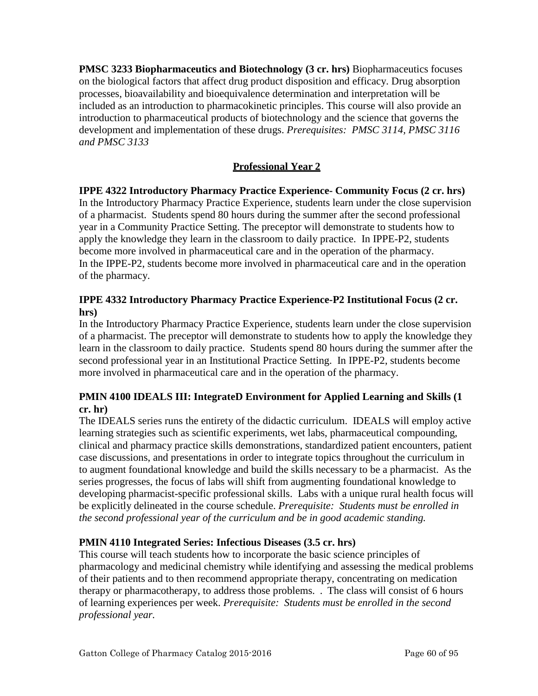**PMSC 3233 Biopharmaceutics and Biotechnology (3 cr. hrs)** Biopharmaceutics focuses on the biological factors that affect drug product disposition and efficacy. Drug absorption processes, bioavailability and bioequivalence determination and interpretation will be included as an introduction to pharmacokinetic principles. This course will also provide an introduction to pharmaceutical products of biotechnology and the science that governs the development and implementation of these drugs. *Prerequisites: PMSC 3114, PMSC 3116 and PMSC 3133*

# **Professional Year 2**

**IPPE 4322 Introductory Pharmacy Practice Experience- Community Focus (2 cr. hrs)** In the Introductory Pharmacy Practice Experience, students learn under the close supervision of a pharmacist. Students spend 80 hours during the summer after the second professional year in a Community Practice Setting. The preceptor will demonstrate to students how to apply the knowledge they learn in the classroom to daily practice. In IPPE-P2, students become more involved in pharmaceutical care and in the operation of the pharmacy. In the IPPE-P2, students become more involved in pharmaceutical care and in the operation of the pharmacy.

# **IPPE 4332 Introductory Pharmacy Practice Experience-P2 Institutional Focus (2 cr. hrs)**

In the Introductory Pharmacy Practice Experience, students learn under the close supervision of a pharmacist. The preceptor will demonstrate to students how to apply the knowledge they learn in the classroom to daily practice. Students spend 80 hours during the summer after the second professional year in an Institutional Practice Setting. In IPPE-P2, students become more involved in pharmaceutical care and in the operation of the pharmacy.

## **PMIN 4100 IDEALS III: IntegrateD Environment for Applied Learning and Skills (1 cr. hr)**

The IDEALS series runs the entirety of the didactic curriculum. IDEALS will employ active learning strategies such as scientific experiments, wet labs, pharmaceutical compounding, clinical and pharmacy practice skills demonstrations, standardized patient encounters, patient case discussions, and presentations in order to integrate topics throughout the curriculum in to augment foundational knowledge and build the skills necessary to be a pharmacist. As the series progresses, the focus of labs will shift from augmenting foundational knowledge to developing pharmacist-specific professional skills. Labs with a unique rural health focus will be explicitly delineated in the course schedule. *Prerequisite: Students must be enrolled in the second professional year of the curriculum and be in good academic standing.*

## **PMIN 4110 Integrated Series: Infectious Diseases (3.5 cr. hrs)**

This course will teach students how to incorporate the basic science principles of pharmacology and medicinal chemistry while identifying and assessing the medical problems of their patients and to then recommend appropriate therapy, concentrating on medication therapy or pharmacotherapy, to address those problems. . The class will consist of 6 hours of learning experiences per week. *Prerequisite: Students must be enrolled in the second professional year.*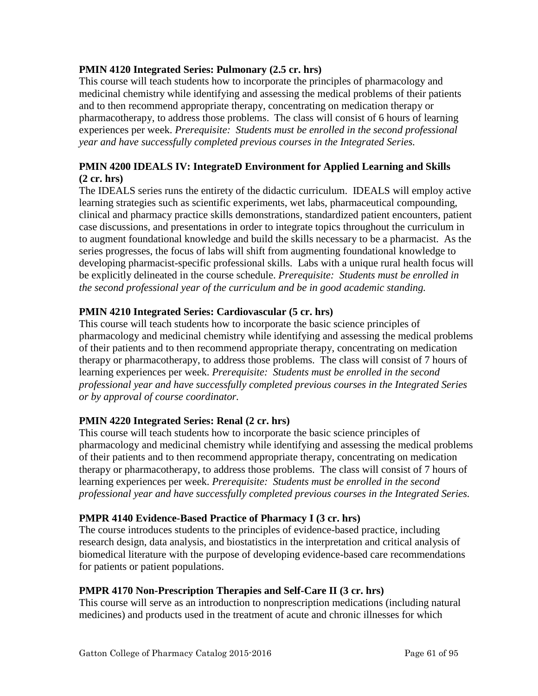## **PMIN 4120 Integrated Series: Pulmonary (2.5 cr. hrs)**

This course will teach students how to incorporate the principles of pharmacology and medicinal chemistry while identifying and assessing the medical problems of their patients and to then recommend appropriate therapy, concentrating on medication therapy or pharmacotherapy, to address those problems. The class will consist of 6 hours of learning experiences per week. *Prerequisite: Students must be enrolled in the second professional year and have successfully completed previous courses in the Integrated Series.*

## **PMIN 4200 IDEALS IV: IntegrateD Environment for Applied Learning and Skills (2 cr. hrs)**

The IDEALS series runs the entirety of the didactic curriculum. IDEALS will employ active learning strategies such as scientific experiments, wet labs, pharmaceutical compounding, clinical and pharmacy practice skills demonstrations, standardized patient encounters, patient case discussions, and presentations in order to integrate topics throughout the curriculum in to augment foundational knowledge and build the skills necessary to be a pharmacist. As the series progresses, the focus of labs will shift from augmenting foundational knowledge to developing pharmacist-specific professional skills. Labs with a unique rural health focus will be explicitly delineated in the course schedule. *Prerequisite: Students must be enrolled in the second professional year of the curriculum and be in good academic standing.*

## **PMIN 4210 Integrated Series: Cardiovascular (5 cr. hrs)**

This course will teach students how to incorporate the basic science principles of pharmacology and medicinal chemistry while identifying and assessing the medical problems of their patients and to then recommend appropriate therapy, concentrating on medication therapy or pharmacotherapy, to address those problems. The class will consist of 7 hours of learning experiences per week. *Prerequisite: Students must be enrolled in the second professional year and have successfully completed previous courses in the Integrated Series or by approval of course coordinator.*

## **PMIN 4220 Integrated Series: Renal (2 cr. hrs)**

This course will teach students how to incorporate the basic science principles of pharmacology and medicinal chemistry while identifying and assessing the medical problems of their patients and to then recommend appropriate therapy, concentrating on medication therapy or pharmacotherapy, to address those problems. The class will consist of 7 hours of learning experiences per week. *Prerequisite: Students must be enrolled in the second professional year and have successfully completed previous courses in the Integrated Series.*

## **PMPR 4140 Evidence-Based Practice of Pharmacy I (3 cr. hrs)**

The course introduces students to the principles of evidence-based practice, including research design, data analysis, and biostatistics in the interpretation and critical analysis of biomedical literature with the purpose of developing evidence-based care recommendations for patients or patient populations.

## **PMPR 4170 Non-Prescription Therapies and Self-Care II (3 cr. hrs)**

This course will serve as an introduction to nonprescription medications (including natural medicines) and products used in the treatment of acute and chronic illnesses for which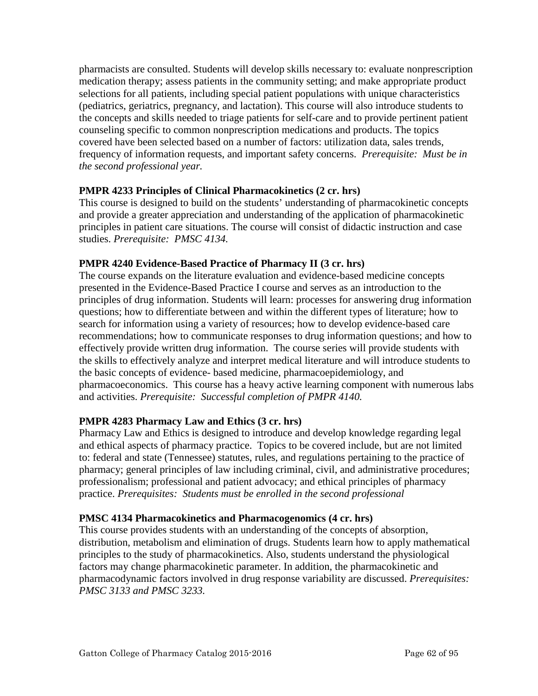pharmacists are consulted. Students will develop skills necessary to: evaluate nonprescription medication therapy; assess patients in the community setting; and make appropriate product selections for all patients, including special patient populations with unique characteristics (pediatrics, geriatrics, pregnancy, and lactation). This course will also introduce students to the concepts and skills needed to triage patients for self-care and to provide pertinent patient counseling specific to common nonprescription medications and products. The topics covered have been selected based on a number of factors: utilization data, sales trends, frequency of information requests, and important safety concerns. *Prerequisite: Must be in the second professional year.*

## **PMPR 4233 Principles of Clinical Pharmacokinetics (2 cr. hrs)**

This course is designed to build on the students' understanding of pharmacokinetic concepts and provide a greater appreciation and understanding of the application of pharmacokinetic principles in patient care situations. The course will consist of didactic instruction and case studies. *Prerequisite: PMSC 4134.*

# **PMPR 4240 Evidence-Based Practice of Pharmacy II (3 cr. hrs)**

The course expands on the literature evaluation and evidence-based medicine concepts presented in the Evidence-Based Practice I course and serves as an introduction to the principles of drug information. Students will learn: processes for answering drug information questions; how to differentiate between and within the different types of literature; how to search for information using a variety of resources; how to develop evidence-based care recommendations; how to communicate responses to drug information questions; and how to effectively provide written drug information. The course series will provide students with the skills to effectively analyze and interpret medical literature and will introduce students to the basic concepts of evidence- based medicine, pharmacoepidemiology, and pharmacoeconomics. This course has a heavy active learning component with numerous labs and activities. *Prerequisite: Successful completion of PMPR 4140.*

# **PMPR 4283 Pharmacy Law and Ethics (3 cr. hrs)**

Pharmacy Law and Ethics is designed to introduce and develop knowledge regarding legal and ethical aspects of pharmacy practice. Topics to be covered include, but are not limited to: federal and state (Tennessee) statutes, rules, and regulations pertaining to the practice of pharmacy; general principles of law including criminal, civil, and administrative procedures; professionalism; professional and patient advocacy; and ethical principles of pharmacy practice. *Prerequisites: Students must be enrolled in the second professional*

## **PMSC 4134 Pharmacokinetics and Pharmacogenomics (4 cr. hrs)**

This course provides students with an understanding of the concepts of absorption, distribution, metabolism and elimination of drugs. Students learn how to apply mathematical principles to the study of pharmacokinetics. Also, students understand the physiological factors may change pharmacokinetic parameter. In addition, the pharmacokinetic and pharmacodynamic factors involved in drug response variability are discussed. *Prerequisites: PMSC 3133 and PMSC 3233.*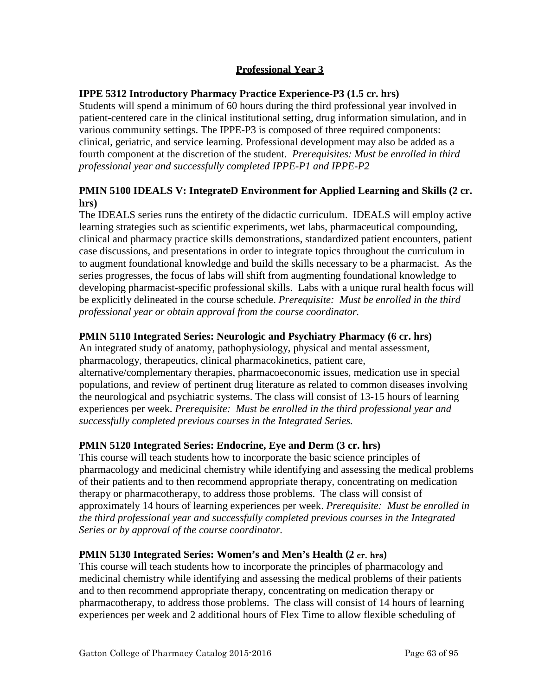# **Professional Year 3**

## **IPPE 5312 Introductory Pharmacy Practice Experience-P3 (1.5 cr. hrs)**

Students will spend a minimum of 60 hours during the third professional year involved in patient-centered care in the clinical institutional setting, drug information simulation, and in various community settings. The IPPE-P3 is composed of three required components: clinical, geriatric, and service learning. Professional development may also be added as a fourth component at the discretion of the student. *Prerequisites: Must be enrolled in third professional year and successfully completed IPPE-P1 and IPPE-P2*

## **PMIN 5100 IDEALS V: IntegrateD Environment for Applied Learning and Skills (2 cr. hrs)**

The IDEALS series runs the entirety of the didactic curriculum. IDEALS will employ active learning strategies such as scientific experiments, wet labs, pharmaceutical compounding, clinical and pharmacy practice skills demonstrations, standardized patient encounters, patient case discussions, and presentations in order to integrate topics throughout the curriculum in to augment foundational knowledge and build the skills necessary to be a pharmacist. As the series progresses, the focus of labs will shift from augmenting foundational knowledge to developing pharmacist-specific professional skills. Labs with a unique rural health focus will be explicitly delineated in the course schedule. *Prerequisite: Must be enrolled in the third professional year or obtain approval from the course coordinator.*

## **PMIN 5110 Integrated Series: Neurologic and Psychiatry Pharmacy (6 cr. hrs)**

An integrated study of anatomy, pathophysiology, physical and mental assessment, pharmacology, therapeutics, clinical pharmacokinetics, patient care, alternative/complementary therapies, pharmacoeconomic issues, medication use in special populations, and review of pertinent drug literature as related to common diseases involving the neurological and psychiatric systems. The class will consist of 13-15 hours of learning experiences per week. *Prerequisite: Must be enrolled in the third professional year and successfully completed previous courses in the Integrated Series.*

## **PMIN 5120 Integrated Series: Endocrine, Eye and Derm (3 cr. hrs)**

This course will teach students how to incorporate the basic science principles of pharmacology and medicinal chemistry while identifying and assessing the medical problems of their patients and to then recommend appropriate therapy, concentrating on medication therapy or pharmacotherapy, to address those problems. The class will consist of approximately 14 hours of learning experiences per week. *Prerequisite: Must be enrolled in the third professional year and successfully completed previous courses in the Integrated Series or by approval of the course coordinator.*

## **PMIN 5130 Integrated Series: Women's and Men's Health (2** cr. hrs**)**

This course will teach students how to incorporate the principles of pharmacology and medicinal chemistry while identifying and assessing the medical problems of their patients and to then recommend appropriate therapy, concentrating on medication therapy or pharmacotherapy, to address those problems. The class will consist of 14 hours of learning experiences per week and 2 additional hours of Flex Time to allow flexible scheduling of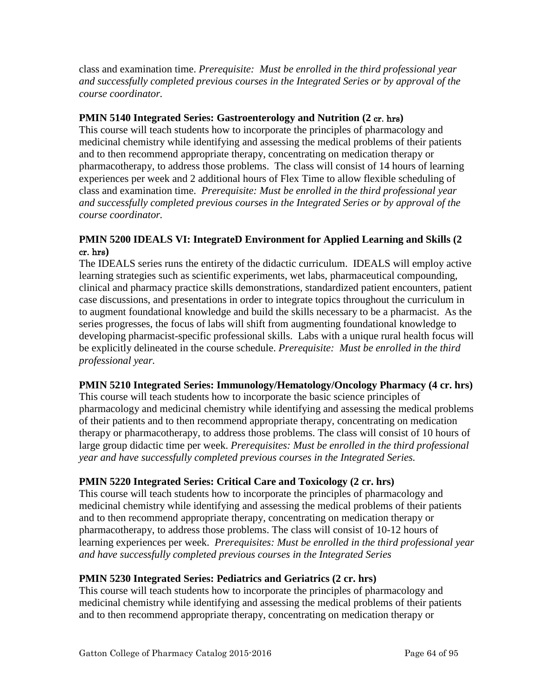class and examination time. *Prerequisite: Must be enrolled in the third professional year and successfully completed previous courses in the Integrated Series or by approval of the course coordinator.*

## **PMIN 5140 Integrated Series: Gastroenterology and Nutrition (2** cr. hrs**)**

This course will teach students how to incorporate the principles of pharmacology and medicinal chemistry while identifying and assessing the medical problems of their patients and to then recommend appropriate therapy, concentrating on medication therapy or pharmacotherapy, to address those problems. The class will consist of 14 hours of learning experiences per week and 2 additional hours of Flex Time to allow flexible scheduling of class and examination time. *Prerequisite: Must be enrolled in the third professional year and successfully completed previous courses in the Integrated Series or by approval of the course coordinator.*

# **PMIN 5200 IDEALS VI: IntegrateD Environment for Applied Learning and Skills (2**  cr. hrs**)**

The IDEALS series runs the entirety of the didactic curriculum. IDEALS will employ active learning strategies such as scientific experiments, wet labs, pharmaceutical compounding, clinical and pharmacy practice skills demonstrations, standardized patient encounters, patient case discussions, and presentations in order to integrate topics throughout the curriculum in to augment foundational knowledge and build the skills necessary to be a pharmacist. As the series progresses, the focus of labs will shift from augmenting foundational knowledge to developing pharmacist-specific professional skills. Labs with a unique rural health focus will be explicitly delineated in the course schedule. *Prerequisite: Must be enrolled in the third professional year.*

# **PMIN 5210 Integrated Series: Immunology/Hematology/Oncology Pharmacy (4 cr. hrs)**

This course will teach students how to incorporate the basic science principles of pharmacology and medicinal chemistry while identifying and assessing the medical problems of their patients and to then recommend appropriate therapy, concentrating on medication therapy or pharmacotherapy, to address those problems. The class will consist of 10 hours of large group didactic time per week. *Prerequisites: Must be enrolled in the third professional year and have successfully completed previous courses in the Integrated Series.*

# **PMIN 5220 Integrated Series: Critical Care and Toxicology (2 cr. hrs)**

This course will teach students how to incorporate the principles of pharmacology and medicinal chemistry while identifying and assessing the medical problems of their patients and to then recommend appropriate therapy, concentrating on medication therapy or pharmacotherapy, to address those problems. The class will consist of 10-12 hours of learning experiences per week. *Prerequisites: Must be enrolled in the third professional year and have successfully completed previous courses in the Integrated Series*

## **PMIN 5230 Integrated Series: Pediatrics and Geriatrics (2 cr. hrs)**

This course will teach students how to incorporate the principles of pharmacology and medicinal chemistry while identifying and assessing the medical problems of their patients and to then recommend appropriate therapy, concentrating on medication therapy or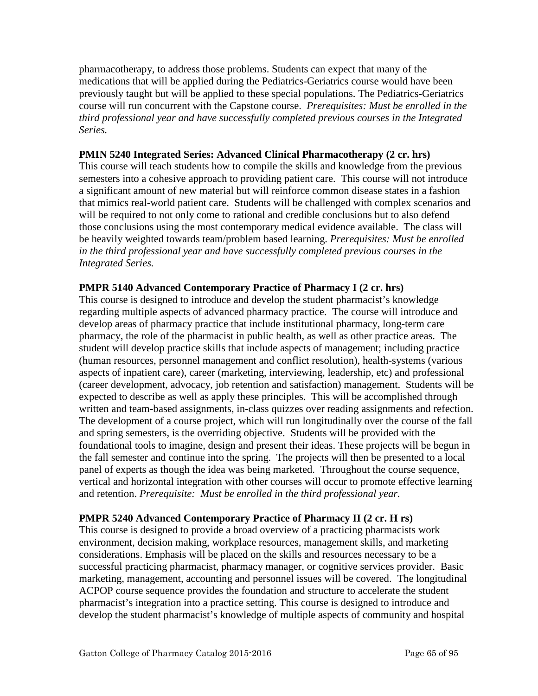pharmacotherapy, to address those problems. Students can expect that many of the medications that will be applied during the Pediatrics-Geriatrics course would have been previously taught but will be applied to these special populations. The Pediatrics-Geriatrics course will run concurrent with the Capstone course. *Prerequisites: Must be enrolled in the third professional year and have successfully completed previous courses in the Integrated Series.*

#### **PMIN 5240 Integrated Series: Advanced Clinical Pharmacotherapy (2 cr. hrs)**

This course will teach students how to compile the skills and knowledge from the previous semesters into a cohesive approach to providing patient care. This course will not introduce a significant amount of new material but will reinforce common disease states in a fashion that mimics real-world patient care. Students will be challenged with complex scenarios and will be required to not only come to rational and credible conclusions but to also defend those conclusions using the most contemporary medical evidence available. The class will be heavily weighted towards team/problem based learning. *Prerequisites: Must be enrolled in the third professional year and have successfully completed previous courses in the Integrated Series.*

#### **PMPR 5140 Advanced Contemporary Practice of Pharmacy I (2 cr. hrs)**

This course is designed to introduce and develop the student pharmacist's knowledge regarding multiple aspects of advanced pharmacy practice. The course will introduce and develop areas of pharmacy practice that include institutional pharmacy, long-term care pharmacy, the role of the pharmacist in public health, as well as other practice areas. The student will develop practice skills that include aspects of management; including practice (human resources, personnel management and conflict resolution), health-systems (various aspects of inpatient care), career (marketing, interviewing, leadership, etc) and professional (career development, advocacy, job retention and satisfaction) management. Students will be expected to describe as well as apply these principles. This will be accomplished through written and team-based assignments, in-class quizzes over reading assignments and refection. The development of a course project, which will run longitudinally over the course of the fall and spring semesters, is the overriding objective. Students will be provided with the foundational tools to imagine, design and present their ideas. These projects will be begun in the fall semester and continue into the spring. The projects will then be presented to a local panel of experts as though the idea was being marketed. Throughout the course sequence, vertical and horizontal integration with other courses will occur to promote effective learning and retention. *Prerequisite: Must be enrolled in the third professional year.*

## **PMPR 5240 Advanced Contemporary Practice of Pharmacy II (2 cr. H rs)**

This course is designed to provide a broad overview of a practicing pharmacists work environment, decision making, workplace resources, management skills, and marketing considerations. Emphasis will be placed on the skills and resources necessary to be a successful practicing pharmacist, pharmacy manager, or cognitive services provider. Basic marketing, management, accounting and personnel issues will be covered. The longitudinal ACPOP course sequence provides the foundation and structure to accelerate the student pharmacist's integration into a practice setting. This course is designed to introduce and develop the student pharmacist's knowledge of multiple aspects of community and hospital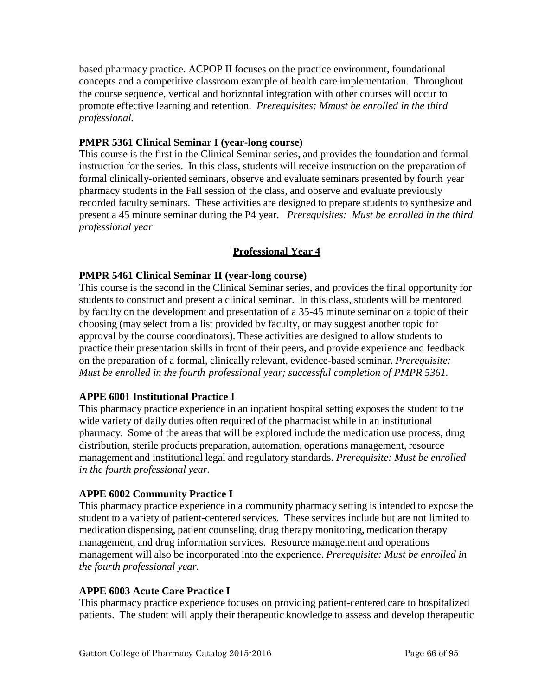based pharmacy practice. ACPOP II focuses on the practice environment, foundational concepts and a competitive classroom example of health care implementation. Throughout the course sequence, vertical and horizontal integration with other courses will occur to promote effective learning and retention. *Prerequisites: Mmust be enrolled in the third professional.* 

## **PMPR 5361 Clinical Seminar I (year-long course)**

This course is the first in the Clinical Seminar series, and provides the foundation and formal instruction for the series. In this class, students will receive instruction on the preparation of formal clinically-oriented seminars, observe and evaluate seminars presented by fourth year pharmacy students in the Fall session of the class, and observe and evaluate previously recorded faculty seminars. These activities are designed to prepare students to synthesize and present a 45 minute seminar during the P4 year. *Prerequisites: Must be enrolled in the third professional year*

## **Professional Year 4**

#### **PMPR 5461 Clinical Seminar II (year-long course)**

This course is the second in the Clinical Seminar series, and provides the final opportunity for students to construct and present a clinical seminar. In this class, students will be mentored by faculty on the development and presentation of a 35-45 minute seminar on a topic of their choosing (may select from a list provided by faculty, or may suggest another topic for approval by the course coordinators). These activities are designed to allow students to practice their presentation skills in front of their peers, and provide experience and feedback on the preparation of a formal, clinically relevant, evidence-based seminar. *Prerequisite: Must be enrolled in the fourth professional year; successful completion of PMPR 5361.*

## **APPE 6001 Institutional Practice I**

This pharmacy practice experience in an inpatient hospital setting exposes the student to the wide variety of daily duties often required of the pharmacist while in an institutional pharmacy. Some of the areas that will be explored include the medication use process, drug distribution, sterile products preparation, automation, operations management, resource management and institutional legal and regulatory standards. *Prerequisite: Must be enrolled in the fourth professional year.*

## **APPE 6002 Community Practice I**

This pharmacy practice experience in a community pharmacy setting is intended to expose the student to a variety of patient-centered services. These services include but are not limited to medication dispensing, patient counseling, drug therapy monitoring, medication therapy management, and drug information services. Resource management and operations management will also be incorporated into the experience. *Prerequisite: Must be enrolled in the fourth professional year.*

#### **APPE 6003 Acute Care Practice I**

This pharmacy practice experience focuses on providing patient-centered care to hospitalized patients. The student will apply their therapeutic knowledge to assess and develop therapeutic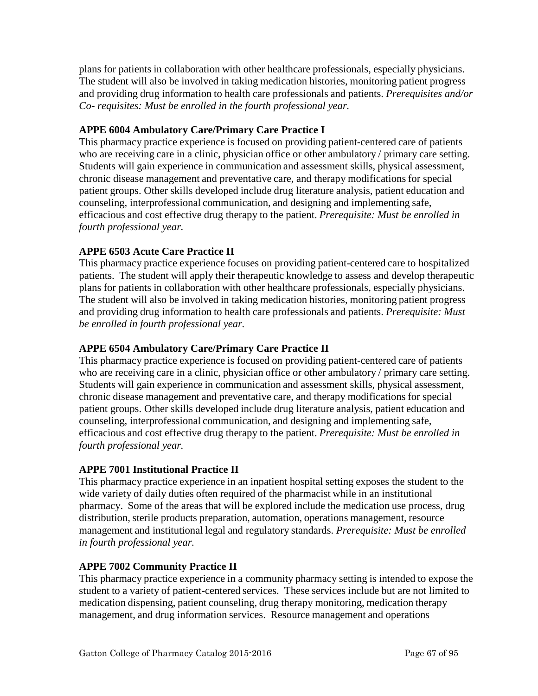plans for patients in collaboration with other healthcare professionals, especially physicians. The student will also be involved in taking medication histories, monitoring patient progress and providing drug information to health care professionals and patients. *Prerequisites and/or Co- requisites: Must be enrolled in the fourth professional year.*

# **APPE 6004 Ambulatory Care/Primary Care Practice I**

This pharmacy practice experience is focused on providing patient-centered care of patients who are receiving care in a clinic, physician office or other ambulatory / primary care setting. Students will gain experience in communication and assessment skills, physical assessment, chronic disease management and preventative care, and therapy modifications for special patient groups. Other skills developed include drug literature analysis, patient education and counseling, interprofessional communication, and designing and implementing safe, efficacious and cost effective drug therapy to the patient. *Prerequisite: Must be enrolled in fourth professional year.*

# **APPE 6503 Acute Care Practice II**

This pharmacy practice experience focuses on providing patient-centered care to hospitalized patients. The student will apply their therapeutic knowledge to assess and develop therapeutic plans for patients in collaboration with other healthcare professionals, especially physicians. The student will also be involved in taking medication histories, monitoring patient progress and providing drug information to health care professionals and patients. *Prerequisite: Must be enrolled in fourth professional year.*

## **APPE 6504 Ambulatory Care/Primary Care Practice II**

This pharmacy practice experience is focused on providing patient-centered care of patients who are receiving care in a clinic, physician office or other ambulatory / primary care setting. Students will gain experience in communication and assessment skills, physical assessment, chronic disease management and preventative care, and therapy modifications for special patient groups. Other skills developed include drug literature analysis, patient education and counseling, interprofessional communication, and designing and implementing safe, efficacious and cost effective drug therapy to the patient. *Prerequisite: Must be enrolled in fourth professional year.*

## **APPE 7001 Institutional Practice II**

This pharmacy practice experience in an inpatient hospital setting exposes the student to the wide variety of daily duties often required of the pharmacist while in an institutional pharmacy. Some of the areas that will be explored include the medication use process, drug distribution, sterile products preparation, automation, operations management, resource management and institutional legal and regulatory standards. *Prerequisite: Must be enrolled in fourth professional year.*

## **APPE 7002 Community Practice II**

This pharmacy practice experience in a community pharmacy setting is intended to expose the student to a variety of patient-centered services. These services include but are not limited to medication dispensing, patient counseling, drug therapy monitoring, medication therapy management, and drug information services. Resource management and operations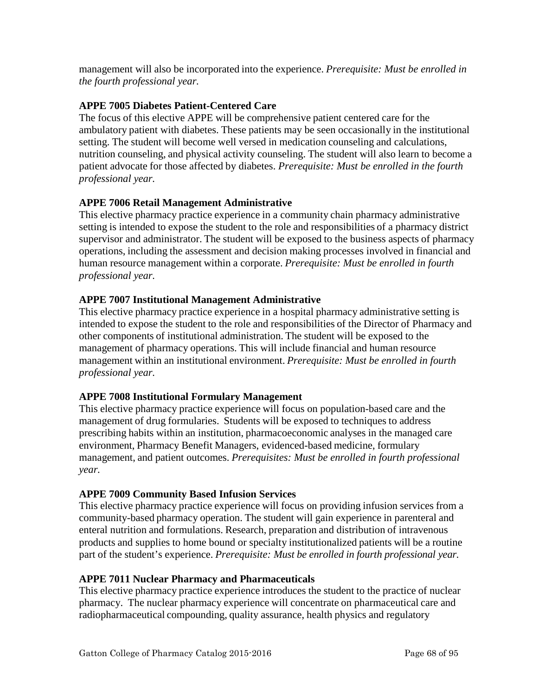management will also be incorporated into the experience. *Prerequisite: Must be enrolled in the fourth professional year.*

## **APPE 7005 Diabetes Patient-Centered Care**

The focus of this elective APPE will be comprehensive patient centered care for the ambulatory patient with diabetes. These patients may be seen occasionally in the institutional setting. The student will become well versed in medication counseling and calculations, nutrition counseling, and physical activity counseling. The student will also learn to become a patient advocate for those affected by diabetes. *Prerequisite: Must be enrolled in the fourth professional year.*

# **APPE 7006 Retail Management Administrative**

This elective pharmacy practice experience in a community chain pharmacy administrative setting is intended to expose the student to the role and responsibilities of a pharmacy district supervisor and administrator. The student will be exposed to the business aspects of pharmacy operations, including the assessment and decision making processes involved in financial and human resource management within a corporate. *Prerequisite: Must be enrolled in fourth professional year.*

# **APPE 7007 Institutional Management Administrative**

This elective pharmacy practice experience in a hospital pharmacy administrative setting is intended to expose the student to the role and responsibilities of the Director of Pharmacy and other components of institutional administration. The student will be exposed to the management of pharmacy operations. This will include financial and human resource management within an institutional environment. *Prerequisite: Must be enrolled in fourth professional year.*

## **APPE 7008 Institutional Formulary Management**

This elective pharmacy practice experience will focus on population-based care and the management of drug formularies. Students will be exposed to techniques to address prescribing habits within an institution, pharmacoeconomic analyses in the managed care environment, Pharmacy Benefit Managers, evidenced-based medicine, formulary management, and patient outcomes. *Prerequisites: Must be enrolled in fourth professional year.*

## **APPE 7009 Community Based Infusion Services**

This elective pharmacy practice experience will focus on providing infusion services from a community-based pharmacy operation. The student will gain experience in parenteral and enteral nutrition and formulations. Research, preparation and distribution of intravenous products and supplies to home bound or specialty institutionalized patients will be a routine part of the student's experience. *Prerequisite: Must be enrolled in fourth professional year.*

## **APPE 7011 Nuclear Pharmacy and Pharmaceuticals**

This elective pharmacy practice experience introduces the student to the practice of nuclear pharmacy. The nuclear pharmacy experience will concentrate on pharmaceutical care and radiopharmaceutical compounding, quality assurance, health physics and regulatory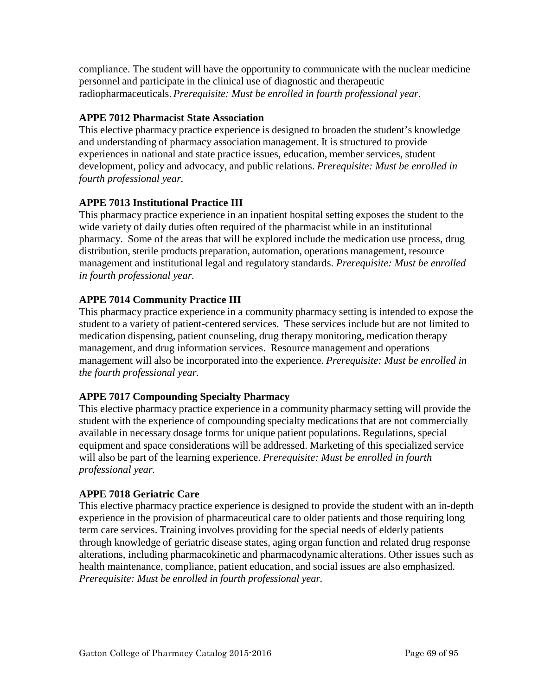compliance. The student will have the opportunity to communicate with the nuclear medicine personnel and participate in the clinical use of diagnostic and therapeutic radiopharmaceuticals. *Prerequisite: Must be enrolled in fourth professional year.*

# **APPE 7012 Pharmacist State Association**

This elective pharmacy practice experience is designed to broaden the student's knowledge and understanding of pharmacy association management. It is structured to provide experiences in national and state practice issues, education, member services, student development, policy and advocacy, and public relations. *Prerequisite: Must be enrolled in fourth professional year.*

# **APPE 7013 Institutional Practice III**

This pharmacy practice experience in an inpatient hospital setting exposes the student to the wide variety of daily duties often required of the pharmacist while in an institutional pharmacy. Some of the areas that will be explored include the medication use process, drug distribution, sterile products preparation, automation, operations management, resource management and institutional legal and regulatory standards. *Prerequisite: Must be enrolled in fourth professional year.*

# **APPE 7014 Community Practice III**

This pharmacy practice experience in a community pharmacy setting is intended to expose the student to a variety of patient-centered services. These services include but are not limited to medication dispensing, patient counseling, drug therapy monitoring, medication therapy management, and drug information services. Resource management and operations management will also be incorporated into the experience. *Prerequisite: Must be enrolled in the fourth professional year.*

## **APPE 7017 Compounding Specialty Pharmacy**

This elective pharmacy practice experience in a community pharmacy setting will provide the student with the experience of compounding specialty medications that are not commercially available in necessary dosage forms for unique patient populations. Regulations, special equipment and space considerations will be addressed. Marketing of this specialized service will also be part of the learning experience. *Prerequisite: Must be enrolled in fourth professional year.*

## **APPE 7018 Geriatric Care**

This elective pharmacy practice experience is designed to provide the student with an in-depth experience in the provision of pharmaceutical care to older patients and those requiring long term care services. Training involves providing for the special needs of elderly patients through knowledge of geriatric disease states, aging organ function and related drug response alterations, including pharmacokinetic and pharmacodynamic alterations. Other issues such as health maintenance, compliance, patient education, and social issues are also emphasized. *Prerequisite: Must be enrolled in fourth professional year.*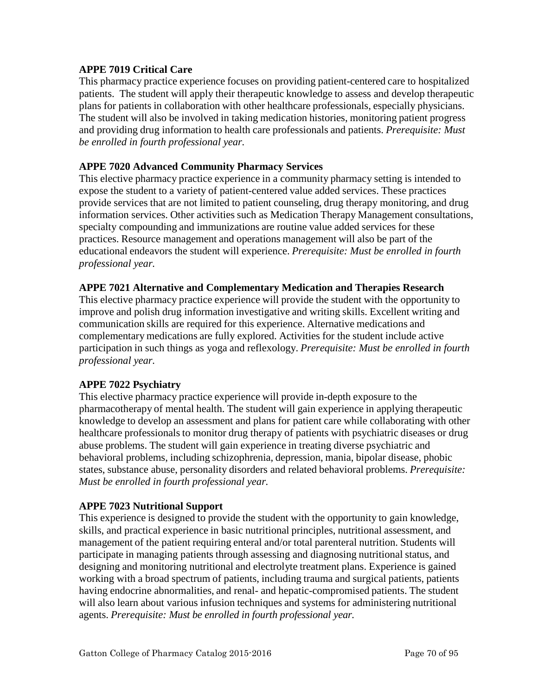#### **APPE 7019 Critical Care**

This pharmacy practice experience focuses on providing patient-centered care to hospitalized patients. The student will apply their therapeutic knowledge to assess and develop therapeutic plans for patients in collaboration with other healthcare professionals, especially physicians. The student will also be involved in taking medication histories, monitoring patient progress and providing drug information to health care professionals and patients. *Prerequisite: Must be enrolled in fourth professional year.*

#### **APPE 7020 Advanced Community Pharmacy Services**

This elective pharmacy practice experience in a community pharmacy setting is intended to expose the student to a variety of patient-centered value added services. These practices provide services that are not limited to patient counseling, drug therapy monitoring, and drug information services. Other activities such as Medication Therapy Management consultations, specialty compounding and immunizations are routine value added services for these practices. Resource management and operations management will also be part of the educational endeavors the student will experience. *Prerequisite: Must be enrolled in fourth professional year.*

#### **APPE 7021 Alternative and Complementary Medication and Therapies Research**

This elective pharmacy practice experience will provide the student with the opportunity to improve and polish drug information investigative and writing skills. Excellent writing and communication skills are required for this experience. Alternative medications and complementary medications are fully explored. Activities for the student include active participation in such things as yoga and reflexology. *Prerequisite: Must be enrolled in fourth professional year.*

## **APPE 7022 Psychiatry**

This elective pharmacy practice experience will provide in-depth exposure to the pharmacotherapy of mental health. The student will gain experience in applying therapeutic knowledge to develop an assessment and plans for patient care while collaborating with other healthcare professionals to monitor drug therapy of patients with psychiatric diseases or drug abuse problems. The student will gain experience in treating diverse psychiatric and behavioral problems, including schizophrenia, depression, mania, bipolar disease, phobic states, substance abuse, personality disorders and related behavioral problems. *Prerequisite: Must be enrolled in fourth professional year.*

#### **APPE 7023 Nutritional Support**

This experience is designed to provide the student with the opportunity to gain knowledge, skills, and practical experience in basic nutritional principles, nutritional assessment, and management of the patient requiring enteral and/or total parenteral nutrition. Students will participate in managing patients through assessing and diagnosing nutritional status, and designing and monitoring nutritional and electrolyte treatment plans. Experience is gained working with a broad spectrum of patients, including trauma and surgical patients, patients having endocrine abnormalities, and renal- and hepatic-compromised patients. The student will also learn about various infusion techniques and systems for administering nutritional agents. *Prerequisite: Must be enrolled in fourth professional year.*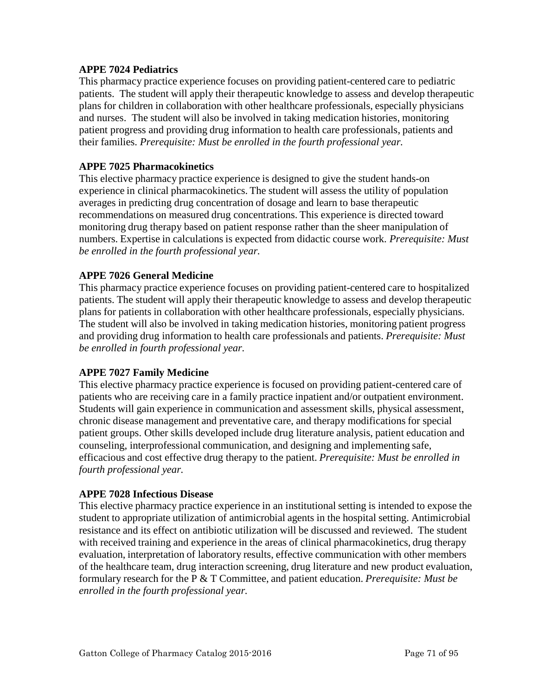#### **APPE 7024 Pediatrics**

This pharmacy practice experience focuses on providing patient-centered care to pediatric patients. The student will apply their therapeutic knowledge to assess and develop therapeutic plans for children in collaboration with other healthcare professionals, especially physicians and nurses. The student will also be involved in taking medication histories, monitoring patient progress and providing drug information to health care professionals, patients and their families. *Prerequisite: Must be enrolled in the fourth professional year.*

#### **APPE 7025 Pharmacokinetics**

This elective pharmacy practice experience is designed to give the student hands-on experience in clinical pharmacokinetics. The student will assess the utility of population averages in predicting drug concentration of dosage and learn to base therapeutic recommendations on measured drug concentrations. This experience is directed toward monitoring drug therapy based on patient response rather than the sheer manipulation of numbers. Expertise in calculations is expected from didactic course work. *Prerequisite: Must be enrolled in the fourth professional year.*

#### **APPE 7026 General Medicine**

This pharmacy practice experience focuses on providing patient-centered care to hospitalized patients. The student will apply their therapeutic knowledge to assess and develop therapeutic plans for patients in collaboration with other healthcare professionals, especially physicians. The student will also be involved in taking medication histories, monitoring patient progress and providing drug information to health care professionals and patients. *Prerequisite: Must be enrolled in fourth professional year.*

#### **APPE 7027 Family Medicine**

This elective pharmacy practice experience is focused on providing patient-centered care of patients who are receiving care in a family practice inpatient and/or outpatient environment. Students will gain experience in communication and assessment skills, physical assessment, chronic disease management and preventative care, and therapy modifications for special patient groups. Other skills developed include drug literature analysis, patient education and counseling, interprofessional communication, and designing and implementing safe, efficacious and cost effective drug therapy to the patient. *Prerequisite: Must be enrolled in fourth professional year.*

#### **APPE 7028 Infectious Disease**

This elective pharmacy practice experience in an institutional setting is intended to expose the student to appropriate utilization of antimicrobial agents in the hospital setting. Antimicrobial resistance and its effect on antibiotic utilization will be discussed and reviewed. The student with received training and experience in the areas of clinical pharmacokinetics, drug therapy evaluation, interpretation of laboratory results, effective communication with other members of the healthcare team, drug interaction screening, drug literature and new product evaluation, formulary research for the P & T Committee, and patient education. *Prerequisite: Must be enrolled in the fourth professional year.*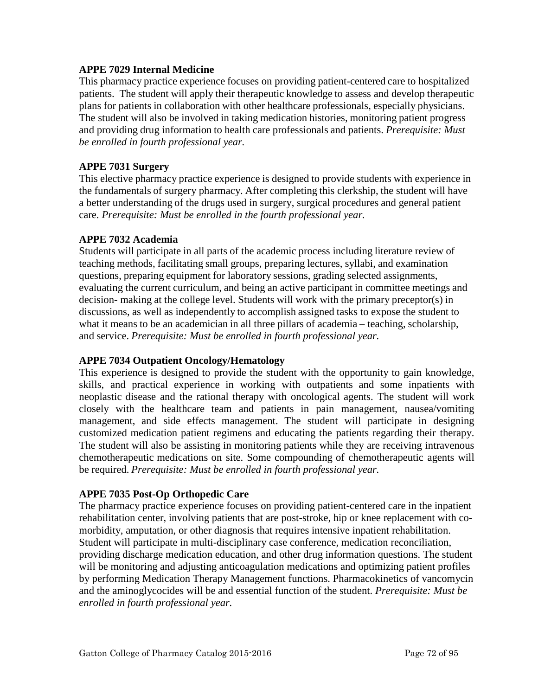#### **APPE 7029 Internal Medicine**

This pharmacy practice experience focuses on providing patient-centered care to hospitalized patients. The student will apply their therapeutic knowledge to assess and develop therapeutic plans for patients in collaboration with other healthcare professionals, especially physicians. The student will also be involved in taking medication histories, monitoring patient progress and providing drug information to health care professionals and patients. *Prerequisite: Must be enrolled in fourth professional year.*

## **APPE 7031 Surgery**

This elective pharmacy practice experience is designed to provide students with experience in the fundamentals of surgery pharmacy. After completing this clerkship, the student will have a better understanding of the drugs used in surgery, surgical procedures and general patient care. *Prerequisite: Must be enrolled in the fourth professional year.*

#### **APPE 7032 Academia**

Students will participate in all parts of the academic process including literature review of teaching methods, facilitating small groups, preparing lectures, syllabi, and examination questions, preparing equipment for laboratory sessions, grading selected assignments, evaluating the current curriculum, and being an active participant in committee meetings and decision- making at the college level. Students will work with the primary preceptor(s) in discussions, as well as independently to accomplish assigned tasks to expose the student to what it means to be an academician in all three pillars of academia – teaching, scholarship, and service. *Prerequisite: Must be enrolled in fourth professional year.*

#### **APPE 7034 Outpatient Oncology/Hematology**

This experience is designed to provide the student with the opportunity to gain knowledge, skills, and practical experience in working with outpatients and some inpatients with neoplastic disease and the rational therapy with oncological agents. The student will work closely with the healthcare team and patients in pain management, nausea/vomiting management, and side effects management. The student will participate in designing customized medication patient regimens and educating the patients regarding their therapy. The student will also be assisting in monitoring patients while they are receiving intravenous chemotherapeutic medications on site. Some compounding of chemotherapeutic agents will be required. *Prerequisite: Must be enrolled in fourth professional year.*

## **APPE 7035 Post-Op Orthopedic Care**

The pharmacy practice experience focuses on providing patient-centered care in the inpatient rehabilitation center, involving patients that are post-stroke, hip or knee replacement with comorbidity, amputation, or other diagnosis that requires intensive inpatient rehabilitation. Student will participate in multi-disciplinary case conference, medication reconciliation, providing discharge medication education, and other drug information questions. The student will be monitoring and adjusting anticoagulation medications and optimizing patient profiles by performing Medication Therapy Management functions. Pharmacokinetics of vancomycin and the aminoglycocides will be and essential function of the student. *Prerequisite: Must be enrolled in fourth professional year.*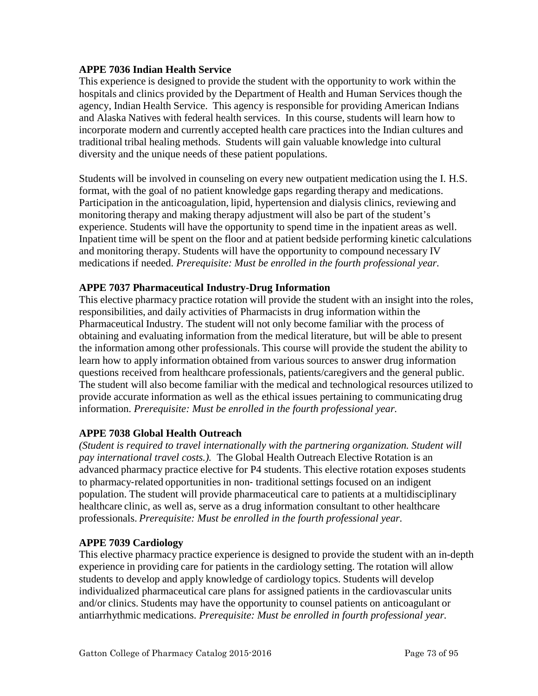#### **APPE 7036 Indian Health Service**

This experience is designed to provide the student with the opportunity to work within the hospitals and clinics provided by the Department of Health and Human Services though the agency, Indian Health Service. This agency is responsible for providing American Indians and Alaska Natives with federal health services. In this course, students will learn how to incorporate modern and currently accepted health care practices into the Indian cultures and traditional tribal healing methods. Students will gain valuable knowledge into cultural diversity and the unique needs of these patient populations.

Students will be involved in counseling on every new outpatient medication using the I. H.S. format, with the goal of no patient knowledge gaps regarding therapy and medications. Participation in the anticoagulation, lipid, hypertension and dialysis clinics, reviewing and monitoring therapy and making therapy adjustment will also be part of the student's experience. Students will have the opportunity to spend time in the inpatient areas as well. Inpatient time will be spent on the floor and at patient bedside performing kinetic calculations and monitoring therapy. Students will have the opportunity to compound necessary IV medications if needed. *Prerequisite: Must be enrolled in the fourth professional year.*

### **APPE 7037 Pharmaceutical Industry-Drug Information**

This elective pharmacy practice rotation will provide the student with an insight into the roles, responsibilities, and daily activities of Pharmacists in drug information within the Pharmaceutical Industry. The student will not only become familiar with the process of obtaining and evaluating information from the medical literature, but will be able to present the information among other professionals. This course will provide the student the ability to learn how to apply information obtained from various sources to answer drug information questions received from healthcare professionals, patients/caregivers and the general public. The student will also become familiar with the medical and technological resources utilized to provide accurate information as well as the ethical issues pertaining to communicating drug information. *Prerequisite: Must be enrolled in the fourth professional year.*

#### **APPE 7038 Global Health Outreach**

*(Student is required to travel internationally with the partnering organization. Student will pay international travel costs.).* The Global Health Outreach Elective Rotation is an advanced pharmacy practice elective for P4 students. This elective rotation exposes students to pharmacy‐related opportunities in non‐ traditional settings focused on an indigent population. The student will provide pharmaceutical care to patients at a multidisciplinary healthcare clinic, as well as, serve as a drug information consultant to other healthcare professionals. *Prerequisite: Must be enrolled in the fourth professional year.* 

#### **APPE 7039 Cardiology**

This elective pharmacy practice experience is designed to provide the student with an in-depth experience in providing care for patients in the cardiology setting. The rotation will allow students to develop and apply knowledge of cardiology topics. Students will develop individualized pharmaceutical care plans for assigned patients in the cardiovascular units and/or clinics. Students may have the opportunity to counsel patients on anticoagulant or antiarrhythmic medications. *Prerequisite: Must be enrolled in fourth professional year.*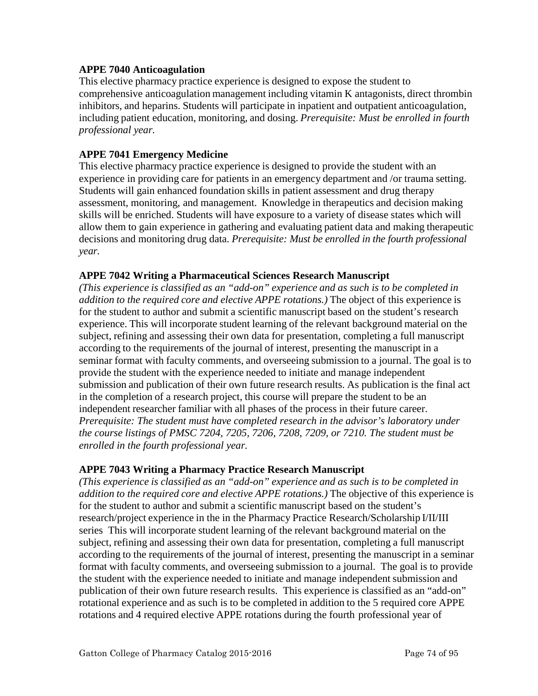#### **APPE 7040 Anticoagulation**

This elective pharmacy practice experience is designed to expose the student to comprehensive anticoagulation management including vitamin K antagonists, direct thrombin inhibitors, and heparins. Students will participate in inpatient and outpatient anticoagulation, including patient education, monitoring, and dosing. *Prerequisite: Must be enrolled in fourth professional year.*

### **APPE 7041 Emergency Medicine**

This elective pharmacy practice experience is designed to provide the student with an experience in providing care for patients in an emergency department and /or trauma setting. Students will gain enhanced foundation skills in patient assessment and drug therapy assessment, monitoring, and management. Knowledge in therapeutics and decision making skills will be enriched. Students will have exposure to a variety of disease states which will allow them to gain experience in gathering and evaluating patient data and making therapeutic decisions and monitoring drug data. *Prerequisite: Must be enrolled in the fourth professional year.*

### **APPE 7042 Writing a Pharmaceutical Sciences Research Manuscript**

*(This experience is classified as an "add-on" experience and as such is to be completed in addition to the required core and elective APPE rotations.)* The object of this experience is for the student to author and submit a scientific manuscript based on the student's research experience. This will incorporate student learning of the relevant background material on the subject, refining and assessing their own data for presentation, completing a full manuscript according to the requirements of the journal of interest, presenting the manuscript in a seminar format with faculty comments, and overseeing submission to a journal. The goal is to provide the student with the experience needed to initiate and manage independent submission and publication of their own future research results. As publication is the final act in the completion of a research project, this course will prepare the student to be an independent researcher familiar with all phases of the process in their future career. *Prerequisite: The student must have completed research in the advisor's laboratory under the course listings of PMSC 7204, 7205, 7206, 7208, 7209, or 7210. The student must be enrolled in the fourth professional year.*

### **APPE 7043 Writing a Pharmacy Practice Research Manuscript**

*(This experience is classified as an "add-on" experience and as such is to be completed in addition to the required core and elective APPE rotations.)* The objective of this experience is for the student to author and submit a scientific manuscript based on the student's research/project experience in the in the Pharmacy Practice Research/Scholarship I/II/III series This will incorporate student learning of the relevant background material on the subject, refining and assessing their own data for presentation, completing a full manuscript according to the requirements of the journal of interest, presenting the manuscript in a seminar format with faculty comments, and overseeing submission to a journal. The goal is to provide the student with the experience needed to initiate and manage independent submission and publication of their own future research results. This experience is classified as an "add-on" rotational experience and as such is to be completed in addition to the 5 required core APPE rotations and 4 required elective APPE rotations during the fourth professional year of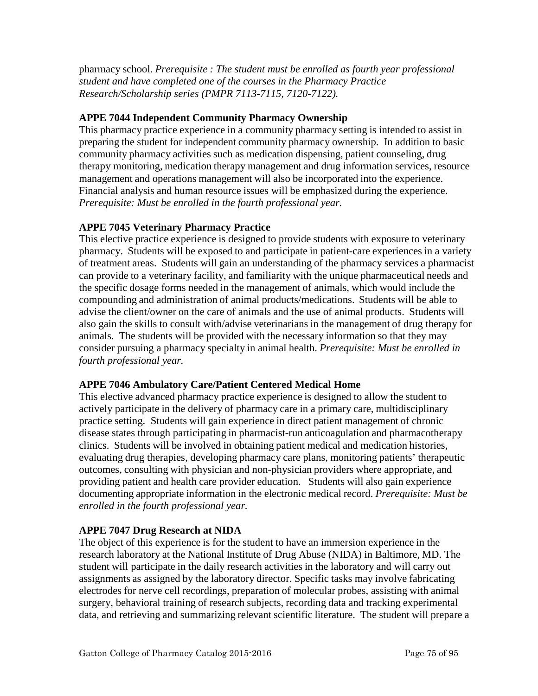pharmacy school. *Prerequisite : The student must be enrolled as fourth year professional student and have completed one of the courses in the Pharmacy Practice Research/Scholarship series (PMPR 7113-7115, 7120-7122).*

### **APPE 7044 Independent Community Pharmacy Ownership**

This pharmacy practice experience in a community pharmacy setting is intended to assist in preparing the student for independent community pharmacy ownership. In addition to basic community pharmacy activities such as medication dispensing, patient counseling, drug therapy monitoring, medication therapy management and drug information services, resource management and operations management will also be incorporated into the experience. Financial analysis and human resource issues will be emphasized during the experience. *Prerequisite: Must be enrolled in the fourth professional year.*

# **APPE 7045 Veterinary Pharmacy Practice**

This elective practice experience is designed to provide students with exposure to veterinary pharmacy. Students will be exposed to and participate in patient-care experiences in a variety of treatment areas. Students will gain an understanding of the pharmacy services a pharmacist can provide to a veterinary facility, and familiarity with the unique pharmaceutical needs and the specific dosage forms needed in the management of animals, which would include the compounding and administration of animal products/medications. Students will be able to advise the client/owner on the care of animals and the use of animal products. Students will also gain the skills to consult with/advise veterinarians in the management of drug therapy for animals. The students will be provided with the necessary information so that they may consider pursuing a pharmacy specialty in animal health. *Prerequisite: Must be enrolled in fourth professional year.*

### **APPE 7046 Ambulatory Care/Patient Centered Medical Home**

This elective advanced pharmacy practice experience is designed to allow the student to actively participate in the delivery of pharmacy care in a primary care, multidisciplinary practice setting. Students will gain experience in direct patient management of chronic disease states through participating in pharmacist-run anticoagulation and pharmacotherapy clinics. Students will be involved in obtaining patient medical and medication histories, evaluating drug therapies, developing pharmacy care plans, monitoring patients' therapeutic outcomes, consulting with physician and non-physician providers where appropriate, and providing patient and health care provider education. Students will also gain experience documenting appropriate information in the electronic medical record. *Prerequisite: Must be enrolled in the fourth professional year.*

### **APPE 7047 Drug Research at NIDA**

The object of this experience is for the student to have an immersion experience in the research laboratory at the National Institute of Drug Abuse (NIDA) in Baltimore, MD. The student will participate in the daily research activities in the laboratory and will carry out assignments as assigned by the laboratory director. Specific tasks may involve fabricating electrodes for nerve cell recordings, preparation of molecular probes, assisting with animal surgery, behavioral training of research subjects, recording data and tracking experimental data, and retrieving and summarizing relevant scientific literature. The student will prepare a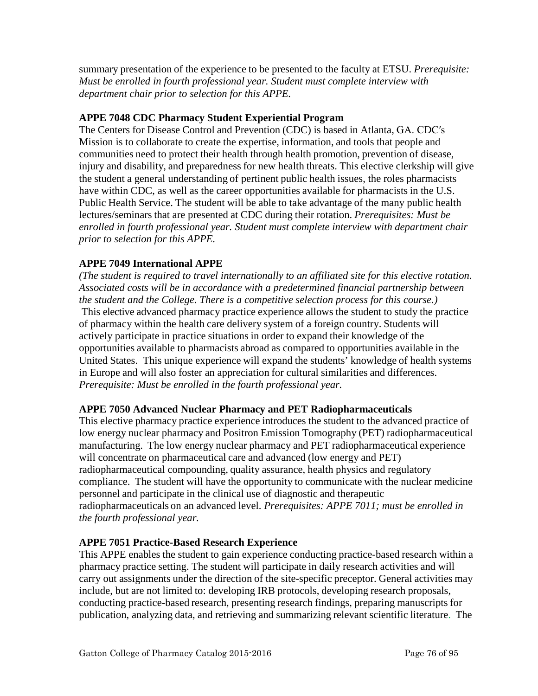summary presentation of the experience to be presented to the faculty at ETSU. *Prerequisite: Must be enrolled in fourth professional year. Student must complete interview with department chair prior to selection for this APPE.*

### **APPE 7048 CDC Pharmacy Student Experiential Program**

The Centers for Disease Control and Prevention (CDC) is based in Atlanta, GA. CDC′s Mission is to collaborate to create the expertise, information, and tools that people and communities need to protect their health through health promotion, prevention of disease, injury and disability, and preparedness for new health threats. This elective clerkship will give the student a general understanding of pertinent public health issues, the roles pharmacists have within CDC, as well as the career opportunities available for pharmacists in the U.S. Public Health Service. The student will be able to take advantage of the many public health lectures/seminars that are presented at CDC during their rotation. *Prerequisites: Must be enrolled in fourth professional year. Student must complete interview with department chair prior to selection for this APPE.*

# **APPE 7049 International APPE**

*(The student is required to travel internationally to an affiliated site for this elective rotation. Associated costs will be in accordance with a predetermined financial partnership between the student and the College. There is a competitive selection process for this course.)* This elective advanced pharmacy practice experience allows the student to study the practice of pharmacy within the health care delivery system of a foreign country. Students will actively participate in practice situations in order to expand their knowledge of the opportunities available to pharmacists abroad as compared to opportunities available in the United States. This unique experience will expand the students' knowledge of health systems in Europe and will also foster an appreciation for cultural similarities and differences. *Prerequisite: Must be enrolled in the fourth professional year.* 

### **APPE 7050 Advanced Nuclear Pharmacy and PET Radiopharmaceuticals**

This elective pharmacy practice experience introduces the student to the advanced practice of low energy nuclear pharmacy and Positron Emission Tomography (PET) radiopharmaceutical manufacturing. The low energy nuclear pharmacy and PET radiopharmaceutical experience will concentrate on pharmaceutical care and advanced (low energy and PET) radiopharmaceutical compounding, quality assurance, health physics and regulatory compliance. The student will have the opportunity to communicate with the nuclear medicine personnel and participate in the clinical use of diagnostic and therapeutic radiopharmaceuticals on an advanced level. *Prerequisites: APPE 7011; must be enrolled in the fourth professional year.*

### **APPE 7051 Practice-Based Research Experience**

This APPE enables the student to gain experience conducting practice-based research within a pharmacy practice setting. The student will participate in daily research activities and will carry out assignments under the direction of the site-specific preceptor. General activities may include, but are not limited to: developing IRB protocols, developing research proposals, conducting practice-based research, presenting research findings, preparing manuscripts for publication, analyzing data, and retrieving and summarizing relevant scientific literature. The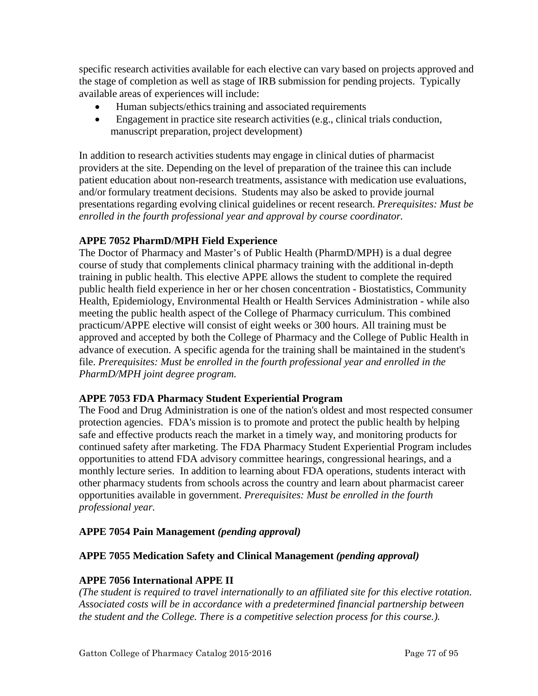specific research activities available for each elective can vary based on projects approved and the stage of completion as well as stage of IRB submission for pending projects. Typically available areas of experiences will include:

- Human subjects/ethics training and associated requirements
- Engagement in practice site research activities (e.g., clinical trials conduction, manuscript preparation, project development)

In addition to research activities students may engage in clinical duties of pharmacist providers at the site. Depending on the level of preparation of the trainee this can include patient education about non-research treatments, assistance with medication use evaluations, and/or formulary treatment decisions. Students may also be asked to provide journal presentations regarding evolving clinical guidelines or recent research. *Prerequisites: Must be enrolled in the fourth professional year and approval by course coordinator.*

# **APPE 7052 PharmD/MPH Field Experience**

The Doctor of Pharmacy and Master's of Public Health (PharmD/MPH) is a dual degree course of study that complements clinical pharmacy training with the additional in-depth training in public health. This elective APPE allows the student to complete the required public health field experience in her or her chosen concentration - Biostatistics, Community Health, Epidemiology, Environmental Health or Health Services Administration - while also meeting the public health aspect of the College of Pharmacy curriculum. This combined practicum/APPE elective will consist of eight weeks or 300 hours. All training must be approved and accepted by both the College of Pharmacy and the College of Public Health in advance of execution. A specific agenda for the training shall be maintained in the student's file. *Prerequisites: Must be enrolled in the fourth professional year and enrolled in the PharmD/MPH joint degree program.*

### **APPE 7053 FDA Pharmacy Student Experiential Program**

The Food and Drug Administration is one of the nation's oldest and most respected consumer protection agencies. [FDA's mission](http://www.fda.gov/AboutFDA/WhatWeDo/default.htm) is to promote and protect the public health by helping safe and effective products reach the market in a timely way, and monitoring products for continued safety after marketing. The FDA Pharmacy Student Experiential Program includes opportunities to attend FDA [advisory committee hearings,](http://www.fda.gov/oc/advisory/default.htm) [congressional hearings,](http://www.gpoaccess.gov/chearings/index.html) and a monthly lecture series. In addition to learning about FDA operations, students interact with other pharmacy students from schools across the country and learn about pharmacist career opportunities available in government. *Prerequisites: Must be enrolled in the fourth professional year.*

# **APPE 7054 Pain Management** *(pending approval)*

### **APPE 7055 Medication Safety and Clinical Management** *(pending approval)*

### **APPE 7056 International APPE II**

*(The student is required to travel internationally to an affiliated site for this elective rotation. Associated costs will be in accordance with a predetermined financial partnership between the student and the College. There is a competitive selection process for this course.).*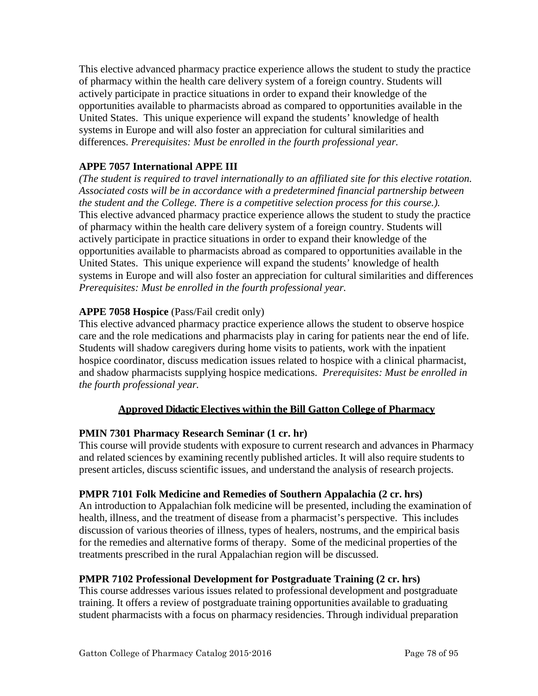This elective advanced pharmacy practice experience allows the student to study the practice of pharmacy within the health care delivery system of a foreign country. Students will actively participate in practice situations in order to expand their knowledge of the opportunities available to pharmacists abroad as compared to opportunities available in the United States. This unique experience will expand the students' knowledge of health systems in Europe and will also foster an appreciation for cultural similarities and differences. *Prerequisites: Must be enrolled in the fourth professional year.* 

# **APPE 7057 International APPE III**

*(The student is required to travel internationally to an affiliated site for this elective rotation. Associated costs will be in accordance with a predetermined financial partnership between the student and the College. There is a competitive selection process for this course.).* This elective advanced pharmacy practice experience allows the student to study the practice of pharmacy within the health care delivery system of a foreign country. Students will actively participate in practice situations in order to expand their knowledge of the opportunities available to pharmacists abroad as compared to opportunities available in the United States. This unique experience will expand the students' knowledge of health systems in Europe and will also foster an appreciation for cultural similarities and differences *Prerequisites: Must be enrolled in the fourth professional year.*

### **APPE 7058 Hospice** (Pass/Fail credit only)

This elective advanced pharmacy practice experience allows the student to observe hospice care and the role medications and pharmacists play in caring for patients near the end of life. Students will shadow caregivers during home visits to patients, work with the inpatient hospice coordinator, discuss medication issues related to hospice with a clinical pharmacist, and shadow pharmacists supplying hospice medications. *Prerequisites: Must be enrolled in the fourth professional year.*

### **Approved Didactic Electives within the Bill Gatton College of Pharmacy**

### **PMIN 7301 Pharmacy Research Seminar (1 cr. hr)**

This course will provide students with exposure to current research and advances in Pharmacy and related sciences by examining recently published articles. It will also require students to present articles, discuss scientific issues, and understand the analysis of research projects.

#### **PMPR 7101 Folk Medicine and Remedies of Southern Appalachia (2 cr. hrs)**

An introduction to Appalachian folk medicine will be presented, including the examination of health, illness, and the treatment of disease from a pharmacist's perspective. This includes discussion of various theories of illness, types of healers, nostrums, and the empirical basis for the remedies and alternative forms of therapy. Some of the medicinal properties of the treatments prescribed in the rural Appalachian region will be discussed.

### **PMPR 7102 Professional Development for Postgraduate Training (2 cr. hrs)**

This course addresses various issues related to professional development and postgraduate training. It offers a review of postgraduate training opportunities available to graduating student pharmacists with a focus on pharmacy residencies. Through individual preparation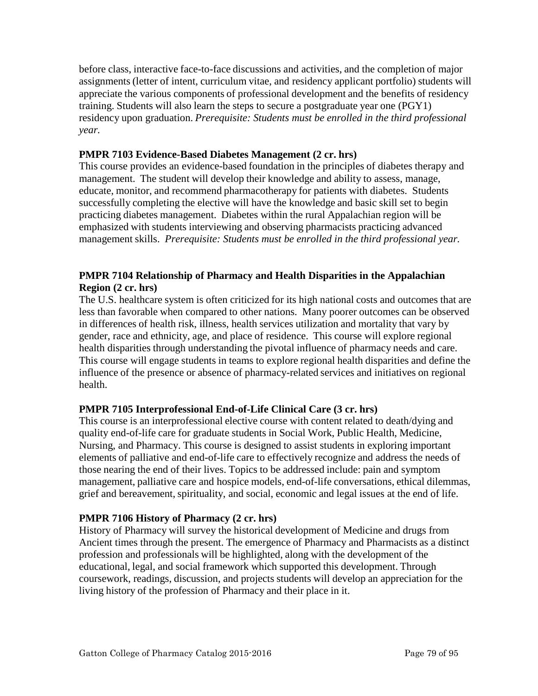before class, interactive face-to-face discussions and activities, and the completion of major assignments (letter of intent, curriculum vitae, and residency applicant portfolio) students will appreciate the various components of professional development and the benefits of residency training. Students will also learn the steps to secure a postgraduate year one (PGY1) residency upon graduation. *Prerequisite: Students must be enrolled in the third professional year.*

### **PMPR 7103 Evidence-Based Diabetes Management (2 cr. hrs)**

This course provides an evidence-based foundation in the principles of diabetes therapy and management. The student will develop their knowledge and ability to assess, manage, educate, monitor, and recommend pharmacotherapy for patients with diabetes. Students successfully completing the elective will have the knowledge and basic skill set to begin practicing diabetes management. Diabetes within the rural Appalachian region will be emphasized with students interviewing and observing pharmacists practicing advanced management skills. *Prerequisite: Students must be enrolled in the third professional year.*

### **PMPR 7104 Relationship of Pharmacy and Health Disparities in the Appalachian Region (2 cr. hrs)**

The U.S. healthcare system is often criticized for its high national costs and outcomes that are less than favorable when compared to other nations. Many poorer outcomes can be observed in differences of health risk, illness, health services utilization and mortality that vary by gender, race and ethnicity, age, and place of residence. This course will explore regional health disparities through understanding the pivotal influence of pharmacy needs and care. This course will engage students in teams to explore regional health disparities and define the influence of the presence or absence of pharmacy-related services and initiatives on regional health.

### **PMPR 7105 Interprofessional End-of-Life Clinical Care (3 cr. hrs)**

This course is an interprofessional elective course with content related to death/dying and quality end-of-life care for graduate students in Social Work, Public Health, Medicine, Nursing, and Pharmacy. This course is designed to assist students in exploring important elements of palliative and end-of-life care to effectively recognize and address the needs of those nearing the end of their lives. Topics to be addressed include: pain and symptom management, palliative care and hospice models, end-of-life conversations, ethical dilemmas, grief and bereavement, spirituality, and social, economic and legal issues at the end of life.

### **PMPR 7106 History of Pharmacy (2 cr. hrs)**

History of Pharmacy will survey the historical development of Medicine and drugs from Ancient times through the present. The emergence of Pharmacy and Pharmacists as a distinct profession and professionals will be highlighted, along with the development of the educational, legal, and social framework which supported this development. Through coursework, readings, discussion, and projects students will develop an appreciation for the living history of the profession of Pharmacy and their place in it.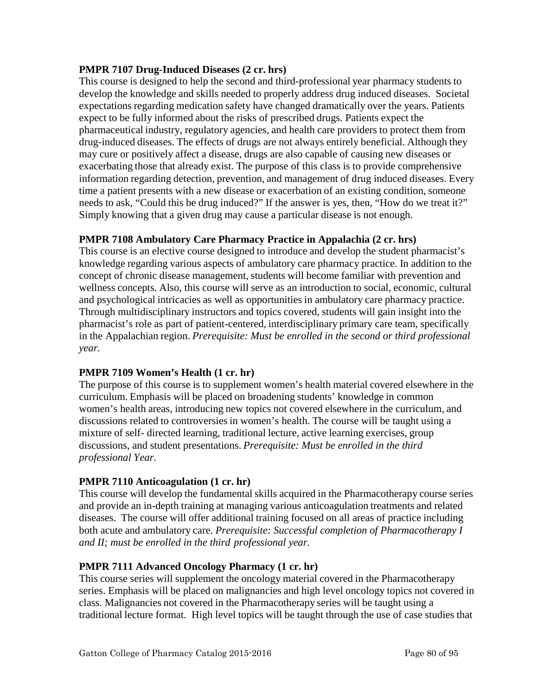### **PMPR 7107 Drug-Induced Diseases (2 cr. hrs)**

This course is designed to help the second and third-professional year pharmacy students to develop the knowledge and skills needed to properly address drug induced diseases. Societal expectations regarding medication safety have changed dramatically over the years. Patients expect to be fully informed about the risks of prescribed drugs. Patients expect the pharmaceutical industry, regulatory agencies, and health care providers to protect them from drug-induced diseases. The effects of drugs are not always entirely beneficial. Although they may cure or positively affect a disease, drugs are also capable of causing new diseases or exacerbating those that already exist. The purpose of this class is to provide comprehensive information regarding detection, prevention, and management of drug induced diseases. Every time a patient presents with a new disease or exacerbation of an existing condition, someone needs to ask, "Could this be drug induced?" If the answer is yes, then, "How do we treat it?" Simply knowing that a given drug may cause a particular disease is not enough.

### **PMPR 7108 Ambulatory Care Pharmacy Practice in Appalachia (2 cr. hrs)**

This course is an elective course designed to introduce and develop the student pharmacist's knowledge regarding various aspects of ambulatory care pharmacy practice. In addition to the concept of chronic disease management, students will become familiar with prevention and wellness concepts. Also, this course will serve as an introduction to social, economic, cultural and psychological intricacies as well as opportunities in ambulatory care pharmacy practice. Through multidisciplinary instructors and topics covered, students will gain insight into the pharmacist's role as part of patient-centered, interdisciplinary primary care team, specifically in the Appalachian region. *Prerequisite: Must be enrolled in the second or third professional year.*

### **PMPR 7109 Women's Health (1 cr. hr)**

The purpose of this course is to supplement women's health material covered elsewhere in the curriculum. Emphasis will be placed on broadening students' knowledge in common women's health areas, introducing new topics not covered elsewhere in the curriculum, and discussions related to controversies in women's health. The course will be taught using a mixture of self- directed learning, traditional lecture, active learning exercises, group discussions, and student presentations. *Prerequisite: Must be enrolled in the third professional Year.*

### **PMPR 7110 Anticoagulation (1 cr. hr)**

This course will develop the fundamental skills acquired in the Pharmacotherapy course series and provide an in-depth training at managing various anticoagulation treatments and related diseases. The course will offer additional training focused on all areas of practice including both acute and ambulatory care. *Prerequisite: Successful completion of Pharmacotherapy I and II; must be enrolled in the third professional year.*

### **PMPR 7111 Advanced Oncology Pharmacy (1 cr. hr)**

This course series will supplement the oncology material covered in the Pharmacotherapy series. Emphasis will be placed on malignancies and high level oncology topics not covered in class. Malignancies not covered in the Pharmacotherapy series will be taught using a traditional lecture format. High level topics will be taught through the use of case studies that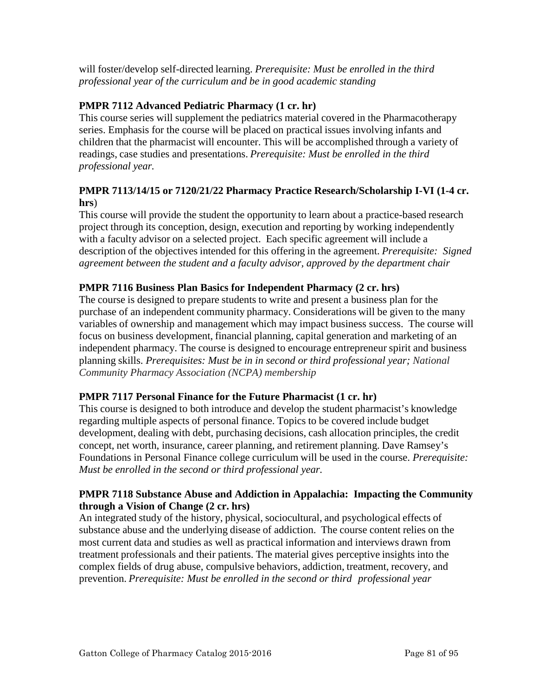will foster/develop self-directed learning. *Prerequisite: Must be enrolled in the third professional year of the curriculum and be in good academic standing*

### **PMPR 7112 Advanced Pediatric Pharmacy (1 cr. hr)**

This course series will supplement the pediatrics material covered in the Pharmacotherapy series. Emphasis for the course will be placed on practical issues involving infants and children that the pharmacist will encounter. This will be accomplished through a variety of readings, case studies and presentations. *Prerequisite: Must be enrolled in the third professional year.*

### **PMPR 7113/14/15 or 7120/21/22 Pharmacy Practice Research/Scholarship I-VI (1-4 cr. hrs**)

This course will provide the student the opportunity to learn about a practice-based research project through its conception, design, execution and reporting by working independently with a faculty advisor on a selected project. Each specific agreement will include a description of the objectives intended for this offering in the agreement. *Prerequisite: Signed agreement between the student and a faculty advisor, approved by the department chair*

### **PMPR 7116 Business Plan Basics for Independent Pharmacy (2 cr. hrs)**

The course is designed to prepare students to write and present a business plan for the purchase of an independent community pharmacy. Considerations will be given to the many variables of ownership and management which may impact business success. The course will focus on business development, financial planning, capital generation and marketing of an independent pharmacy. The course is designed to encourage entrepreneur spirit and business planning skills. *Prerequisites: Must be in in second or third professional year; National Community Pharmacy Association (NCPA) membership*

### **PMPR 7117 Personal Finance for the Future Pharmacist (1 cr. hr)**

This course is designed to both introduce and develop the student pharmacist's knowledge regarding multiple aspects of personal finance. Topics to be covered include budget development, dealing with debt, purchasing decisions, cash allocation principles, the credit concept, net worth, insurance, career planning, and retirement planning. Dave Ramsey's Foundations in Personal Finance college curriculum will be used in the course. *Prerequisite: Must be enrolled in the second or third professional year.*

### **PMPR 7118 Substance Abuse and Addiction in Appalachia: Impacting the Community through a Vision of Change (2 cr. hrs)**

An integrated study of the history, physical, sociocultural, and psychological effects of substance abuse and the underlying disease of addiction. The course content relies on the most current data and studies as well as practical information and interviews drawn from treatment professionals and their patients. The material gives perceptive insights into the complex fields of drug abuse, compulsive behaviors, addiction, treatment, recovery, and prevention. *Prerequisite: Must be enrolled in the second or third professional year*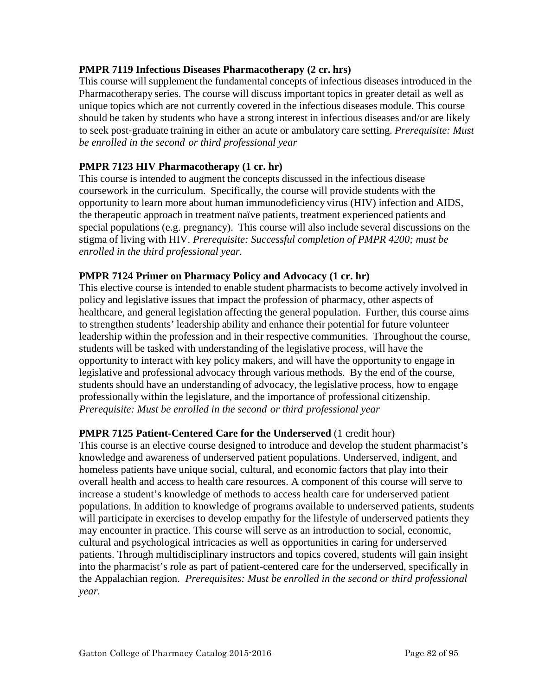### **PMPR 7119 Infectious Diseases Pharmacotherapy (2 cr. hrs)**

This course will supplement the fundamental concepts of infectious diseases introduced in the Pharmacotherapy series. The course will discuss important topics in greater detail as well as unique topics which are not currently covered in the infectious diseases module. This course should be taken by students who have a strong interest in infectious diseases and/or are likely to seek post‐graduate training in either an acute or ambulatory care setting. *Prerequisite: Must be enrolled in the second or third professional year*

### **PMPR 7123 HIV Pharmacotherapy (1 cr. hr)**

This course is intended to augment the concepts discussed in the infectious disease coursework in the curriculum. Specifically, the course will provide students with the opportunity to learn more about human immunodeficiency virus (HIV) infection and AIDS, the therapeutic approach in treatment naïve patients, treatment experienced patients and special populations (e.g. pregnancy). This course will also include several discussions on the stigma of living with HIV. *Prerequisite: Successful completion of PMPR 4200; must be enrolled in the third professional year.*

#### **PMPR 7124 Primer on Pharmacy Policy and Advocacy (1 cr. hr)**

This elective course is intended to enable student pharmacists to become actively involved in policy and legislative issues that impact the profession of pharmacy, other aspects of healthcare, and general legislation affecting the general population. Further, this course aims to strengthen students' leadership ability and enhance their potential for future volunteer leadership within the profession and in their respective communities. Throughout the course, students will be tasked with understanding of the legislative process, will have the opportunity to interact with key policy makers, and will have the opportunity to engage in legislative and professional advocacy through various methods. By the end of the course, students should have an understanding of advocacy, the legislative process, how to engage professionally within the legislature, and the importance of professional citizenship. *Prerequisite: Must be enrolled in the second or third professional year*

#### **PMPR 7125 Patient-Centered Care for the Underserved** (1 credit hour)

This course is an elective course designed to introduce and develop the student pharmacist's knowledge and awareness of underserved patient populations. Underserved, indigent, and homeless patients have unique social, cultural, and economic factors that play into their overall health and access to health care resources. A component of this course will serve to increase a student's knowledge of methods to access health care for underserved patient populations. In addition to knowledge of programs available to underserved patients, students will participate in exercises to develop empathy for the lifestyle of underserved patients they may encounter in practice. This course will serve as an introduction to social, economic, cultural and psychological intricacies as well as opportunities in caring for underserved patients. Through multidisciplinary instructors and topics covered, students will gain insight into the pharmacist's role as part of patient-centered care for the underserved, specifically in the Appalachian region. *Prerequisites: Must be enrolled in the second or third professional year.*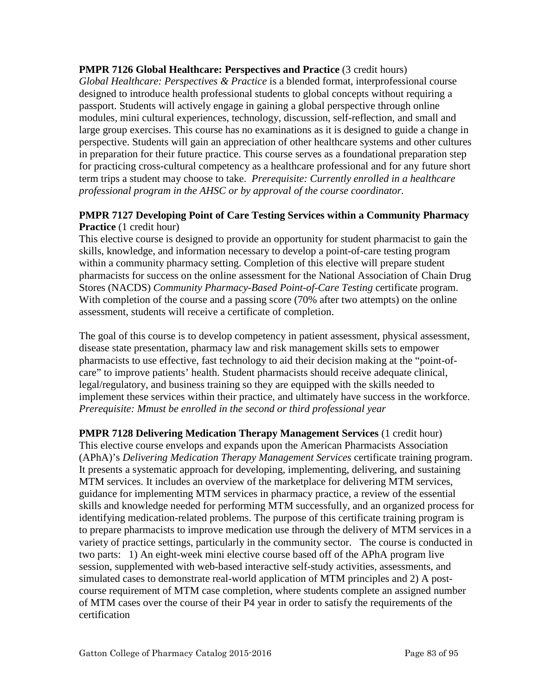**PMPR 7126 Global Healthcare: Perspectives and Practice (3 credit hours)** 

*Global Healthcare: Perspectives & Practice* is a blended format, interprofessional course designed to introduce health professional students to global concepts without requiring a passport. Students will actively engage in gaining a global perspective through online modules, mini cultural experiences, technology, discussion, self-reflection, and small and large group exercises. This course has no examinations as it is designed to guide a change in perspective. Students will gain an appreciation of other healthcare systems and other cultures in preparation for their future practice. This course serves as a foundational preparation step for practicing cross-cultural competency as a healthcare professional and for any future short term trips a student may choose to take. *Prerequisite: Currently enrolled in a healthcare professional program in the AHSC or by approval of the course coordinator.*

### **PMPR 7127 Developing Point of Care Testing Services within a Community Pharmacy Practice** (1 credit hour)

This elective course is designed to provide an opportunity for student pharmacist to gain the skills, knowledge, and information necessary to develop a point-of-care testing program within a community pharmacy setting. Completion of this elective will prepare student pharmacists for success on the online assessment for the National Association of Chain Drug Stores (NACDS) *Community Pharmacy-Based Point-of-Care Testing* certificate program. With completion of the course and a passing score (70% after two attempts) on the online assessment, students will receive a certificate of completion.

The goal of this course is to develop competency in patient assessment, physical assessment, disease state presentation, pharmacy law and risk management skills sets to empower pharmacists to use effective, fast technology to aid their decision making at the "point-ofcare" to improve patients' health. Student pharmacists should receive adequate clinical, legal/regulatory, and business training so they are equipped with the skills needed to implement these services within their practice, and ultimately have success in the workforce. *Prerequisite: Mmust be enrolled in the second or third professional year*

**PMPR 7128 Delivering Medication Therapy Management Services** (1 credit hour) This elective course envelops and expands upon the American Pharmacists Association (APhA)'s *Delivering Medication Therapy Management Services* certificate training program. It presents a systematic approach for developing, implementing, delivering, and sustaining MTM services. It includes an overview of the marketplace for delivering MTM services, guidance for implementing MTM services in pharmacy practice, a review of the essential skills and knowledge needed for performing MTM successfully, and an organized process for identifying medication-related problems. The purpose of this certificate training program is to prepare pharmacists to improve medication use through the delivery of MTM services in a variety of practice settings, particularly in the community sector. The course is conducted in two parts: 1) An eight-week mini elective course based off of the APhA program live session, supplemented with web-based interactive self-study activities, assessments, and simulated cases to demonstrate real-world application of MTM principles and 2) A postcourse requirement of MTM case completion, where students complete an assigned number of MTM cases over the course of their P4 year in order to satisfy the requirements of the certification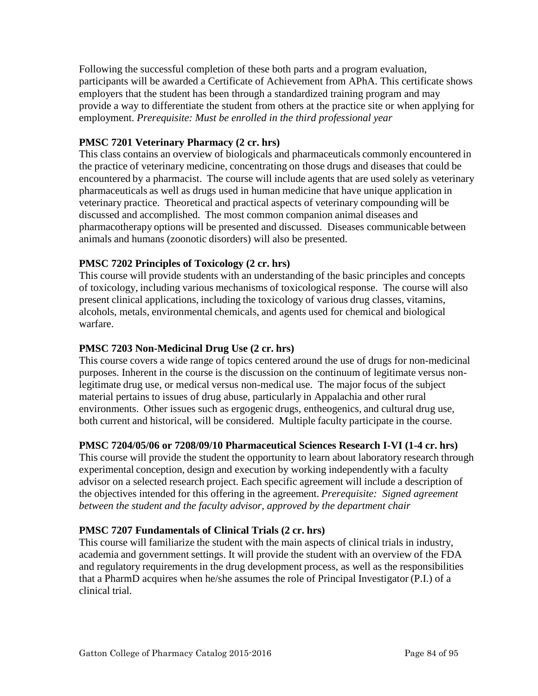Following the successful completion of these both parts and a program evaluation, participants will be awarded a Certificate of Achievement from APhA. This certificate shows employers that the student has been through a standardized training program and may provide a way to differentiate the student from others at the practice site or when applying for employment. *Prerequisite: Must be enrolled in the third professional year*

### **PMSC 7201 Veterinary Pharmacy (2 cr. hrs)**

This class contains an overview of biologicals and pharmaceuticals commonly encountered in the practice of veterinary medicine, concentrating on those drugs and diseases that could be encountered by a pharmacist. The course will include agents that are used solely as veterinary pharmaceuticals as well as drugs used in human medicine that have unique application in veterinary practice. Theoretical and practical aspects of veterinary compounding will be discussed and accomplished. The most common companion animal diseases and pharmacotherapy options will be presented and discussed. Diseases communicable between animals and humans (zoonotic disorders) will also be presented.

### **PMSC 7202 Principles of Toxicology (2 cr. hrs)**

This course will provide students with an understanding of the basic principles and concepts of toxicology, including various mechanisms of toxicological response. The course will also present clinical applications, including the toxicology of various drug classes, vitamins, alcohols, metals, environmental chemicals, and agents used for chemical and biological warfare.

### **PMSC 7203 Non-Medicinal Drug Use (2 cr. hrs)**

This course covers a wide range of topics centered around the use of drugs for non-medicinal purposes. Inherent in the course is the discussion on the continuum of legitimate versus nonlegitimate drug use, or medical versus non-medical use. The major focus of the subject material pertains to issues of drug abuse, particularly in Appalachia and other rural environments. Other issues such as ergogenic drugs, entheogenics, and cultural drug use, both current and historical, will be considered. Multiple faculty participate in the course.

### **PMSC 7204/05/06 or 7208/09/10 Pharmaceutical Sciences Research I-VI (1-4 cr. hrs)**

This course will provide the student the opportunity to learn about laboratory research through experimental conception, design and execution by working independently with a faculty advisor on a selected research project. Each specific agreement will include a description of the objectives intended for this offering in the agreement. *Prerequisite: Signed agreement between the student and the faculty advisor, approved by the department chair*

### **PMSC 7207 Fundamentals of Clinical Trials (2 cr. hrs)**

This course will familiarize the student with the main aspects of clinical trials in industry, academia and government settings. It will provide the student with an overview of the FDA and regulatory requirements in the drug development process, as well as the responsibilities that a PharmD acquires when he/she assumes the role of Principal Investigator (P.I.) of a clinical trial.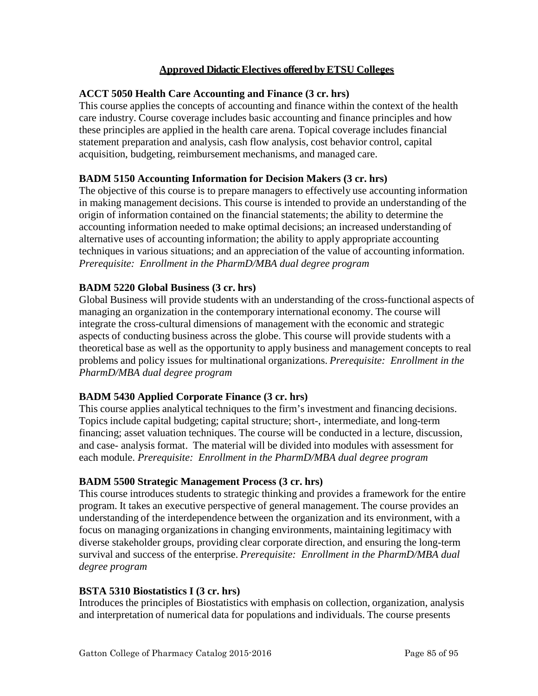### **Approved Didactic Electives offered by ETSU Colleges**

#### **ACCT 5050 Health Care Accounting and Finance (3 cr. hrs)**

This course applies the concepts of accounting and finance within the context of the health care industry. Course coverage includes basic accounting and finance principles and how these principles are applied in the health care arena. Topical coverage includes financial statement preparation and analysis, cash flow analysis, cost behavior control, capital acquisition, budgeting, reimbursement mechanisms, and managed care.

### **BADM 5150 Accounting Information for Decision Makers (3 cr. hrs)**

The objective of this course is to prepare managers to effectively use accounting information in making management decisions. This course is intended to provide an understanding of the origin of information contained on the financial statements; the ability to determine the accounting information needed to make optimal decisions; an increased understanding of alternative uses of accounting information; the ability to apply appropriate accounting techniques in various situations; and an appreciation of the value of accounting information. *Prerequisite: Enrollment in the PharmD/MBA dual degree program*

### **BADM 5220 Global Business (3 cr. hrs)**

Global Business will provide students with an understanding of the cross-functional aspects of managing an organization in the contemporary international economy. The course will integrate the cross-cultural dimensions of management with the economic and strategic aspects of conducting business across the globe. This course will provide students with a theoretical base as well as the opportunity to apply business and management concepts to real problems and policy issues for multinational organizations. *Prerequisite: Enrollment in the PharmD/MBA dual degree program*

### **BADM 5430 Applied Corporate Finance (3 cr. hrs)**

This course applies analytical techniques to the firm's investment and financing decisions. Topics include capital budgeting; capital structure; short-, intermediate, and long-term financing; asset valuation techniques. The course will be conducted in a lecture, discussion, and case- analysis format. The material will be divided into modules with assessment for each module. *Prerequisite: Enrollment in the PharmD/MBA dual degree program*

### **BADM 5500 Strategic Management Process (3 cr. hrs)**

This course introduces students to strategic thinking and provides a framework for the entire program. It takes an executive perspective of general management. The course provides an understanding of the interdependence between the organization and its environment, with a focus on managing organizationsin changing environments, maintaining legitimacy with diverse stakeholder groups, providing clear corporate direction, and ensuring the long-term survival and success of the enterprise. *Prerequisite: Enrollment in the PharmD/MBA dual degree program*

#### **BSTA 5310 Biostatistics I (3 cr. hrs)**

Introduces the principles of Biostatistics with emphasis on collection, organization, analysis and interpretation of numerical data for populations and individuals. The course presents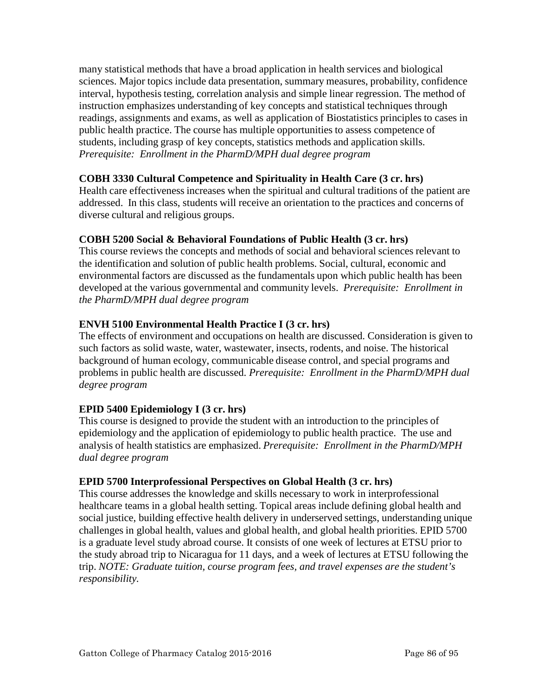many statistical methods that have a broad application in health services and biological sciences. Major topics include data presentation, summary measures, probability, confidence interval, hypothesis testing, correlation analysis and simple linear regression. The method of instruction emphasizes understanding of key concepts and statistical techniques through readings, assignments and exams, as well as application of Biostatistics principles to cases in public health practice. The course has multiple opportunities to assess competence of students, including grasp of key concepts, statistics methods and application skills. *Prerequisite: Enrollment in the PharmD/MPH dual degree program*

### **COBH 3330 Cultural Competence and Spirituality in Health Care (3 cr. hrs)**

Health care effectiveness increases when the spiritual and cultural traditions of the patient are addressed. In this class, students will receive an orientation to the practices and concerns of diverse cultural and religious groups.

### **COBH 5200 Social & Behavioral Foundations of Public Health (3 cr. hrs)**

This course reviews the concepts and methods of social and behavioral sciences relevant to the identification and solution of public health problems. Social, cultural, economic and environmental factors are discussed as the fundamentals upon which public health has been developed at the various governmental and community levels. *Prerequisite: Enrollment in the PharmD/MPH dual degree program*

### **ENVH 5100 Environmental Health Practice I (3 cr. hrs)**

The effects of environment and occupations on health are discussed. Consideration is given to such factors as solid waste, water, wastewater, insects, rodents, and noise. The historical background of human ecology, communicable disease control, and special programs and problems in public health are discussed. *Prerequisite: Enrollment in the PharmD/MPH dual degree program*

### **EPID 5400 Epidemiology I (3 cr. hrs)**

This course is designed to provide the student with an introduction to the principles of epidemiology and the application of epidemiology to public health practice. The use and analysis of health statistics are emphasized. *Prerequisite: Enrollment in the PharmD/MPH dual degree program*

### **EPID 5700 Interprofessional Perspectives on Global Health (3 cr. hrs)**

This course addresses the knowledge and skills necessary to work in interprofessional healthcare teams in a global health setting. Topical areas include defining global health and social justice, building effective health delivery in underserved settings, understanding unique challenges in global health, values and global health, and global health priorities. EPID 5700 is a graduate level study abroad course. It consists of one week of lectures at ETSU prior to the study abroad trip to Nicaragua for 11 days, and a week of lectures at ETSU following the trip. *NOTE: Graduate tuition, course program fees, and travel expenses are the student's responsibility.*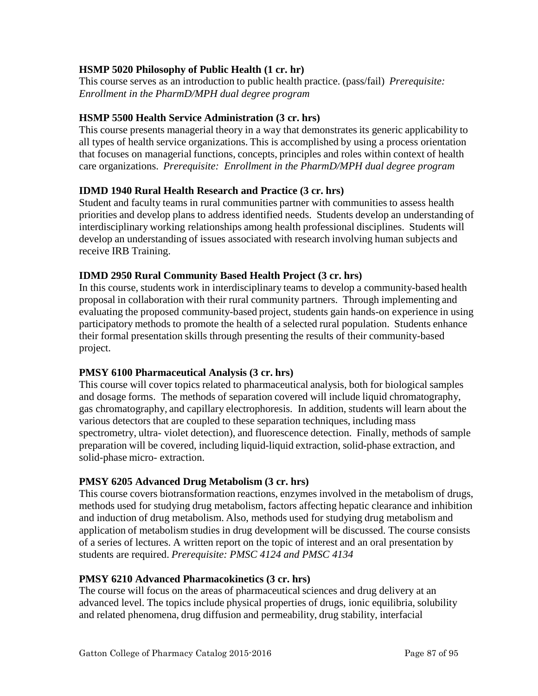### **HSMP 5020 Philosophy of Public Health (1 cr. hr)**

This course serves as an introduction to public health practice. (pass/fail) *Prerequisite: Enrollment in the PharmD/MPH dual degree program*

### **HSMP 5500 Health Service Administration (3 cr. hrs)**

This course presents managerial theory in a way that demonstrates its generic applicability to all types of health service organizations. This is accomplished by using a process orientation that focuses on managerial functions, concepts, principles and roles within context of health care organizations. *Prerequisite: Enrollment in the PharmD/MPH dual degree program*

### **IDMD 1940 Rural Health Research and Practice (3 cr. hrs)**

Student and faculty teams in rural communities partner with communities to assess health priorities and develop plans to address identified needs. Students develop an understanding of interdisciplinary working relationships among health professional disciplines. Students will develop an understanding of issues associated with research involving human subjects and receive IRB Training.

### **IDMD 2950 Rural Community Based Health Project (3 cr. hrs)**

In this course, students work in interdisciplinary teams to develop a community-based health proposal in collaboration with their rural community partners. Through implementing and evaluating the proposed community-based project, students gain hands-on experience in using participatory methods to promote the health of a selected rural population. Students enhance their formal presentation skills through presenting the results of their community-based project.

### **PMSY 6100 Pharmaceutical Analysis (3 cr. hrs)**

This course will cover topics related to pharmaceutical analysis, both for biological samples and dosage forms. The methods of separation covered will include liquid chromatography, gas chromatography, and capillary electrophoresis. In addition, students will learn about the various detectors that are coupled to these separation techniques, including mass spectrometry, ultra- violet detection), and fluorescence detection. Finally, methods of sample preparation will be covered, including liquid-liquid extraction, solid-phase extraction, and solid-phase micro- extraction.

# **PMSY 6205 Advanced Drug Metabolism (3 cr. hrs)**

This course covers biotransformation reactions, enzymes involved in the metabolism of drugs, methods used for studying drug metabolism, factors affecting hepatic clearance and inhibition and induction of drug metabolism. Also, methods used for studying drug metabolism and application of metabolism studies in drug development will be discussed. The course consists of a series of lectures. A written report on the topic of interest and an oral presentation by students are required. *Prerequisite: PMSC 4124 and PMSC 4134*

### **PMSY 6210 Advanced Pharmacokinetics (3 cr. hrs)**

The course will focus on the areas of pharmaceutical sciences and drug delivery at an advanced level. The topics include physical properties of drugs, ionic equilibria, solubility and related phenomena, drug diffusion and permeability, drug stability, interfacial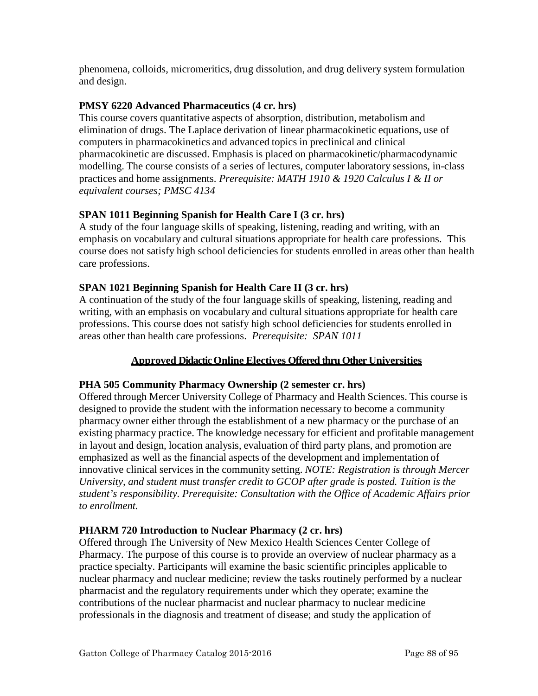phenomena, colloids, micromeritics, drug dissolution, and drug delivery system formulation and design.

### **PMSY 6220 Advanced Pharmaceutics (4 cr. hrs)**

This course covers quantitative aspects of absorption, distribution, metabolism and elimination of drugs. The Laplace derivation of linear pharmacokinetic equations, use of computers in pharmacokinetics and advanced topics in preclinical and clinical pharmacokinetic are discussed. Emphasis is placed on pharmacokinetic/pharmacodynamic modelling. The course consists of a series of lectures, computer laboratory sessions, in-class practices and home assignments. *Prerequisite: MATH 1910 & 1920 Calculus I & II or equivalent courses; PMSC 4134*

### **SPAN 1011 Beginning Spanish for Health Care I (3 cr. hrs)**

A study of the four language skills of speaking, listening, reading and writing, with an emphasis on vocabulary and cultural situations appropriate for health care professions. This course does not satisfy high school deficiencies for students enrolled in areas other than health care professions.

### **SPAN 1021 Beginning Spanish for Health Care II (3 cr. hrs)**

A continuation of the study of the four language skills of speaking, listening, reading and writing, with an emphasis on vocabulary and cultural situations appropriate for health care professions. This course does not satisfy high school deficiencies for students enrolled in areas other than health care professions. *Prerequisite: SPAN 1011*

### **Approved Didactic Online Electives Offered thru Other Universities**

### **PHA 505 Community Pharmacy Ownership (2 semester cr. hrs)**

Offered through Mercer University College of Pharmacy and Health Sciences. This course is designed to provide the student with the information necessary to become a community pharmacy owner either through the establishment of a new pharmacy or the purchase of an existing pharmacy practice. The knowledge necessary for efficient and profitable management in layout and design, location analysis, evaluation of third party plans, and promotion are emphasized as well as the financial aspects of the development and implementation of innovative clinical services in the community setting. *NOTE: Registration is through Mercer University, and student must transfer credit to GCOP after grade is posted. Tuition is the student's responsibility. Prerequisite: Consultation with the Office of Academic Affairs prior to enrollment.*

### **PHARM 720 Introduction to Nuclear Pharmacy (2 cr. hrs)**

Offered through The University of New Mexico Health Sciences Center College of Pharmacy. The purpose of this course is to provide an overview of nuclear pharmacy as a practice specialty. Participants will examine the basic scientific principles applicable to nuclear pharmacy and nuclear medicine; review the tasks routinely performed by a nuclear pharmacist and the regulatory requirements under which they operate; examine the contributions of the nuclear pharmacist and nuclear pharmacy to nuclear medicine professionals in the diagnosis and treatment of disease; and study the application of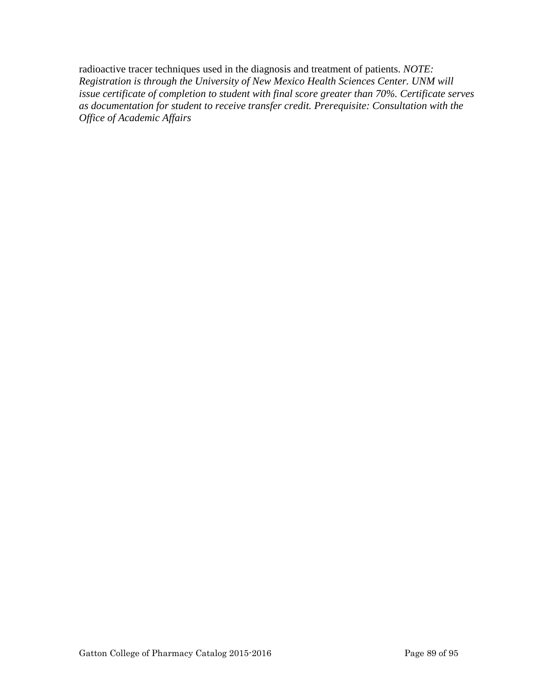radioactive tracer techniques used in the diagnosis and treatment of patients. *NOTE: Registration is through the University of New Mexico Health Sciences Center. UNM will issue certificate of completion to student with final score greater than 70%. Certificate serves as documentation for student to receive transfer credit. Prerequisite: Consultation with the Office of Academic Affairs*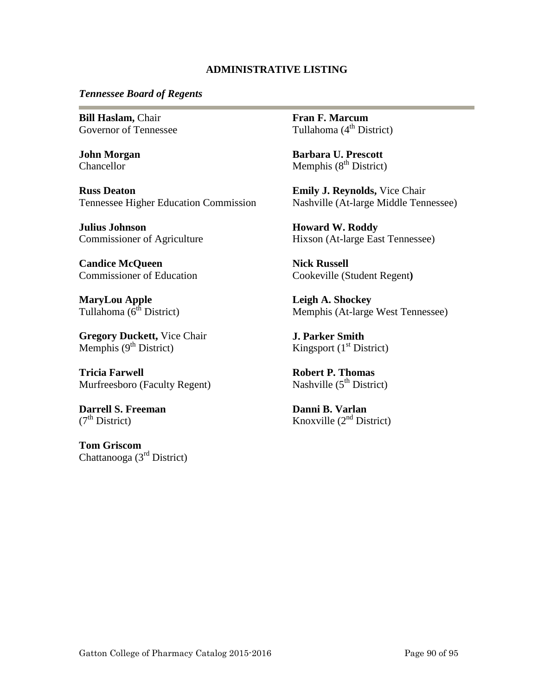#### **ADMINISTRATIVE LISTING**

#### *Tennessee Board of Regents*

**Bill Haslam,** Chair Governor of Tennessee

**John Morgan Chancellor** 

**Russ Deaton** Tennessee Higher Education Commission

**Julius Johnson** Commissioner of Agriculture

**Candice McQueen** Commissioner of Education

**MaryLou Apple** Tullahoma  $(6^{th}$  District)

**Gregory Duckett,** Vice Chair Memphis  $(9<sup>th</sup> District)$ 

**Tricia Farwell** Murfreesboro (Faculty Regent)

**Darrell S. Freeman**  $(7<sup>th</sup> District)$ 

**Tom Griscom** Chattanooga (3rd District) **Fran F. Marcum** Tullahoma  $(4<sup>th</sup> District)$ 

**Barbara U. Prescott** Memphis  $(8<sup>th</sup> District)$ 

**Emily J. Reynolds,** Vice Chair Nashville (At-large Middle Tennessee)

**Howard W. Roddy** Hixson (At-large East Tennessee)

**Nick Russell** Cookeville (Student Regent**)**

**Leigh A. Shockey** Memphis (At-large West Tennessee)

**J. Parker Smith** Kingsport  $(1<sup>st</sup> District)$ 

**Robert P. Thomas** Nashville  $(5<sup>th</sup> District)$ 

**Danni B. Varlan** Knoxville  $(2<sup>nd</sup> District)$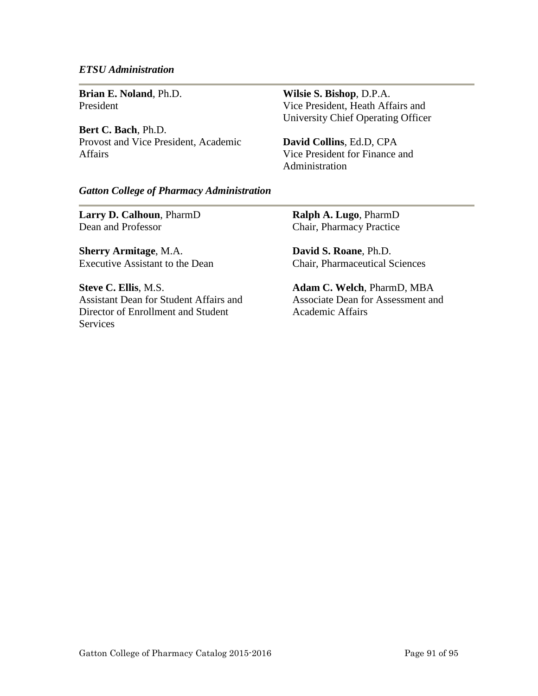#### *ETSU Administration*

**Brian E. Noland**, Ph.D. President

**Bert C. Bach**, Ph.D. Provost and Vice President, Academic Affairs

**Wilsie S. Bishop**, D.P.A. Vice President, Heath Affairs and University Chief Operating Officer

**David Collins**, Ed.D, CPA Vice President for Finance and Administration

#### *Gatton College of Pharmacy Administration*

**Larry D. Calhoun**, PharmD Dean and Professor

**Sherry Armitage**, M.A. Executive Assistant to the Dean

**Steve C. Ellis**, M.S. Assistant Dean for Student Affairs and Director of Enrollment and Student Services

**Ralph A. Lugo**, PharmD Chair, Pharmacy Practice

**David S. Roane**, Ph.D. Chair, Pharmaceutical Sciences

**Adam C. Welch**, PharmD, MBA Associate Dean for Assessment and Academic Affairs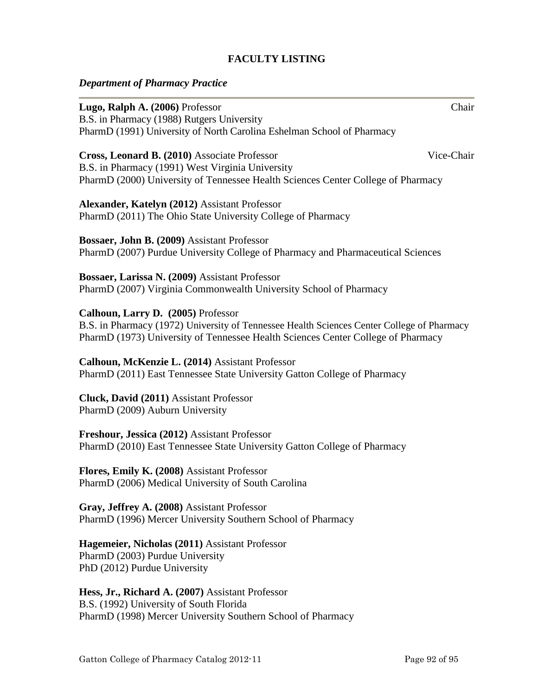### **FACULTY LISTING**

### *Department of Pharmacy Practice*

| Lugo, Ralph A. (2006) Professor                                                            | Chair      |
|--------------------------------------------------------------------------------------------|------------|
| B.S. in Pharmacy (1988) Rutgers University                                                 |            |
| PharmD (1991) University of North Carolina Eshelman School of Pharmacy                     |            |
| Cross, Leonard B. (2010) Associate Professor                                               | Vice-Chair |
| B.S. in Pharmacy (1991) West Virginia University                                           |            |
| PharmD (2000) University of Tennessee Health Sciences Center College of Pharmacy           |            |
| Alexander, Katelyn (2012) Assistant Professor                                              |            |
| PharmD (2011) The Ohio State University College of Pharmacy                                |            |
| Bossaer, John B. (2009) Assistant Professor                                                |            |
| PharmD (2007) Purdue University College of Pharmacy and Pharmaceutical Sciences            |            |
| Bossaer, Larissa N. (2009) Assistant Professor                                             |            |
| PharmD (2007) Virginia Commonwealth University School of Pharmacy                          |            |
| Calhoun, Larry D. (2005) Professor                                                         |            |
| B.S. in Pharmacy (1972) University of Tennessee Health Sciences Center College of Pharmacy |            |
| PharmD (1973) University of Tennessee Health Sciences Center College of Pharmacy           |            |
| Calhoun, McKenzie L. (2014) Assistant Professor                                            |            |
| PharmD (2011) East Tennessee State University Gatton College of Pharmacy                   |            |
| Cluck, David (2011) Assistant Professor                                                    |            |
| PharmD (2009) Auburn University                                                            |            |
| Freshour, Jessica (2012) Assistant Professor                                               |            |
| PharmD (2010) East Tennessee State University Gatton College of Pharmacy                   |            |
| Flores, Emily K. (2008) Assistant Professor                                                |            |
| PharmD (2006) Medical University of South Carolina                                         |            |
| Gray, Jeffrey A. (2008) Assistant Professor                                                |            |
| PharmD (1996) Mercer University Southern School of Pharmacy                                |            |
|                                                                                            |            |

**Hagemeier, Nicholas (2011)** Assistant Professor PharmD (2003) Purdue University PhD (2012) Purdue University

**Hess, Jr., Richard A. (2007)** Assistant Professor B.S. (1992) University of South Florida PharmD (1998) Mercer University Southern School of Pharmacy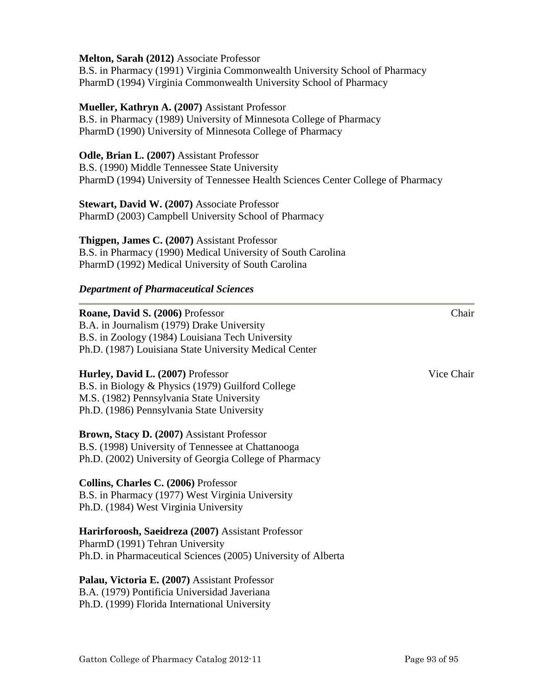#### **Melton, Sarah (2012)** Associate Professor

B.S. in Pharmacy (1991) Virginia Commonwealth University School of Pharmacy PharmD (1994) Virginia Commonwealth University School of Pharmacy

#### **Mueller, Kathryn A. (2007)** Assistant Professor

B.S. in Pharmacy (1989) University of Minnesota College of Pharmacy PharmD (1990) University of Minnesota College of Pharmacy

#### **Odle, Brian L. (2007)** Assistant Professor

B.S. (1990) Middle Tennessee State University PharmD (1994) University of Tennessee Health Sciences Center College of Pharmacy

# **Stewart, David W. (2007)** Associate Professor

PharmD (2003) Campbell University School of Pharmacy

**Thigpen, James C. (2007)** Assistant Professor B.S. in Pharmacy (1990) Medical University of South Carolina PharmD (1992) Medical University of South Carolina

### *Department of Pharmaceutical Sciences*

# **Roane, David S. (2006)** Professor Chair B.A. in Journalism (1979) Drake University B.S. in Zoology (1984) Louisiana Tech University Ph.D. (1987) Louisiana State University Medical Center **Hurley, David L. (2007)** Professor Vice Chair B.S. in Biology & Physics (1979) Guilford College M.S. (1982) Pennsylvania State University Ph.D. (1986) Pennsylvania State University **Brown, Stacy D. (2007)** Assistant Professor B.S. (1998) University of Tennessee at Chattanooga Ph.D. (2002) University of Georgia College of Pharmacy **Collins, Charles C. (2006)** Professor B.S. in Pharmacy (1977) West Virginia University Ph.D. (1984) West Virginia University **Harirforoosh, Saeidreza (2007)** Assistant Professor PharmD (1991) Tehran University Ph.D. in Pharmaceutical Sciences (2005) University of Alberta

#### **Palau, Victoria E. (2007)** Assistant Professor B.A. (1979) Pontificia Universidad Javeriana Ph.D. (1999) Florida International University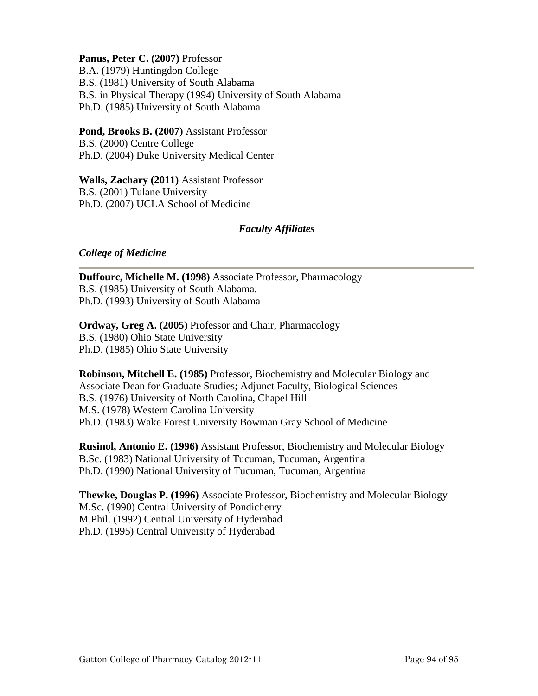**Panus, Peter C. (2007)** Professor B.A. (1979) Huntingdon College B.S. (1981) University of South Alabama B.S. in Physical Therapy (1994) University of South Alabama Ph.D. (1985) University of South Alabama

**Pond, Brooks B. (2007)** Assistant Professor B.S. (2000) Centre College Ph.D. (2004) Duke University Medical Center

**Walls, Zachary (2011)** Assistant Professor B.S. (2001) Tulane University Ph.D. (2007) UCLA School of Medicine

### *Faculty Affiliates*

### *College of Medicine*

**Duffourc, Michelle M. (1998)** Associate Professor, Pharmacology B.S. (1985) University of South Alabama. Ph.D. (1993) University of South Alabama

**Ordway, Greg A. (2005)** Professor and Chair, Pharmacology B.S. (1980) Ohio State University Ph.D. (1985) Ohio State University

**Robinson, Mitchell E. (1985)** Professor, Biochemistry and Molecular Biology and Associate Dean for Graduate Studies; Adjunct Faculty, Biological Sciences B.S. (1976) University of North Carolina, Chapel Hill M.S. (1978) Western Carolina University Ph.D. (1983) Wake Forest University Bowman Gray School of Medicine

**Rusinol, Antonio E. (1996)** Assistant Professor, Biochemistry and Molecular Biology B.Sc. (1983) National University of Tucuman, Tucuman, Argentina Ph.D. (1990) National University of Tucuman, Tucuman, Argentina

**Thewke, Douglas P. (1996)** Associate Professor, Biochemistry and Molecular Biology M.Sc. (1990) Central University of Pondicherry M.Phil. (1992) Central University of Hyderabad Ph.D. (1995) Central University of Hyderabad